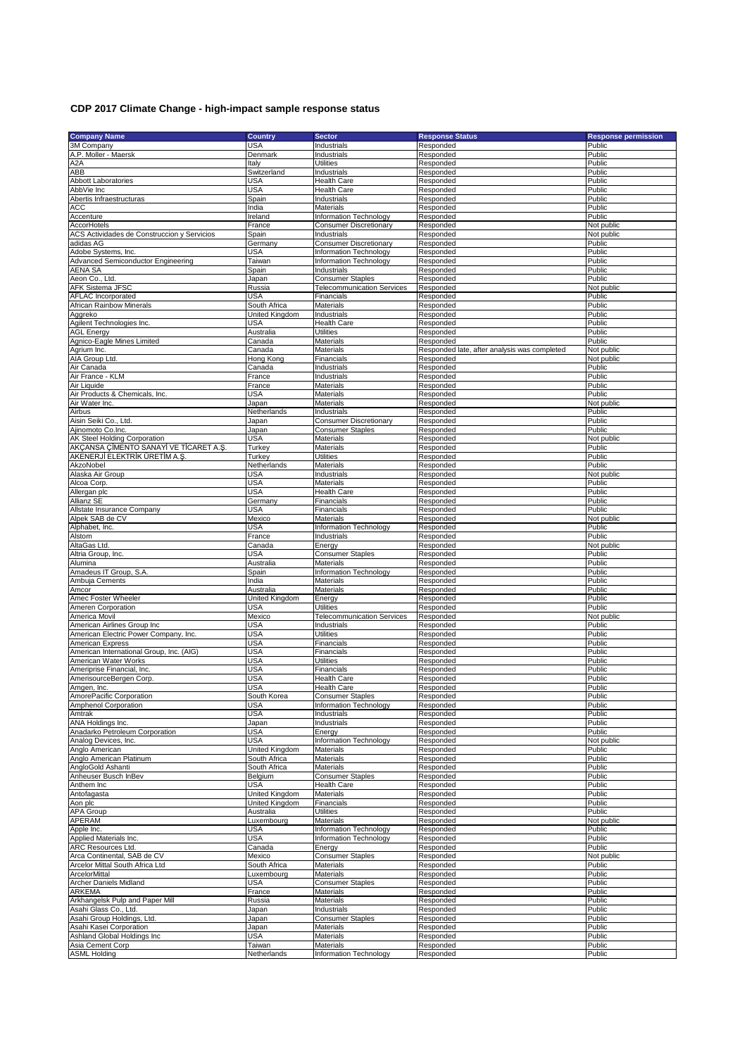## **CDP 2017 Climate Change - high-impact sample response status**

|                                             | <b>Country</b> | <b>Sector</b>                     | <b>Response Status</b>                       | <b>Response permission</b> |
|---------------------------------------------|----------------|-----------------------------------|----------------------------------------------|----------------------------|
| <b>Company Name</b><br>3M Company           | <b>USA</b>     | Industrials                       | Responded                                    | Public                     |
| A.P. Moller - Maersk                        |                |                                   |                                              |                            |
|                                             | Denmark        | Industrials                       | Responded                                    | Public                     |
| A <sub>2</sub> A                            | Italy          | <b>Utilities</b>                  | Responded                                    | Public                     |
| ABB                                         | Switzerland    | Industrials                       | Responded                                    | Public                     |
| <b>Abbott Laboratories</b>                  | <b>USA</b>     | <b>Health Care</b>                | Responded                                    | Public                     |
| AbbVie Inc                                  | <b>USA</b>     | <b>Health Care</b>                | Responded                                    | Public                     |
| Abertis Infraestructuras                    | Spain          | Industrials                       | Responded                                    | Public                     |
| ACC                                         | India          | Materials                         | Responded                                    | Public                     |
|                                             |                |                                   |                                              |                            |
| Accenture                                   | Ireland        | Information Technology            | Responded                                    | Public                     |
| AccorHotels                                 | France         | <b>Consumer Discretionary</b>     | Responded                                    | Not public                 |
| ACS Actividades de Construccion y Servicios | Spain          | Industrials                       | Responded                                    | Not public                 |
| adidas AG                                   | Germany        | <b>Consumer Discretionary</b>     | Responded                                    | Public                     |
| Adobe Systems, Inc.                         | USA            | Information Technology            | Responded                                    | Public                     |
|                                             |                |                                   |                                              | Public                     |
| Advanced Semiconductor Engineering          | Taiwan         | Information Technology            | Responded                                    |                            |
| <b>AENA SA</b>                              | Spain          | Industrials                       | Responded                                    | Public                     |
| Aeon Co., Ltd.                              | Japan          | <b>Consumer Staples</b>           | Responded                                    | Public                     |
| <b>AFK Sistema JFSC</b>                     | Russia         | <b>Telecommunication Services</b> | Responded                                    | Not public                 |
| AFLAC Incorporated                          | USA            | Financials                        | Responded                                    | Public                     |
| African Rainbow Minerals                    | South Africa   | Materials                         | Responded                                    | Public                     |
|                                             |                |                                   |                                              |                            |
| Aggreko                                     | United Kingdom | Industrials                       | Responded                                    | Public                     |
| Agilent Technologies Inc.                   | USA            | <b>Health Care</b>                | Responded                                    | Public                     |
| <b>AGL Energy</b>                           | Australia      | Utilities                         | Responded                                    | Public                     |
| Agnico-Eagle Mines Limited                  | Canada         | Materials                         | Responded                                    | Public                     |
| Agrium Inc.                                 | Canada         | Materials                         | Responded late, after analysis was completed | Not public                 |
| <b>AIA Group Ltd</b>                        | Hong Kong      | Financials                        | Responded                                    | Not public                 |
|                                             |                |                                   |                                              |                            |
| Air Canada                                  | Canada         | Industrials                       | Responded                                    | Public                     |
| Air France - KLM                            | France         | Industrials                       | Responded                                    | Public                     |
| Air Liquide                                 | France         | Materials                         | Responded                                    | Public                     |
| Air Products & Chemicals, Inc.              | USA            | Materials                         | Responded                                    | Public                     |
| Air Water Inc.                              | Japan          | Materials                         | Responded                                    | Not public                 |
| Airbus                                      | Netherlands    | Industrials                       | Responded                                    | Public                     |
|                                             |                |                                   |                                              |                            |
| Aisin Seiki Co., Ltd.                       | Japan          | <b>Consumer Discretionary</b>     | Responded                                    | Public                     |
| Ajinomoto Co.Inc.                           | Japan          | <b>Consumer Staples</b>           | Responded                                    | Public                     |
| AK Steel Holding Corporation                | <b>USA</b>     | Materials                         | Responded                                    | Not public                 |
| AKÇANSA ÇİMENTO SANAYİ VE TİCARET A.Ş.      | Turkey         | Materials                         | Responded                                    | Public                     |
| AKENERJİ ELEKTRİK ÜRETİM A.Ş.               | Turkey         | Utilities                         | Responded                                    | Public                     |
|                                             |                |                                   |                                              |                            |
| AkzoNobel                                   | Netherlands    | Materials                         | Responded                                    | Public                     |
| Alaska Air Group                            | <b>USA</b>     | Industrials                       | Responded                                    | Not public                 |
| Alcoa Corp.                                 | <b>USA</b>     | Materials                         | Responded                                    | Public                     |
| Allergan plc                                | USA            | <b>Health Care</b>                | Responded                                    | Public                     |
| Allianz SE                                  | Germany        | Financials                        | Responded                                    | Public                     |
| Allstate Insurance Company                  | <b>USA</b>     | Financials                        | Responded                                    | Public                     |
|                                             |                |                                   |                                              |                            |
| Alpek SAB de CV                             | Mexico         | Materials                         | Responded                                    | Not public                 |
| Alphabet, Inc.                              | <b>USA</b>     | Information Technology            | Responded                                    | Public                     |
| Alstom                                      | France         | Industrials                       | Responded                                    | Public                     |
| AltaGas Ltd.                                | Canada         | Energy                            | Responded                                    | Not public                 |
| Altria Group, Inc.                          | USA            | <b>Consumer Staples</b>           | Responded                                    | Public                     |
| Alumina                                     | Australia      | Materials                         | Responded                                    | Public                     |
|                                             |                |                                   |                                              | Public                     |
| Amadeus IT Group, S.A.                      | Spain          | Information Technology            | Responded                                    |                            |
| Ambuja Cements                              | India          | Materials                         | Responded                                    | Public                     |
| Amcor                                       | Australia      | Materials                         | Responded                                    | Public                     |
| Amec Foster Wheeler                         | United Kingdom | Energy                            | Responded                                    | Public                     |
| Ameren Corporation                          | <b>USA</b>     | <b>Utilities</b>                  | Responded                                    | Public                     |
| America Movil                               | Mexico         | <b>Telecommunication Services</b> | Responded                                    | Not public                 |
|                                             |                |                                   |                                              |                            |
| American Airlines Group Inc                 | <b>USA</b>     | Industrials                       | Responded                                    | Public                     |
| American Electric Power Company, Inc.       | <b>USA</b>     | Utilities                         | Responded                                    | Public                     |
| American Express                            | USA            | Financials                        | Responded                                    |                            |
| American International Group, Inc. (AIG)    | <b>USA</b>     | Financials                        |                                              | Public                     |
| American Water Works                        |                |                                   | Responded                                    | Public                     |
|                                             |                | Utilities                         |                                              | Public                     |
|                                             | <b>USA</b>     |                                   | Responded                                    |                            |
| Ameriprise Financial, Inc.                  | USA            | Financials                        | Responded                                    | Public                     |
| AmerisourceBergen Corp                      | USA            | Health Care                       | Responded                                    | Public                     |
| Amgen, Inc.                                 | USA            | <b>Health Care</b>                | Responded                                    | Public                     |
| AmorePacific Corporation                    | South Korea    | <b>Consumer Staples</b>           | Responded                                    | Public                     |
| Amphenol Corporation                        | <b>USA</b>     | Information Technology            | Responded                                    | Public                     |
| Amtrak                                      | <b>USA</b>     | Industrials                       | Responded                                    | Public                     |
| ANA Holdings Inc.                           |                | Industrials                       | Responded                                    | Public                     |
|                                             | Japan          |                                   |                                              |                            |
| Anadarko Petroleum Corporation              | USA            | Energy                            | Responded                                    | Public                     |
| Analog Devices, Inc.                        | USA            | Information Technology            | Responded                                    | Not public                 |
| Anglo American                              | United Kingdom | Materials                         | Responded                                    | Public                     |
| Anglo American Platinum                     | South Africa   | Materials                         | Responded                                    | Public                     |
| AngloGold Ashanti                           | South Africa   | Materials                         | Responded                                    | Public                     |
| Anheuser Busch InBev                        | Belgium        | <b>Consumer Staples</b>           | Responded                                    | Public                     |
|                                             |                |                                   |                                              |                            |
| Anthem Inc                                  | USA            | Health Care                       | Responded                                    | Public                     |
| Antofagasta                                 | United Kingdom | <b>Materials</b>                  | Responded                                    | Public                     |
| Aon plc                                     | United Kingdom | Financials                        | Responded                                    | Public                     |
| <b>APA Group</b>                            | Australia      | <b>Utilities</b>                  | Responded                                    | Public                     |
| APERAM                                      | Luxembourg     | Materials                         | Responded                                    | Not public                 |
| Apple Inc.                                  | USA            | Information Technology            | Responded                                    | Public                     |
|                                             |                |                                   |                                              |                            |
| Applied Materials Inc.                      | <b>USA</b>     | Information Technology            | Responded                                    | Public                     |
| ARC Resources Ltd.                          | Canada         | Energy                            | Responded                                    | Public                     |
| Arca Continental, SAB de CV                 | Mexico         | <b>Consumer Staples</b>           | Responded                                    | Not public                 |
| Arcelor Mittal South Africa Ltd             | South Africa   | Materials                         | Responded                                    | Public                     |
| ArcelorMittal                               | Luxembourg     | Materials                         | Responded                                    | Public                     |
| Archer Daniels Midland                      | USA            | <b>Consumer Staples</b>           | Responded                                    | Public                     |
| <b>ARKEMA</b>                               |                |                                   |                                              |                            |
|                                             | France         | Materials                         | Responded                                    | Public                     |
| Arkhangelsk Pulp and Paper Mill             | Russia         | Materials                         | Responded                                    | Public                     |
| Asahi Glass Co., Ltd.                       | Japan          | Industrials                       | Responded                                    | Public                     |
| Asahi Group Holdings, Ltd.                  | Japan          | <b>Consumer Staples</b>           | Responded                                    | Public                     |
| Asahi Kasei Corporation                     | Japan          | Materials                         | Responded                                    | Public                     |
| Ashland Global Holdings Inc                 | USA            | Materials                         | Responded                                    | Public                     |
| Asia Cement Corp<br>ASML Holding            | Taiwan         | Materials                         | Responded                                    | Public                     |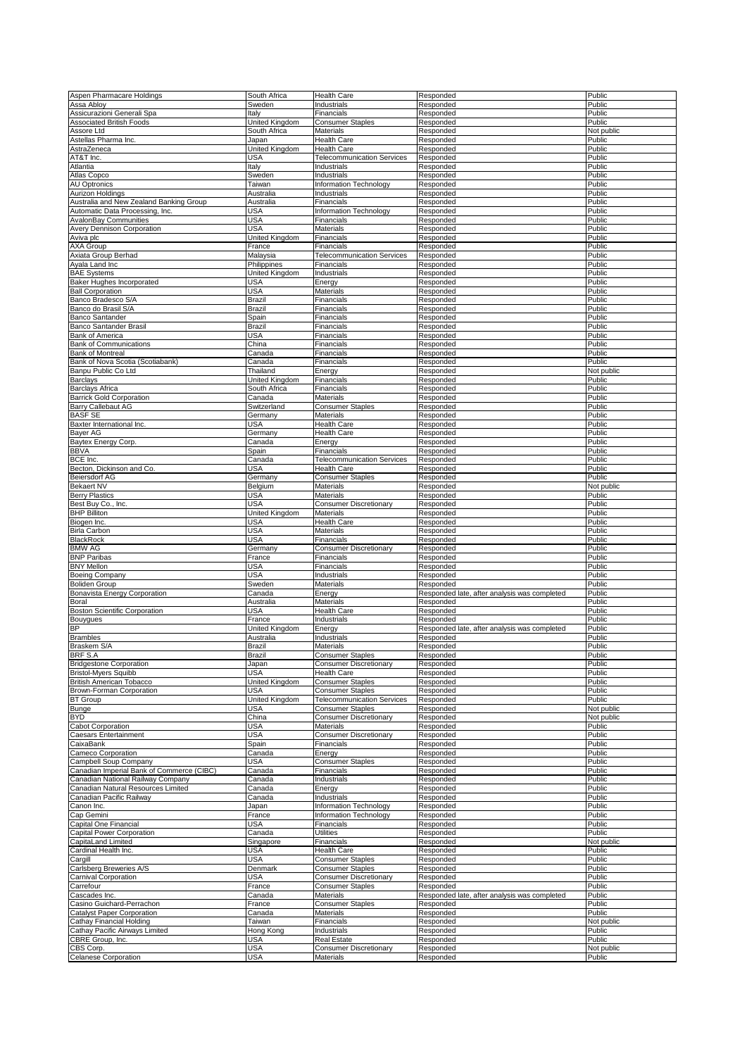| Aspen Pharmacare Holdings                 | South Africa   | <b>Health Care</b>                | Responded                                    | Public           |
|-------------------------------------------|----------------|-----------------------------------|----------------------------------------------|------------------|
| Assa Abloy                                | Sweden         | Industrials                       | Responded                                    | Public           |
|                                           |                | Financials                        |                                              |                  |
| Assicurazioni Generali Spa                | Italy          |                                   | Responded                                    | Public           |
| <b>Associated British Foods</b>           | United Kingdom | <b>Consumer Staples</b>           | Responded                                    | Public           |
| Assore Ltd                                | South Africa   | <b>Materials</b>                  | Responded                                    | Not public       |
| Astellas Pharma Inc.                      | Japan          | <b>Health Care</b>                | Responded                                    | Public           |
| AstraZeneca                               | United Kingdom | <b>Health Care</b>                | Responded                                    | Public           |
| AT&T Inc.                                 | USA            | <b>Telecommunication Services</b> | Responded                                    | Public           |
| Atlantia                                  | Italy          | Industrials                       | Responded                                    | Public           |
|                                           |                |                                   |                                              |                  |
| Atlas Copco                               | Sweden         | Industrials                       | Responded                                    | Public           |
| <b>AU Optronics</b>                       | Taiwan         | Information Technology            | Responded                                    | Public           |
| Aurizon Holdings                          | Australia      | Industrials                       | Responded                                    | Public           |
| Australia and New Zealand Banking Group   | Australia      | Financials                        | Responded                                    | Public           |
| Automatic Data Processing, Inc.           | <b>USA</b>     | Information Technology            | Responded                                    | Public           |
| <b>AvalonBay Communities</b>              | <b>USA</b>     | Financials                        | Responded                                    | Public           |
|                                           |                |                                   |                                              |                  |
| Avery Dennison Corporation                | USA            | <b>Materials</b>                  | Responded                                    | Public           |
| Aviva plc                                 | United Kingdom | Financials                        | Responded                                    | Public           |
| AXA Group                                 | France         | Financials                        | Responded                                    | Public           |
| Axiata Group Berhad                       | Malaysia       | <b>Telecommunication Services</b> | Responded                                    | Public           |
| Ayala Land Inc                            | Philippines    | Financials                        | Responded                                    | Public           |
| <b>BAE Systems</b>                        | United Kingdom | Industrials                       | Responded                                    | Public           |
|                                           |                |                                   |                                              |                  |
| Baker Hughes Incorporated                 | USA            | Energy                            | Responded                                    | Public           |
| <b>Ball Corporation</b>                   | USA            | <b>Materials</b>                  | Responded                                    | Public           |
| Banco Bradesco S/A                        | Brazil         | Financials                        | Responded                                    | Public           |
| Banco do Brasil S/A                       | Brazil         | Financials                        | Responded                                    | Public           |
| <b>Banco Santander</b>                    | Spain          | Financials                        | Responded                                    | Public           |
|                                           |                |                                   |                                              |                  |
| Banco Santander Brasil                    | Brazil         | Financials                        | Responded                                    | Public           |
| <b>Bank of America</b>                    | USA            | Financials                        | Responded                                    | Public           |
| <b>Bank of Communications</b>             | China          | Financials                        | Responded                                    | Public           |
| <b>Bank of Montreal</b>                   | Canada         | Financials                        | Responded                                    | Public           |
| Bank of Nova Scotia (Scotiabank)          | Canada         | Financials                        | Responded                                    | Public           |
| Banpu Public Co Ltd                       | Thailand       | Energy                            | Responded                                    | Not public       |
|                                           |                |                                   | Responded                                    | Public           |
| <b>Barclays</b>                           | United Kingdom | Financials                        |                                              |                  |
| <b>Barclays Africa</b>                    | South Africa   | Financials                        | Responded                                    | Public           |
| <b>Barrick Gold Corporation</b>           | Canada         | <b>Materials</b>                  | Responded                                    | Public           |
| Barry Callebaut AG                        | Switzerland    | Consumer Staples                  | Responded                                    | Public           |
| <b>BASF SE</b>                            | Germany        | Materials                         | Responded                                    | Public           |
| Baxter International Inc.                 | USA            | <b>Health Care</b>                | Responded                                    | Public           |
|                                           |                |                                   |                                              |                  |
| Bayer AG                                  | Germany        | <b>Health Care</b>                | Responded                                    | Public           |
| Baytex Energy Corp.                       | Canada         | Energy                            | Responded                                    | Public           |
| <b>BBVA</b>                               | Spain          | Financials                        | Responded                                    | Public           |
| BCE Inc.                                  | Canada         | <b>Telecommunication Services</b> | Responded                                    | Public           |
| Becton, Dickinson and Co.                 | USA            | <b>Health Care</b>                | Responded                                    | Public           |
|                                           |                |                                   |                                              |                  |
| Beiersdorf AG                             | Germany        | <b>Consumer Staples</b>           | Responded                                    | Public           |
| <b>Bekaert NV</b>                         | Belgium        | <b>Materials</b>                  | Responded                                    | Not public       |
| <b>Berry Plastics</b>                     | USA            | <b>Materials</b>                  | Responded                                    | Public           |
| Best Buy Co., Inc.                        | USA            | <b>Consumer Discretionary</b>     | Responded                                    | Public           |
| <b>BHP Billiton</b>                       | United Kingdom | <b>Materials</b>                  | Responded                                    | Public           |
|                                           |                |                                   |                                              | Public           |
| Biogen Inc.                               | <b>USA</b>     | <b>Health Care</b>                |                                              |                  |
|                                           |                |                                   | Responded                                    |                  |
| <b>Birla Carbon</b>                       | <b>USA</b>     | <b>Materials</b>                  | Responded                                    | Public           |
| <b>BlackRock</b>                          | <b>USA</b>     | Financials                        | Responded                                    |                  |
|                                           |                |                                   |                                              | Public           |
| <b>BMW AG</b>                             | Germany        | Consumer Discretionary            | Responded                                    | Public           |
| <b>BNP Paribas</b>                        | France         | Financials                        | Responded                                    | Public           |
| <b>BNY Mellon</b>                         | USA            | Financials                        | Responded                                    | Public           |
| <b>Boeing Company</b>                     | USA            | Industrials                       | Responded                                    | Public           |
| <b>Boliden Group</b>                      | Sweden         | Materials                         | Responded                                    | Public           |
| Bonavista Energy Corporation              | Canada         | Energy                            | Responded late, after analysis was completed | Public           |
| Boral                                     | Australia      | Materials                         | Responded                                    | Public           |
|                                           |                |                                   |                                              |                  |
| <b>Boston Scientific Corporation</b>      | USA            | Health Care                       | Responded                                    | Public           |
| Bouygues                                  | France         | Industrials                       | Responded                                    | Public           |
| <b>BP</b>                                 | United Kingdom | Energy                            | Responded late, after analysis was completed | Public           |
| <b>Brambles</b>                           | Australia      | Industrials                       | Responded                                    | Public           |
| Braskem S/A                               | Brazil         | <b>Materials</b>                  | Responded                                    | Public           |
| BRF S.A                                   | Brazil         | Consumer Staples                  | Responded                                    | Public           |
|                                           |                |                                   |                                              |                  |
| <b>Bridgestone Corporation</b>            | Japan          | <b>Consumer Discretionary</b>     | Responded                                    | Public           |
| <b>Bristol-Myers Squibb</b>               | USA            | <b>Health Care</b>                | Responded                                    | Public           |
| <b>British American Tobacco</b>           | United Kingdom | <b>Consumer Staples</b>           | Responded                                    | Public           |
| Brown-Forman Corporation                  | USA            | <b>Consumer Staples</b>           | Responded                                    | Public           |
| <b>BT</b> Group                           | United Kingdom | <b>Telecommunication Services</b> | Responded                                    | Public           |
| <b>Bunge</b>                              | USA            | <b>Consumer Staples</b>           | Responded                                    | Not public       |
| <b>BYD</b>                                | China          | <b>Consumer Discretionary</b>     | Responded                                    | Not public       |
|                                           |                |                                   |                                              |                  |
| <b>Cabot Corporation</b>                  | USA            | Materials                         | Responded                                    | Public           |
| <b>Caesars Entertainment</b>              | USA            | <b>Consumer Discretionary</b>     | Responded                                    | Public           |
| CaixaBank                                 | Spain          | Financials                        | Responded                                    | Public           |
| Cameco Corporation                        | Canada         | Energy                            | Responded                                    | Public           |
| Campbell Soup Company                     | <b>USA</b>     | <b>Consumer Staples</b>           | Responded                                    | Public           |
|                                           |                | Financials                        |                                              |                  |
| Canadian Imperial Bank of Commerce (CIBC) | Canada         |                                   | Responded<br>Responded                       | Public<br>Public |
| Canadian National Railway Company         | Canada         | Industrials                       |                                              |                  |
| Canadian Natural Resources Limited        | Canada         | Energy                            | Responded                                    | Public           |
| Canadian Pacific Railway                  | Canada         | Industrials                       | Responded                                    | Public           |
| Canon Inc.                                | Japan          | Information Technology            | Responded                                    | Public           |
| Cap Gemini                                | France         | Information Technology            | Responded                                    | Public           |
| Capital One Financial                     | USA            | Financials                        | Responded                                    | Public           |
|                                           |                | <b>Utilities</b>                  |                                              | Public           |
| Capital Power Corporation                 | Canada         |                                   | Responded                                    |                  |
| CapitaLand Limited                        | Singapore      | Financials                        | Responded                                    | Not public       |
| Cardinal Health Inc.                      | USA            | <b>Health Care</b>                | Responded                                    | Public           |
| Cargill                                   | <b>USA</b>     | <b>Consumer Staples</b>           | Responded                                    | Public           |
| Carlsberg Breweries A/S                   | Denmark        | <b>Consumer Staples</b>           | Responded                                    | Public           |
| Carnival Corporation                      | USA            | <b>Consumer Discretionary</b>     | Responded                                    | Public           |
| Carrefour                                 | France         | <b>Consumer Staples</b>           | Responded                                    | Public           |
|                                           |                |                                   |                                              |                  |
| Cascades Inc.                             | Canada         | Materials                         | Responded late, after analysis was completed | Public           |
| Casino Guichard-Perrachon                 | France         | <b>Consumer Staples</b>           | Responded                                    | Public           |
| <b>Catalyst Paper Corporation</b>         | Canada         | Materials                         | Responded                                    | Public           |
| Cathay Financial Holding                  | Taiwan         | Financials                        | Responded                                    | Not public       |
| Cathay Pacific Airways Limited            | Hong Kong      | Industrials                       | Responded                                    | Public           |
| CBRE Group, Inc.                          | USA            | Real Estate                       | Responded                                    | Public           |
| CBS Corp.                                 | USA            | <b>Consumer Discretionary</b>     | Responded                                    | Not public       |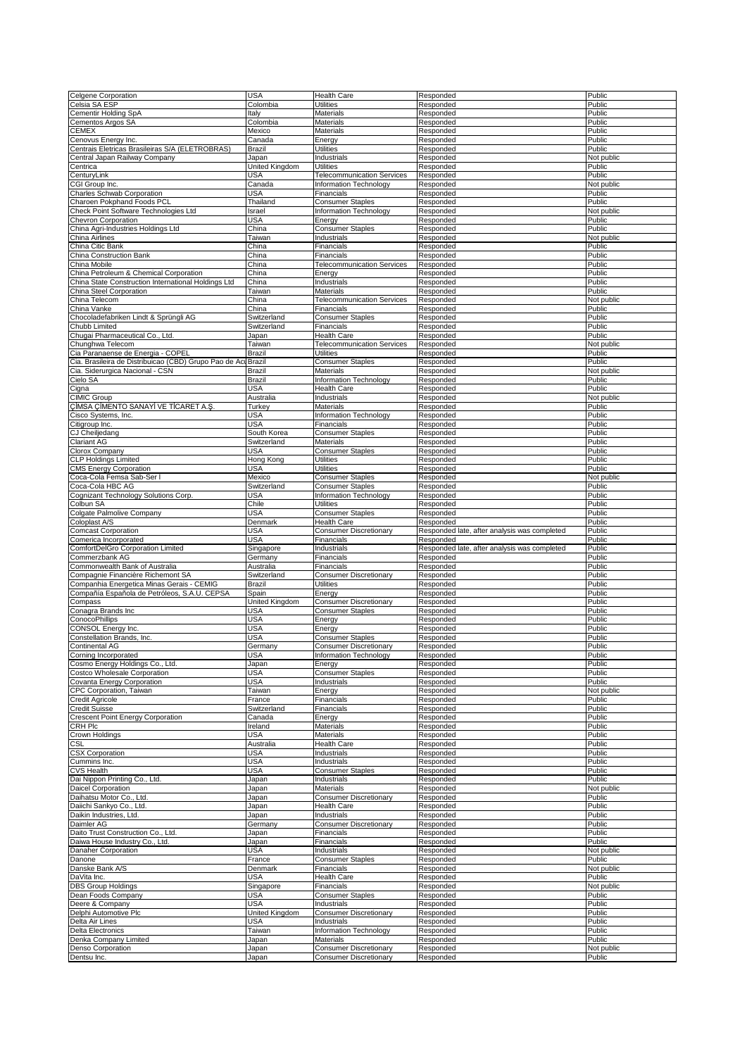| Celgene Corporation                                   | <b>USA</b>     | <b>Health Care</b>                                             | Responded                                    | Public               |
|-------------------------------------------------------|----------------|----------------------------------------------------------------|----------------------------------------------|----------------------|
| Celsia SA ESP                                         | Colombia       | <b>Utilities</b>                                               | Responded                                    | Public               |
| Cementir Holding SpA                                  | Italy          | Materials                                                      | Responded                                    | Public               |
| Cementos Argos SA                                     | Colombia       | Materials                                                      | Responded                                    | Public               |
| <b>CEMEX</b>                                          | Mexico         | Materials                                                      | Responded                                    | Public               |
| Cenovus Energy Inc.                                   | Canada         | Energy                                                         | Responded                                    | Public               |
| Centrais Eletricas Brasileiras S/A (ELETROBRAS)       | Brazil         | <b>Utilities</b>                                               | Responded                                    | Public               |
|                                                       |                |                                                                |                                              |                      |
| Central Japan Railway Company                         | Japan          | Industrials                                                    | Responded                                    | Not public           |
| Centrica                                              | United Kingdom | <b>Utilities</b>                                               | Responded                                    | Public               |
| CenturyLink                                           | USA            | <b>Telecommunication Services</b>                              | Responded                                    | Public               |
| CGI Group Inc.                                        | Canada         | Information Technology                                         | Responded                                    | Not public           |
| Charles Schwab Corporation                            | USA            | Financials                                                     | Responded                                    | Public               |
| Charoen Pokphand Foods PCL                            | Thailand       | <b>Consumer Staples</b>                                        | Responded                                    | Public               |
|                                                       |                |                                                                |                                              |                      |
| Check Point Software Technologies Ltd                 | Israel         | Information Technology                                         | Responded                                    | Not public           |
| Chevron Corporation                                   | USA            | Energy                                                         | Responded                                    | Public               |
| China Agri-Industries Holdings Ltd                    | China          | <b>Consumer Staples</b>                                        | Responded                                    | Public               |
| China Airlines                                        | Taiwan         | Industrials                                                    | Responded                                    | Not public           |
| China Citic Bank                                      | China          | Financials                                                     | Responded                                    | Public               |
| China Construction Bank                               | China          | Financials                                                     | Responded                                    | Public               |
|                                                       |                |                                                                |                                              |                      |
| China Mobile                                          | China          | <b>Telecommunication Services</b>                              | Responded                                    | Public               |
| China Petroleum & Chemical Corporation                | China          | Energy                                                         | Responded                                    | Public               |
| China State Construction International Holdings Ltd   | China          | Industrials                                                    | Responded                                    | Public               |
| China Steel Corporation                               | Taiwan         | Materials                                                      | Responded                                    | Public               |
| China Telecom                                         | China          | <b>Telecommunication Services</b>                              | Responded                                    | Not public           |
| China Vanke                                           | China          | Financials                                                     | Responded                                    | Public               |
|                                                       |                |                                                                |                                              |                      |
| Chocoladefabriken Lindt & Sprüngli AG                 | Switzerland    | <b>Consumer Staples</b>                                        | Responded                                    | Public               |
| Chubb Limited                                         | Switzerland    | Financials                                                     | Responded                                    | Public               |
| Chugai Pharmaceutical Co., Ltd.                       | Japan          | <b>Health Care</b>                                             | Responded                                    | Public               |
| Chunghwa Telecom                                      | Taiwan         | <b>Telecommunication Services</b>                              | Responded                                    | Not public           |
| Cia Paranaense de Energia - COPEL                     | Brazil         | <b>Utilities</b>                                               | Responded                                    | Public               |
| Cia. Brasileira de Distribuicao (CBD) Grupo Pao de Ac | Brazil         | <b>Consumer Staples</b>                                        | Responded                                    | Public               |
|                                                       | Brazil         | <b>Materials</b>                                               |                                              |                      |
| Cia. Siderurgica Nacional - CSN                       |                |                                                                | Responded                                    | Not public           |
| Cielo SA                                              | Brazil         | Information Technology                                         | Responded                                    | Public               |
| Cigna                                                 | <b>USA</b>     | <b>Health Care</b>                                             | Responded                                    | Public               |
| <b>CIMIC Group</b>                                    | Australia      | Industrials                                                    | Responded                                    | Not public           |
| CİMSA CİMENTO SANAYİ VE TİCARET A.Ş.                  | Turkey         | Materials                                                      | Responded                                    | Public               |
| Cisco Systems, Inc.                                   | USA            | Information Technology                                         | Responded                                    | Public               |
| Citigroup Inc.                                        | USA            | Financials                                                     | Responded                                    | Public               |
|                                                       |                |                                                                |                                              |                      |
| CJ Cheiljedang                                        | South Korea    | <b>Consumer Staples</b>                                        | Responded                                    | Public               |
| <b>Clariant AG</b>                                    | Switzerland    | <b>Materials</b>                                               | Responded                                    | Public               |
| Clorox Company                                        | USA            | <b>Consumer Staples</b>                                        | Responded                                    | Public               |
| <b>CLP Holdings Limited</b>                           | Hong Kong      | <b>Utilities</b>                                               | Responded                                    | Public               |
| <b>CMS Energy Corporation</b>                         | <b>USA</b>     | <b>Utilities</b>                                               | Responded                                    | Public               |
| Coca-Cola Femsa Sab-Ser I                             | Mexico         | <b>Consumer Staples</b>                                        | Responded                                    | Not public           |
|                                                       |                |                                                                |                                              |                      |
| Coca-Cola HBC AG                                      | Switzerland    | <b>Consumer Staples</b>                                        | Responded                                    | Public               |
| Cognizant Technology Solutions Corp.                  | USA            | Information Technology                                         | Responded                                    | Public               |
| Colbun SA                                             | Chile          | <b>Utilities</b>                                               | Responded                                    | Public               |
| Colgate Palmolive Company                             | USA            | <b>Consumer Staples</b>                                        | Responded                                    | Public               |
| Coloplast A/S                                         | Denmark        | <b>Health Care</b>                                             | Responded                                    | Public               |
|                                                       |                |                                                                |                                              |                      |
|                                                       |                |                                                                |                                              |                      |
| <b>Comcast Corporation</b>                            | USA            | <b>Consumer Discretionary</b>                                  | Responded late, after analysis was completed | Public               |
| Comerica Incorporated                                 | USA            | Financials                                                     | Responded                                    | Public               |
| ComfortDelGro Corporation Limited                     | Singapore      | Industrials                                                    | Responded late, after analysis was completed | Public               |
| Commerzbank AG                                        | Germany        | Financials                                                     | Responded                                    | Public               |
| Commonwealth Bank of Australia                        | Australia      | Financials                                                     | Responded                                    | Public               |
| Compagnie Financière Richemont SA                     | Switzerland    | <b>Consumer Discretionary</b>                                  | Responded                                    | Public               |
|                                                       | Brazil         | <b>Utilities</b>                                               |                                              | Public               |
| Companhia Energetica Minas Gerais - CEMIG             |                |                                                                | Responded                                    |                      |
| Compañía Española de Petróleos, S.A.U. CEPSA          | Spain          | Energy                                                         | Responded                                    | Public               |
| Compass                                               | United Kingdom | <b>Consumer Discretionary</b>                                  | Responded                                    | Public               |
| Conagra Brands Inc                                    | USA            | <b>Consumer Staples</b>                                        | Responded                                    | Public               |
| ConocoPhillips                                        | <b>USA</b>     | Energy                                                         | Responded                                    | Public               |
| CONSOL Energy Inc.                                    | USA            | Energy                                                         | Responded                                    | Public               |
| Constellation Brands, Inc.                            | USA            | <b>Consumer Staples</b>                                        | Responded                                    | Public               |
|                                                       |                |                                                                |                                              |                      |
| Continental AG                                        | Germany        | <b>Consumer Discretionary</b>                                  | Responded                                    | Public               |
| Corning Incorporated                                  | USA            | Information Technology                                         | Responded                                    | Public               |
| Cosmo Energy Holdings Co., Ltd.                       | Japan          | Energy                                                         | Responded                                    | Public               |
| Costco Wholesale Corporation                          | <b>USA</b>     | <b>Consumer Staples</b>                                        | Responded                                    | Public               |
| Covanta Energy Corporation                            | <b>USA</b>     | Industrials                                                    | Responded                                    | Public               |
| CPC Corporation, Taiwan                               | Taiwan         | Energy                                                         | Responded                                    | Not public           |
| Credit Agricole                                       | France         | Financials                                                     | Responded                                    | Public               |
| <b>Credit Suisse</b>                                  | Switzerland    | Financials                                                     | Responded                                    | Public               |
|                                                       |                |                                                                | Responded                                    | Public               |
| <b>Crescent Point Energy Corporation</b>              | Canada         | Energy                                                         |                                              |                      |
| <b>CRH Plc</b>                                        | Ireland        | Materials                                                      | Responded                                    | Public               |
| Crown Holdings                                        | USA            | Materials                                                      | Responded                                    | Public               |
| <b>CSL</b>                                            | Australia      | <b>Health Care</b>                                             | Responded                                    | Public               |
| <b>CSX Corporation</b>                                | USA            | Industrials                                                    | Responded                                    | Public               |
| Cummins Inc.                                          | USA            | Industrials                                                    | Responded                                    | Public               |
| <b>CVS Health</b>                                     | <b>USA</b>     | <b>Consumer Staples</b>                                        | Responded                                    | Public               |
|                                                       |                | Industrials                                                    | Responded                                    | Public               |
| Dai Nippon Printing Co., Ltd.                         | Japan          |                                                                |                                              |                      |
| Daicel Corporation                                    | Japan          | Materials                                                      | Responded                                    | Not public           |
| Daihatsu Motor Co., Ltd.                              | Japan          | <b>Consumer Discretionary</b>                                  | Responded                                    | Public               |
| Daiichi Sankyo Co., Ltd.                              | Japan          | <b>Health Care</b>                                             | Responded                                    | Public               |
| Daikin Industries, Ltd.                               | Japan          | Industrials                                                    | Responded                                    | Public               |
| Daimler AG                                            | Germany        | <b>Consumer Discretionary</b>                                  | Responded                                    | Public               |
| Daito Trust Construction Co., Ltd.                    | Japan          | Financials                                                     | Responded                                    | Public               |
| Daiwa House Industry Co., Ltd.                        |                | Financials                                                     | Responded                                    | Public               |
|                                                       | Japan          |                                                                |                                              |                      |
| Danaher Corporation                                   | USA            | Industrials                                                    | Responded                                    | Not public           |
| Danone                                                | France         | <b>Consumer Staples</b>                                        | Responded                                    | Public               |
| Danske Bank A/S                                       | Denmark        | Financials                                                     | Responded                                    | Not public           |
| DaVita Inc.                                           | USA            | <b>Health Care</b>                                             | Responded                                    | Public               |
| <b>DBS</b> Group Holdings                             | Singapore      | Financials                                                     | Responded                                    | Not public           |
| Dean Foods Company                                    | USA            | <b>Consumer Staples</b>                                        | Responded                                    | Public               |
|                                                       |                |                                                                |                                              |                      |
| Deere & Company                                       | USA            | Industrials                                                    | Responded                                    | Public               |
| Delphi Automotive Plc                                 | United Kingdom | <b>Consumer Discretionary</b>                                  | Responded                                    | Public               |
| Delta Air Lines                                       | USA            | Industrials                                                    | Responded                                    | Public               |
| <b>Delta Electronics</b>                              | Taiwan         | Information Technology                                         | Responded                                    | Public               |
| Denka Company Limited                                 | Japan          | Materials                                                      | Responded                                    | Public               |
| Denso Corporation<br>Dentsu Inc.                      | Japan<br>Japan | <b>Consumer Discretionary</b><br><b>Consumer Discretionary</b> | Responded<br>Responded                       | Not public<br>Public |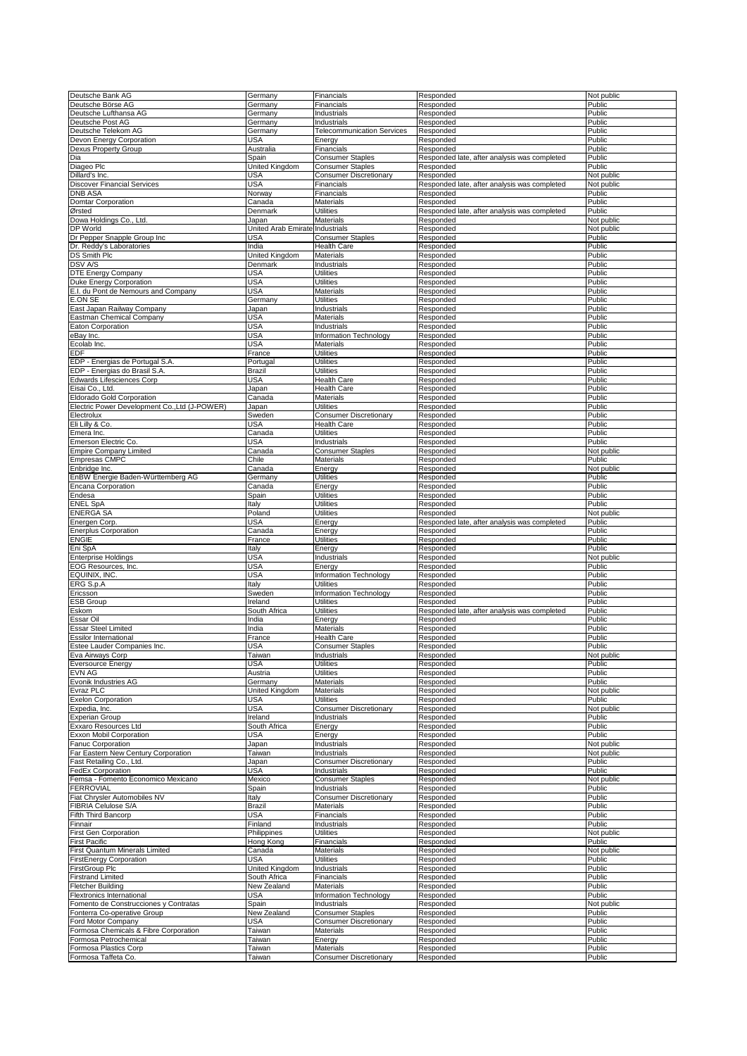| Deutsche Bank AG                              | Germany             | Financials                        | Responded                                    | Not public       |
|-----------------------------------------------|---------------------|-----------------------------------|----------------------------------------------|------------------|
| Deutsche Börse AG                             | Germany             | Financials                        | Responded                                    | Public           |
| Deutsche Lufthansa AG                         | Germany             | Industrials                       | Responded                                    | Public           |
| Deutsche Post AG                              | Germany             | Industrials                       | Responded                                    | Public           |
| Deutsche Telekom AG                           | Germany             | <b>Telecommunication Services</b> | Responded                                    | Public           |
| Devon Energy Corporation                      | USA                 | Energy                            | Responded                                    | Public           |
| Dexus Property Group                          | Australia           | Financials                        | Responded                                    | Public           |
| Dia                                           | Spain               | <b>Consumer Staples</b>           | Responded late, after analysis was completed | Public           |
| Diageo Plc                                    | United Kingdom      | <b>Consumer Staples</b>           | Responded                                    | Public           |
| Dillard's Inc.                                | USA                 | <b>Consumer Discretionary</b>     | Responded                                    | Not public       |
| <b>Discover Financial Services</b>            | USA                 | Financials                        | Responded late, after analysis was completed | Not public       |
| DNB ASA                                       | Norway              | Financials                        | Responded                                    |                  |
|                                               |                     |                                   |                                              | Public           |
| Domtar Corporation                            | Canada              | Materials                         | Responded                                    | Public           |
| Ørsted                                        | Denmark             | Utilities                         | Responded late, after analysis was completed | Public           |
| Dowa Holdings Co., Ltd.                       | Japan               | Materials                         | Responded                                    | Not public       |
| DP World                                      | United Arab Emirate | Industrials                       | Responded                                    | Not public       |
| Dr Pepper Snapple Group Inc                   | USA                 | Consumer Staples                  | Responded                                    | Public           |
| Dr. Reddy's Laboratories                      | India               | Health Care                       | Responded                                    | Public           |
| <b>DS Smith Plc</b>                           | United Kingdom      | Materials                         | Responded                                    | Public           |
| <b>DSV A/S</b>                                | Denmark             | Industrials                       | Responded                                    | Public           |
| DTE Energy Company                            | USA                 | Utilities                         | Responded                                    | Public           |
|                                               |                     |                                   |                                              |                  |
| Duke Energy Corporation                       | <b>USA</b>          | <b>Utilities</b>                  | Responded                                    | Public           |
| E.I. du Pont de Nemours and Company           | <b>USA</b>          | Materials                         | Responded                                    | Public           |
| E.ON SE                                       | Germany             | Utilities                         | Responded                                    | Public           |
| East Japan Railway Company                    | Japan               | Industrials                       | Responded                                    | Public           |
| Eastman Chemical Company                      | USA                 | Materials                         | Responded                                    | Public           |
| Eaton Corporation                             | <b>USA</b>          | Industrials                       | Responded                                    | Public           |
| eBav Inc.                                     | USA                 | <b>Information Technology</b>     | Responded                                    | Public           |
| Ecolab Inc.                                   | USA                 | Materials                         | Responded                                    | Public           |
| EDF                                           | France              | Utilities                         | Responded                                    | Public           |
|                                               |                     | Utilities                         |                                              | Public           |
| EDP - Energias de Portugal S.A.               | Portuga             |                                   | Responded                                    |                  |
| EDP - Energias do Brasil S.A.                 | Brazil              | Utilities                         | Responded                                    | Public           |
| Edwards Lifesciences Corp                     | <b>USA</b>          | Health Care                       | Responded                                    | Public           |
| Eisai Co., Ltd.                               | Japan               | Health Care                       | Responded                                    | Public           |
| Eldorado Gold Corporation                     | Canada              | Materials                         | Responded                                    | Public           |
| Electric Power Development Co., Ltd (J-POWER) | Japan               | Utilities                         | Responded                                    | Public           |
| Electrolux                                    | Sweden              | <b>Consumer Discretionary</b>     | Responded                                    | Public           |
| Eli Lilly & Co.                               | USA                 | <b>Health Care</b>                | Responded                                    | Public           |
| Emera Inc.                                    | Canada              | Utilities                         | Responded                                    | Public           |
| Emerson Electric Co.                          | <b>USA</b>          | Industrials                       | Responded                                    | Public           |
| <b>Empire Company Limited</b>                 | Canada              | <b>Consumer Staples</b>           | Responded                                    | Not public       |
|                                               |                     |                                   |                                              |                  |
| <b>Empresas CMPC</b>                          | Chile               | Materials                         | Responded                                    | Public           |
| Enbridge Inc                                  | Canada              | Energy                            | Responded                                    | Not public       |
| EnBW Energie Baden-Württemberg AG             | Germany             | Utilities                         | Responded                                    | Public           |
| Encana Corporation                            | Canada              | Energy                            | Responded                                    | Public           |
| Endesa                                        | Spain               | Utilities                         | Responded                                    | Public           |
| <b>ENEL SpA</b>                               | Italy               | Utilities                         | Responded                                    | Public           |
| ENERGA SA                                     | Poland              | Utilities                         | Responded                                    | Not public       |
| Energen Corp.                                 | <b>USA</b>          | Energy                            | Responded late, after analysis was completed | Public           |
| <b>Enerplus Corporation</b>                   | Canada              | Energy                            | Responded                                    | Public           |
| ENGIE                                         | France              | Utilities                         |                                              | Public           |
|                                               |                     |                                   |                                              |                  |
|                                               |                     |                                   | Responded                                    |                  |
| Eni SpA                                       | Italy               | Energy                            | Responded                                    | Public           |
| Enterprise Holdings                           | USA                 | Industrials                       | Responded                                    | Not public       |
| EOG Resources, Inc.                           | USA                 | Energy                            | Responded                                    | Public           |
| EQUINIX, INC.                                 | USA                 | Information Technology            | Responded                                    | Public           |
| ERG S.p.A                                     | Italy               | Utilities                         | Responded                                    | Public           |
| Ericsson                                      | Sweden              | <b>Information Technology</b>     | Responded                                    | Public           |
| <b>ESB Group</b>                              | Ireland             | Utilities                         | Responded                                    | Public           |
|                                               |                     |                                   |                                              |                  |
| Eskom                                         | South Africa        | Utilities                         | Responded late, after analysis was completed | Public           |
| Essar Oil                                     | India               | Energy                            | Responded                                    | Public           |
| Essar Steel Limited                           | India               | Materials                         | Responded                                    | Public           |
| <b>Essilor International</b>                  | France              | <b>Health Care</b>                | Responded                                    | Public           |
| Estee Lauder Companies Inc.                   | <b>USA</b>          | <b>Consumer Staples</b>           | Responded                                    | Public           |
| Eva Airways Corp                              | Taiwan              | Industrials                       | Responded                                    | Not public       |
| <b>Eversource Energy</b>                      | <b>USA</b>          | <b>Utilities</b>                  | Responded                                    | Public           |
| <b>EVN AG</b>                                 | Austria             | <b>Utilities</b>                  | Responded                                    | Public           |
| Evonik Industries AG                          | Germany             | <b>Materials</b>                  | Responded                                    | Public           |
| Evraz PLC                                     | United Kingdom      | Materials                         | Responded                                    | Not public       |
| <b>Exelon Corporation</b>                     | USA                 | Utilities                         | Responded                                    | Public           |
| Expedia, Inc.                                 | <b>USA</b>          | <b>Consumer Discretionary</b>     | Responded                                    | Not public       |
| <b>Experian Group</b>                         | Ireland             | Industrials                       | Responded                                    | Public           |
| Exxaro Resources Ltd                          | South Africa        | Energy                            | Responded                                    | Public           |
| Exxon Mobil Corporation                       | <b>USA</b>          | Energy                            | Responded                                    | Public           |
|                                               |                     | Industrials                       |                                              |                  |
| Fanuc Corporation                             | Japan               |                                   | Responded                                    | Not public       |
| Far Eastern New Century Corporation           | Taiwan              | Industrials                       | Responded                                    | Not public       |
| Fast Retailing Co., Ltd.                      | Japan               | <b>Consumer Discretionary</b>     | Responded                                    | Public           |
| FedEx Corporation                             | <b>USA</b>          | Industrials                       | Responded                                    | Public           |
| Femsa - Fomento Economico Mexicano            | Mexico              | <b>Consumer Staples</b>           | Responded                                    | Not public       |
| <b>FERROVIAL</b>                              | Spain               | Industrials                       | Responded                                    | Public           |
| Fiat Chrysler Automobiles NV                  | Italy               | <b>Consumer Discretionary</b>     | Responded                                    | Public           |
| FIBRIA Celulose S/A                           | Brazil              | Materials                         | Responded                                    | Public           |
| Fifth Third Bancorp                           | USA                 | Financials                        | Responded                                    | Public           |
| Finnair                                       | Finland             | Industrials                       | Responded                                    | Public           |
| <b>First Gen Corporation</b>                  | Philippines         | <b>Utilities</b>                  | Responded                                    | Not public       |
| First Pacific                                 | Hong Kong           | Financials                        | Responded                                    | Public           |
|                                               |                     |                                   |                                              |                  |
| First Quantum Minerals Limited                | Canada              | Materials                         | Responded                                    | Not public       |
| <b>FirstEnergy Corporation</b>                | <b>USA</b>          | <b>Utilities</b>                  | Responded                                    | Public           |
| FirstGroup Plc                                | United Kingdom      | Industrials                       | Responded                                    | Public           |
| Firstrand Limited                             | South Africa        | Financials                        | Responded                                    | Public           |
| Fletcher Building                             | New Zealand         | Materials                         | Responded                                    | Public           |
| Flextronics International                     | USA                 | Information Technology            | Responded                                    | Public           |
| Fomento de Construcciones y Contratas         | Spain               | Industrials                       | Responded                                    | Not public       |
| Fonterra Co-operative Group                   | New Zealand         | <b>Consumer Staples</b>           | Responded                                    | Public           |
| Ford Motor Company                            | USA                 | <b>Consumer Discretionary</b>     | Responded                                    | Public           |
| Formosa Chemicals & Fibre Corporation         | Taiwan              | Materials                         | Responded                                    | Public           |
| Formosa Petrochemical                         | Taiwan              | Energy                            | Responded                                    | Public           |
|                                               |                     | Materials                         |                                              |                  |
| Formosa Plastics Corp<br>Formosa Taffeta Co.  | Taiwan<br>Taiwan    | <b>Consumer Discretionary</b>     | Responded<br>Responded                       | Public<br>Public |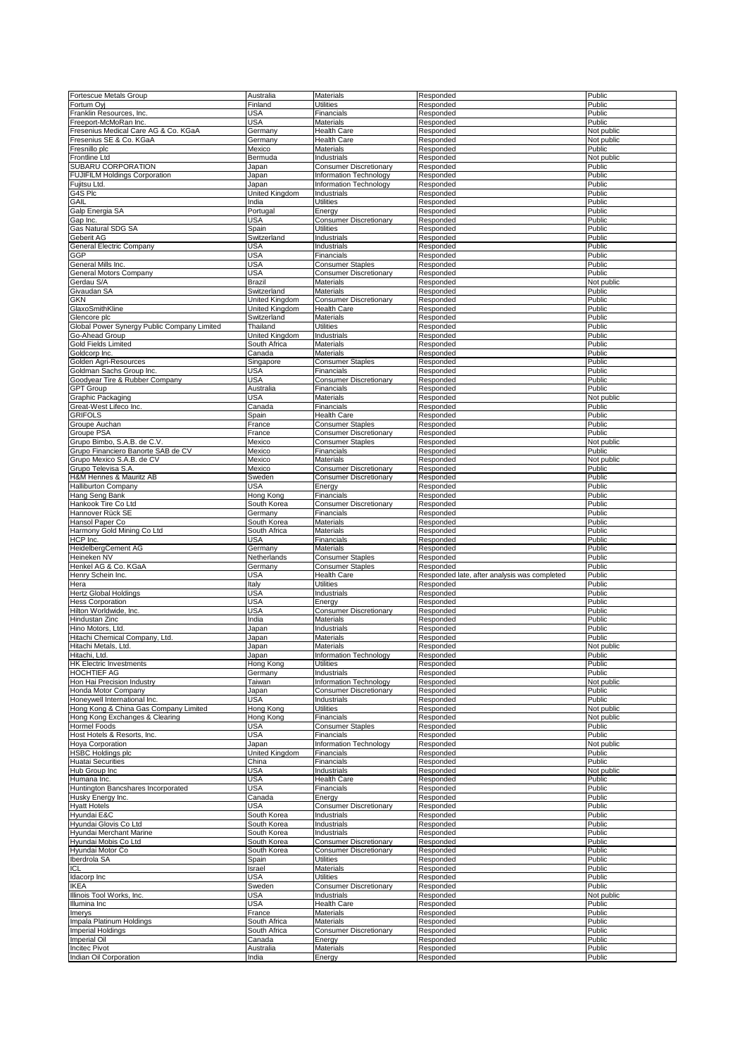| Fortescue Metals Group                      | Australia      | Materials                     | Responded                                    | Public     |
|---------------------------------------------|----------------|-------------------------------|----------------------------------------------|------------|
|                                             |                |                               |                                              |            |
| Fortum Oyj                                  | Finland        | <b>Utilities</b>              | Responded                                    | Public     |
| Franklin Resources, Inc.                    | USA            | Financials                    | Responded                                    | Public     |
| Freeport-McMoRan Inc.                       | USA            | Materials                     | Responded                                    | Public     |
| Fresenius Medical Care AG & Co. KGaA        | Germany        | <b>Health Care</b>            | Responded                                    | Not public |
|                                             |                |                               |                                              |            |
| Fresenius SE & Co. KGaA                     | Germany        | <b>Health Care</b>            | Responded                                    | Not public |
| Fresnillo plc                               | Mexico         | Materials                     | Responded                                    | Public     |
| <b>Frontline Ltd</b>                        | Bermuda        | Industrials                   | Responded                                    | Not public |
|                                             |                |                               |                                              |            |
| SUBARU CORPORATION                          | Japan          | <b>Consumer Discretionary</b> | Responded                                    | Public     |
| <b>FUJIFILM Holdings Corporation</b>        | Japan          | Information Technology        | Responded                                    | Public     |
| Fujitsu Ltd.                                | Japan          | Information Technology        | Responded                                    | Public     |
| G4S Plc                                     | United Kingdom | Industrials                   | Responded                                    | Public     |
|                                             |                |                               |                                              |            |
| GAIL                                        | India          | <b>Utilities</b>              | Responded                                    | Public     |
| Galp Energia SA                             | Portugal       | Energy                        | Responded                                    | Public     |
| Gap Inc.                                    | USA            | <b>Consumer Discretionary</b> | Responded                                    | Public     |
|                                             |                |                               |                                              |            |
| Gas Natural SDG SA                          | Spain          | <b>Utilities</b>              | Responded                                    | Public     |
| Geberit AG                                  | Switzerland    | Industrials                   | Responded                                    | Public     |
| General Electric Company                    | USA            | Industrials                   | Responded                                    | Public     |
|                                             |                |                               |                                              |            |
| GGP                                         | USA            | Financials                    | Responded                                    | Public     |
| General Mills Inc.                          | USA            | <b>Consumer Staples</b>       | Responded                                    | Public     |
| General Motors Company                      | <b>USA</b>     | <b>Consumer Discretionary</b> | Responded                                    | Public     |
| Gerdau S/A                                  | Brazil         | Materials                     | Responded                                    | Not public |
|                                             |                |                               |                                              |            |
| Givaudan SA                                 | Switzerland    | Materials                     | Responded                                    | Public     |
| <b>GKN</b>                                  | United Kingdom | <b>Consumer Discretionary</b> | Responded                                    | Public     |
| GlaxoSmithKline                             | United Kingdom | <b>Health Care</b>            | Responded                                    | Public     |
|                                             |                |                               |                                              |            |
| Glencore plc                                | Switzerland    | Materials                     | Responded                                    | Public     |
| Global Power Synergy Public Company Limited | Thailand       | <b>Utilities</b>              | Responded                                    | Public     |
| Go-Ahead Group                              | United Kingdom | Industrials                   | Responded                                    | Public     |
|                                             |                |                               |                                              |            |
| Gold Fields Limited                         | South Africa   | Materials                     | Responded                                    | Public     |
| Goldcorp Inc.                               | Canada         | Materials                     | Responded                                    | Public     |
| Golden Agri-Resources                       | Singapore      | <b>Consumer Staples</b>       | Responded                                    | Public     |
|                                             |                |                               |                                              |            |
| Goldman Sachs Group Inc.                    | USA            | Financials                    | Responded                                    | Public     |
| Goodyear Tire & Rubber Company              | <b>USA</b>     | <b>Consumer Discretionary</b> | Responded                                    | Public     |
| <b>GPT Group</b>                            | Australia      | Financials                    | Responded                                    | Public     |
| Graphic Packaging                           | USA            | <b>Materials</b>              | Responded                                    | Not public |
|                                             |                |                               |                                              |            |
| Great-West Lifeco Inc.                      | Canada         | Financials                    | Responded                                    | Public     |
| <b>GRIFOLS</b>                              | Spain          | <b>Health Care</b>            | Responded                                    | Public     |
| Groupe Auchan                               | France         | <b>Consumer Staples</b>       | Responded                                    | Public     |
|                                             |                |                               |                                              |            |
| Groupe PSA                                  | France         | <b>Consumer Discretionary</b> | Responded                                    | Public     |
| Grupo Bimbo, S.A.B. de C.V                  | Mexico         | <b>Consumer Staples</b>       | Responded                                    | Not public |
| Grupo Financiero Banorte SAB de CV          | Mexico         | Financials                    | Responded                                    | Public     |
|                                             |                |                               |                                              |            |
| Grupo Mexico S.A.B. de CV                   | Mexico         | Materials                     | Responded                                    | Not public |
| Grupo Televisa S.A.                         | Mexico         | <b>Consumer Discretionary</b> | Responded                                    | Public     |
| H&M Hennes & Mauritz AB                     | Sweden         | <b>Consumer Discretionary</b> | Responded                                    | Public     |
|                                             | USA            |                               |                                              |            |
| <b>Halliburton Company</b>                  |                | Energy                        | Responded                                    | Public     |
| Hang Seng Bank                              | Hong Kong      | Financials                    | Responded                                    | Public     |
| Hankook Tire Co Ltd                         | South Korea    | <b>Consumer Discretionary</b> | Responded                                    | Public     |
| Hannover Rück SE                            | Germany        | Financials                    | Responded                                    | Public     |
|                                             |                |                               |                                              |            |
|                                             |                |                               |                                              |            |
| Hansol Paper Co                             | South Korea    | Materials                     | Responded                                    | Public     |
|                                             |                |                               |                                              |            |
| Harmony Gold Mining Co Ltd                  | South Africa   | Materials                     | Responded                                    | Public     |
| HCP Inc.                                    | USA            | Financials                    | Responded                                    | Public     |
| HeidelbergCement AG                         | Germany        | Materials                     | Responded                                    | Public     |
| Heineken NV                                 | Netherlands    | <b>Consumer Staples</b>       | Responded                                    | Public     |
|                                             |                |                               |                                              |            |
| Henkel AG & Co. KGaA                        | Germany        | <b>Consumer Staples</b>       | Responded                                    | Public     |
| Henry Schein Inc.                           | USA            | <b>Health Care</b>            | Responded late, after analysis was completed | Public     |
| Hera                                        | Italy          | <b>Utilities</b>              | Responded                                    | Public     |
|                                             |                |                               |                                              |            |
| <b>Hertz Global Holdings</b>                | USA            | Industrials                   | Responded                                    | Public     |
| <b>Hess Corporation</b>                     | USA            | Energy                        | Responded                                    | Public     |
| Hilton Worldwide, Inc.                      | <b>USA</b>     | <b>Consumer Discretionary</b> | Responded                                    | Public     |
| Hindustan Zinc                              | India          | Materials                     | Responded                                    | Public     |
|                                             |                |                               |                                              |            |
| Hino Motors, Ltd.                           | Japan          | Industrials                   | Responded                                    | Public     |
| Hitachi Chemical Company, Ltd.              | Japan          | Materials                     | Responded                                    | Public     |
| Hitachi Metals, Ltd.                        | Japan          | <b>Materials</b>              | Responded                                    | Not public |
|                                             |                |                               |                                              |            |
| Hitachi, Ltd.                               | Japan          | Information Technology        | Responded                                    | Public     |
| <b>HK Electric Investments</b>              | Hong Kong      | <b>Utilities</b>              | Responded                                    | Public     |
| HOCHTIEF AG                                 | Germany        | Industrials                   | Responded                                    | Public     |
| Hon Hai Precision Industry                  | Taiwan         |                               | Responded                                    | Not public |
|                                             |                | Information Technology        |                                              |            |
| Honda Motor Company                         | Japan          | <b>Consumer Discretionary</b> | Responded                                    | Public     |
| Honeywell International Inc.                | <b>USA</b>     | Industrials                   | Responded                                    | Public     |
| Hong Kong & China Gas Company Limited       | Hong Kong      | <b>Utilities</b>              | Responded                                    | Not public |
|                                             |                |                               |                                              |            |
| Hong Kong Exchanges & Clearing              | Hong Kong      | Financials                    | Responded                                    | Not public |
| Hormel Foods                                | USA            | <b>Consumer Staples</b>       | Responded                                    | Public     |
| Host Hotels & Resorts, Inc.                 | <b>USA</b>     | Financials                    | Responded                                    | Public     |
|                                             |                |                               |                                              |            |
| Hoya Corporation                            | Japan          | Information Technology        | Responded                                    | Not public |
| <b>HSBC Holdings plc</b>                    | United Kingdom | Financials                    | Responded                                    | Public     |
| <b>Huatai Securities</b>                    | China          | Financials                    | Responded                                    | Public     |
| Hub Group Inc                               | USA            | Industrials                   | Responded                                    | Not public |
|                                             |                |                               |                                              |            |
| Humana Inc.                                 | <b>USA</b>     | <b>Health Care</b>            | Responded                                    | Public     |
| Huntington Bancshares Incorporated          | USA            | Financials                    | Responded                                    | Public     |
| Husky Energy Inc.                           | Canada         | Energy                        | Responded                                    | Public     |
|                                             |                |                               |                                              |            |
| <b>Hyatt Hotels</b>                         | USA            | <b>Consumer Discretionary</b> | Responded                                    | Public     |
| Hyundai E&C                                 | South Korea    | Industrials                   | Responded                                    | Public     |
| Hyundai Glovis Co Ltd                       | South Korea    | Industrials                   | Responded                                    | Public     |
|                                             |                |                               |                                              |            |
| Hyundai Merchant Marine                     | South Korea    | Industrials                   | Responded                                    | Public     |
| Hyundai Mobis Co Ltd                        | South Korea    | <b>Consumer Discretionary</b> | Responded                                    | Public     |
| Hyundai Motor Co                            | South Korea    | <b>Consumer Discretionary</b> | Responded                                    | Public     |
|                                             |                |                               |                                              |            |
| Iberdrola SA                                | Spain          | <b>Utilities</b>              | Responded                                    | Public     |
| ICL                                         | Israel         | Materials                     | Responded                                    | Public     |
| Idacorp Inc                                 | USA            | <b>Utilities</b>              | Responded                                    | Public     |
| <b>IKEA</b>                                 | Sweden         | <b>Consumer Discretionary</b> | Responded                                    | Public     |
|                                             |                |                               |                                              |            |
| Illinois Tool Works, Inc.                   | USA            | Industrials                   | Responded                                    | Not public |
| Illumina Inc                                | USA            | <b>Health Care</b>            | Responded                                    | Public     |
| Imerys                                      | France         | Materials                     | Responded                                    | Public     |
|                                             |                |                               |                                              |            |
| Impala Platinum Holdings                    | South Africa   | Materials                     | Responded                                    | Public     |
| <b>Imperial Holdings</b>                    | South Africa   | <b>Consumer Discretionary</b> | Responded                                    | Public     |
| Imperial Oil                                | Canada         | Energy                        | Responded                                    | Public     |
| <b>Incitec Pivot</b>                        | Australia      | Materials                     | Responded                                    | Public     |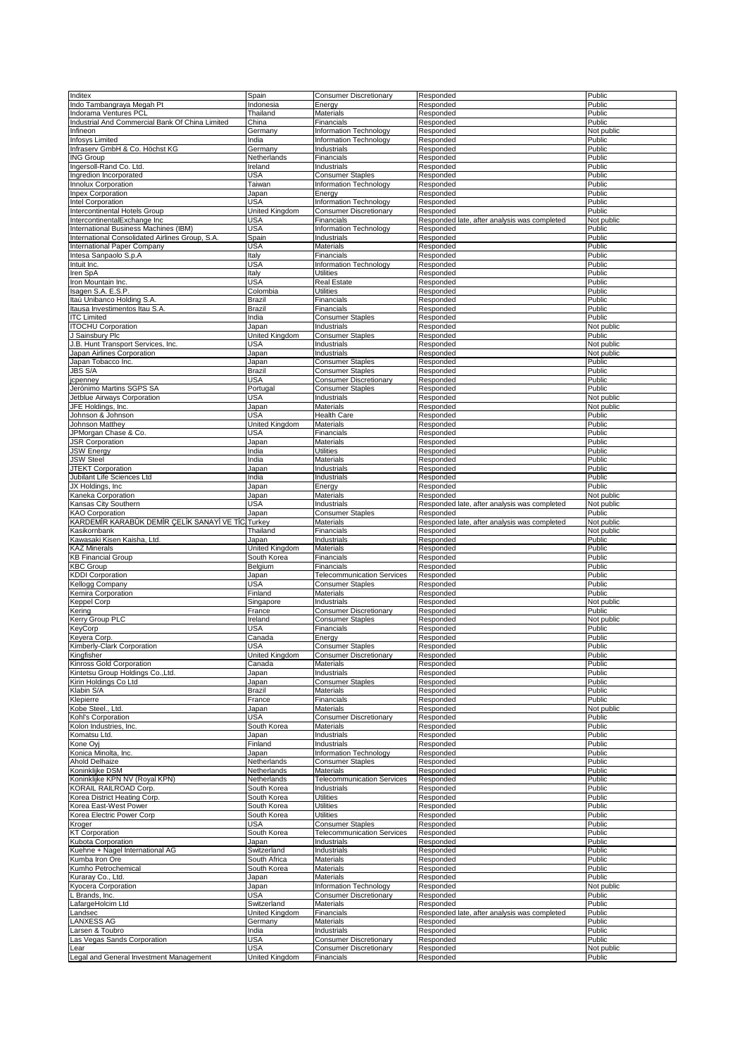| Inditex                                         | Spain          | Consumer Discretionary            | Responded                                    | Public     |
|-------------------------------------------------|----------------|-----------------------------------|----------------------------------------------|------------|
|                                                 |                |                                   |                                              |            |
| Indo Tambangraya Megah Pt                       | Indonesia      | Energy                            | Responded                                    | Public     |
| Indorama Ventures PCL                           | Thailand       | <b>Materials</b>                  | Responded                                    | Public     |
| Industrial And Commercial Bank Of China Limited | China          | Financials                        | Responded                                    | Public     |
| Infineon                                        | Germany        | Information Technology            | Responded                                    | Not public |
| Infosys Limited                                 | India          | Information Technology            | Responded                                    | Public     |
| Infraserv GmbH & Co. Höchst KG                  | Germany        | Industrials                       | Responded                                    | Public     |
| <b>ING Group</b>                                | Netherlands    | Financials                        | Responded                                    | Public     |
| Ingersoll-Rand Co. Ltd.                         | Ireland        | Industrials                       | Responded                                    | Public     |
| Ingredion Incorporated                          | <b>USA</b>     | <b>Consumer Staples</b>           | Responded                                    | Public     |
| Innolux Corporation                             | Taiwan         | Information Technology            | Responded                                    | Public     |
|                                                 |                |                                   |                                              |            |
| <b>Inpex Corporation</b>                        | Japan          | Energy                            | Responded                                    | Public     |
| Intel Corporation                               | <b>USA</b>     | Information Technology            | Responded                                    | Public     |
| Intercontinental Hotels Group                   | United Kingdom | <b>Consumer Discretionary</b>     | Responded                                    | Public     |
| IntercontinentalExchange Inc                    | USA            | Financials                        | Responded late, after analysis was completed | Not public |
| International Business Machines (IBM)           | <b>USA</b>     | Information Technology            | Responded                                    | Public     |
| International Consolidated Airlines Group, S.A. | Spain          | Industrials                       | Responded                                    | Public     |
| International Paper Company                     | USA            | Materials                         | Responded                                    | Public     |
| Intesa Sanpaolo S.p.A                           | Italy          | Financials                        | Responded                                    | Public     |
| Intuit Inc.                                     | USA            | Information Technology            | Responded                                    | Public     |
|                                                 |                |                                   |                                              |            |
| Iren SpA                                        | Italy          | <b>Utilities</b>                  | Responded                                    | Public     |
| Iron Mountain Inc.                              | USA            | Real Estate                       | Responded                                    | Public     |
| Isagen S.A. E.S.P.                              | Colombia       | Utilities                         | Responded                                    | Public     |
| Itaú Unibanco Holding S.A.                      | Brazil         | Financials                        | Responded                                    | Public     |
| Itausa Investimentos Itau S.A.                  | Brazil         | Financials                        | Responded                                    | Public     |
| <b>ITC Limited</b>                              | India          | <b>Consumer Staples</b>           | Responded                                    | Public     |
| <b>ITOCHU Corporation</b>                       | Japan          | Industrials                       | Responded                                    | Not public |
| J Sainsbury Plc                                 | United Kingdom | <b>Consumer Staples</b>           | Responded                                    | Public     |
| J.B. Hunt Transport Services, Inc.              | USA            | Industrials                       | Responded                                    | Not public |
|                                                 |                |                                   |                                              |            |
| Japan Airlines Corporation                      | Japan          | Industrials                       | Responded                                    | Not public |
| Japan Tobacco Inc                               | Japan          | <b>Consumer Staples</b>           | Responded                                    | Public     |
| <b>JBS S/A</b>                                  | <b>Brazil</b>  | <b>Consumer Staples</b>           | Responded                                    | Public     |
| jcpenney                                        | USA            | <b>Consumer Discretionary</b>     | Responded                                    | Public     |
| Jerónimo Martins SGPS SA                        | Portugal       | <b>Consumer Staples</b>           | Responded                                    | Public     |
| Jetblue Airways Corporation                     | USA            | Industrials                       | Responded                                    | Not public |
| JFE Holdings, Inc.                              |                | Materials                         | Responded                                    | Not public |
|                                                 | Japan          |                                   |                                              |            |
| Johnson & Johnson                               | USA            | <b>Health Care</b>                | Responded                                    | Public     |
| Johnson Matthey                                 | United Kingdom | Materials                         | Responded                                    | Public     |
| JPMorgan Chase & Co.                            | USA            | Financials                        | Responded                                    | Public     |
| <b>JSR Corporation</b>                          | Japan          | Materials                         | Responded                                    | Public     |
| <b>JSW Energy</b>                               | India          | <b>Utilities</b>                  | Responded                                    | Public     |
| <b>JSW Steel</b>                                | India          | Materials                         | Responded                                    | Public     |
| JTEKT Corporation                               | Japan          | Industrials                       | Responded                                    | Public     |
| Jubilant Life Sciences Ltd                      | India          | Industrials                       | Responded                                    | Public     |
|                                                 |                |                                   |                                              | Public     |
| JX Holdings, Inc.                               | Japan          | Energy                            | Responded                                    |            |
| Kaneka Corporation                              | Japan          | Materials                         | Responded                                    | Not public |
| Kansas City Southern                            | USA            | Industrials                       | Responded late, after analysis was completed | Not public |
| <b>KAO Corporation</b>                          | Japan          | <b>Consumer Staples</b>           | Responded                                    | Public     |
| KARDEMİR KARABÜK DEMİR ÇELİK SANAYİ VE TİC.     | Turkey         | Materials                         | Responded late, after analysis was completed | Not public |
|                                                 |                |                                   |                                              |            |
| Kasikornbank                                    | Thailand       | Financials                        | Responded                                    | Not public |
|                                                 |                |                                   |                                              |            |
| Kawasaki Kisen Kaisha, Ltd.                     | Japan          | Industrials                       | Responded                                    | Public     |
| <b>KAZ Minerals</b>                             | United Kingdom | Materials                         | Responded                                    | Public     |
| <b>KB Financial Group</b>                       | South Korea    | Financials                        | Responded                                    | Public     |
| <b>KBC Group</b>                                | Belgium        | Financials                        | Responded                                    | Public     |
| <b>KDDI Corporation</b>                         | Japan          | <b>Telecommunication Services</b> | Responded                                    | Public     |
| Kellogg Company                                 | <b>USA</b>     | <b>Consumer Staples</b>           | Responded                                    | Public     |
| Kemira Corporation                              | Finland        | Materials                         | Responded                                    | Public     |
| Keppel Corp                                     | Singapore      | Industrials                       | Responded                                    | Not public |
|                                                 |                |                                   |                                              |            |
| Kering                                          | France         | <b>Consumer Discretionary</b>     | Responded                                    | Public     |
| Kerry Group PLC                                 | Ireland        | <b>Consumer Staples</b>           | Responded                                    | Not public |
| KeyCorp                                         | USA            | Financials                        | Responded                                    | Public     |
| Keyera Corp.                                    | Canada         | Energy                            | Responded                                    | Public     |
| Kimberly-Clark Corporation                      | USA            | <b>Consumer Staples</b>           | Responded                                    | Public     |
| Kingfisher                                      | United Kingdom | <b>Consumer Discretionary</b>     | Responded                                    | Public     |
| Kinross Gold Corporation                        | Canada         | Materials                         | Responded                                    | Public     |
| Kintetsu Group Holdings Co., Ltd.               | Japan          | Industrials                       | Responded                                    | Public     |
| Kirin Holdinas Co Ltd                           | Japan          | <b>Consumer Staples</b>           | Responded                                    | Public     |
| Klabin S/A                                      | <b>Brazil</b>  | Materials                         | Responded                                    | Public     |
| Klepierre                                       | France         | Financials                        | Responded                                    | Public     |
| Kobe Steel., Ltd.                               |                |                                   |                                              |            |
|                                                 | Japan          | Materials                         | Responded                                    | Not public |
| Kohl's Corporation                              | <b>USA</b>     | <b>Consumer Discretionary</b>     | Responded                                    | Public     |
| Kolon Industries, Inc.                          | South Korea    | <b>Materials</b>                  | Responded                                    | Public     |
| Komatsu Ltd.                                    | Japan          | Industrials                       | Responded                                    | Public     |
| Kone Oyj                                        | Finland        | Industrials                       | Responded                                    | Public     |
| Konica Minolta, Inc.                            | Japan          | Information Technology            | Responded                                    | Public     |
| Ahold Delhaize                                  | Netherlands    | <b>Consumer Staples</b>           | Responded                                    | Public     |
| Koninklijke DSM                                 | Netherlands    | Materials                         | Responded                                    | Public     |
| Koninklijke KPN NV (Royal KPN)                  | Netherlands    | <b>Telecommunication Services</b> | Responded                                    | Public     |
| KORAIL RAILROAD Corp.                           | South Korea    | Industrials                       | Responded                                    | Public     |
| Korea District Heating Corp.                    |                | Utilities                         |                                              |            |
|                                                 | South Korea    |                                   | Responded                                    | Public     |
| Korea East-West Power                           | South Korea    | <b>Utilities</b>                  | Responded                                    | Public     |
| Korea Electric Power Corp                       | South Korea    | <b>Utilities</b>                  | Responded                                    | Public     |
| Kroger                                          | USA            | <b>Consumer Staples</b>           | Responded                                    | Public     |
| <b>KT Corporation</b>                           | South Korea    | <b>Telecommunication Services</b> | Responded                                    | Public     |
| Kubota Corporation                              | Japan          | Industrials                       | Responded                                    | Public     |
| Kuehne + Nagel International AG                 | Switzerland    | Industrials                       | Responded                                    | Public     |
| Kumba Iron Ore                                  | South Africa   | Materials                         | Responded                                    | Public     |
| Kumho Petrochemical                             | South Korea    | Materials                         | Responded                                    | Public     |
| Kuraray Co., Ltd.                               |                | Materials                         | Responded                                    | Public     |
|                                                 | Japan          |                                   |                                              |            |
| Kyocera Corporation                             | Japan          | Information Technology            | Responded                                    | Not public |
| L Brands, Inc.                                  | USA            | <b>Consumer Discretionary</b>     | Responded                                    | Public     |
| LafargeHolcim Ltd                               | Switzerland    | Materials                         | Responded                                    | Public     |
| Landsec                                         | United Kingdom | Financials                        | Responded late, after analysis was completed | Public     |
| LANXESS AG                                      | Germany        | Materials                         | Responded                                    | Public     |
| Larsen & Toubro                                 | India          | Industrials                       | Responded                                    | Public     |
| Las Vegas Sands Corporation                     | USA            | Consumer Discretionary            | Responded                                    | Public     |
| Lear                                            | USA            | <b>Consumer Discretionary</b>     | Responded                                    | Not public |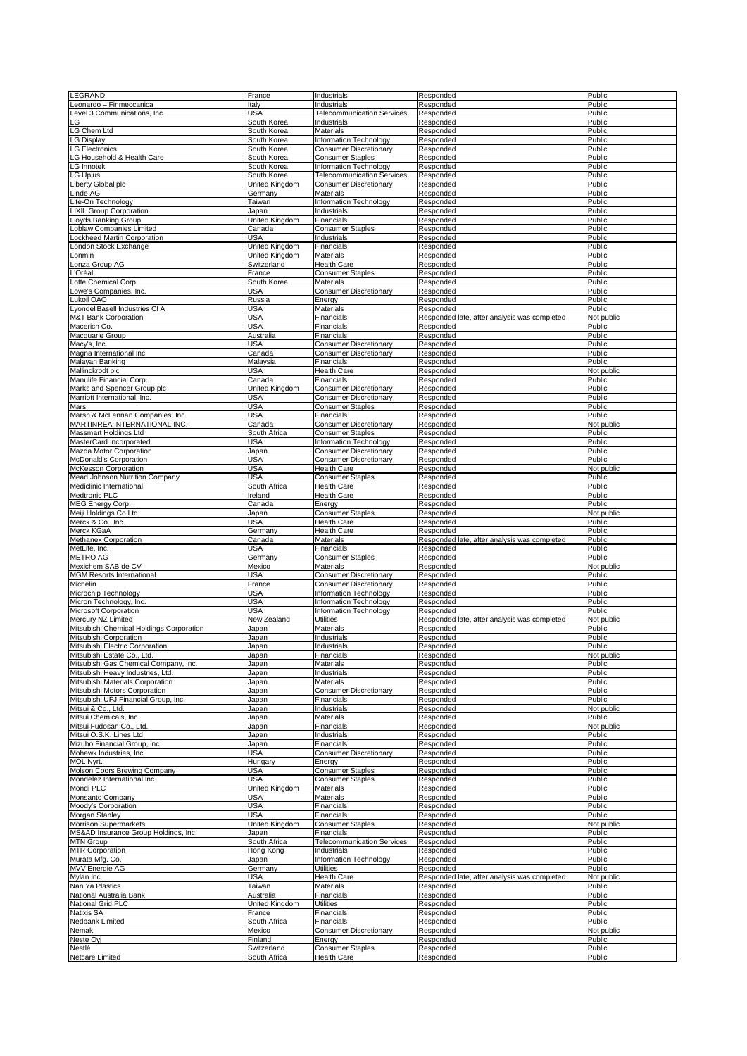| LEGRAND                                  | France         | Industrials                       | Responded                                    | Public     |
|------------------------------------------|----------------|-----------------------------------|----------------------------------------------|------------|
|                                          | Italy          |                                   | Responded                                    | Public     |
| eonardo – Finmeccanica                   |                | Industrials                       |                                              |            |
| evel 3 Communications, Inc.              | USA            | <b>Telecommunication Services</b> | Responded                                    | Public     |
| LG                                       | South Korea    | Industrials                       | Responded                                    | Public     |
| LG Chem Ltd                              | South Korea    | Materials                         | Responded                                    | Public     |
| <b>G Display</b>                         | South Korea    | Information Technology            | Responded                                    | Public     |
| <b>G</b> Electronics                     | South Korea    | <b>Consumer Discretionary</b>     | Responded                                    | Public     |
| <b>G Household &amp; Health Care</b>     | South Korea    | <b>Consumer Staples</b>           | Responded                                    | Public     |
|                                          |                |                                   |                                              |            |
| G Innotek                                | South Korea    | Information Technology            | Responded                                    | Public     |
| <b>G</b> Uplus                           | South Korea    | <b>Telecommunication Services</b> | Responded                                    | Public     |
| iberty Global plc.                       | United Kingdom | <b>Consumer Discretionary</b>     | Responded                                    | Public     |
|                                          |                |                                   |                                              | Public     |
| Linde AG                                 | Germany        | Materials                         | Responded                                    |            |
| Lite-On Technology                       | Taiwan         | Information Technology            | Responded                                    | Public     |
| <b>LIXIL Group Corporation</b>           | Japan          | Industrials                       | Responded                                    | Public     |
| Lloyds Banking Group                     | United Kingdom | Financials                        | Responded                                    | Public     |
| _oblaw Companies Limited                 |                | <b>Consumer Staples</b>           | Responded                                    | Public     |
|                                          | Canada         |                                   |                                              |            |
| ockheed Martin Corporation               | USA            | Industrials                       | Responded                                    | Public     |
| ondon Stock Exchange                     | United Kingdom | Financials                        | Responded                                    | Public     |
| _onmin                                   | United Kingdom | <b>Materials</b>                  | Responded                                    | Public     |
| onza Group AG                            | Switzerland    | <b>Health Care</b>                | Responded                                    | Public     |
|                                          |                |                                   |                                              |            |
| 'Oréal                                   | France         | <b>Consumer Staples</b>           | Responded                                    | Public     |
| otte Chemical Corp                       | South Korea    | Materials                         | Responded                                    | Public     |
| owe's Companies, Inc.                    | USA            | <b>Consumer Discretionary</b>     | Responded                                    | Public     |
| ukoil OAO                                |                |                                   |                                              | Public     |
|                                          | Russia         | Energy                            | Responded                                    |            |
| _yondellBasell Industries CI A           | <b>USA</b>     | Materials                         | Responded                                    | Public     |
| <b>M&amp;T Bank Corporation</b>          | <b>USA</b>     | Financials                        | Responded late, after analysis was completed | Not public |
| Macerich Co.                             | USA            | Financials                        | Responded                                    | Public     |
|                                          |                |                                   |                                              |            |
| Macquarie Group                          | Australia      | Financials                        | Responded                                    | Public     |
| Macy's, Inc.                             | USA            | <b>Consumer Discretionary</b>     | Responded                                    | Public     |
| Magna International Inc.                 | Canada         | <b>Consumer Discretionary</b>     | Responded                                    | Public     |
| Malayan Banking                          | Malaysia       | Financials                        | Responded                                    | Public     |
|                                          |                |                                   |                                              |            |
| Mallinckrodt plc                         | <b>USA</b>     | <b>Health Care</b>                | Responded                                    | Not public |
| Manulife Financial Corp.                 | Canada         | Financials                        | Responded                                    | Public     |
| Marks and Spencer Group plc              | United Kingdom | <b>Consumer Discretionary</b>     | Responded                                    | Public     |
| Marriott International, Inc.             | USA            | <b>Consumer Discretionary</b>     | Responded                                    | Public     |
|                                          |                |                                   |                                              |            |
| Mars                                     | <b>USA</b>     | <b>Consumer Staples</b>           | Responded                                    | Public     |
| Marsh & McLennan Companies, Inc.         | <b>USA</b>     | Financials                        | Responded                                    | Public     |
| MARTINREA INTERNATIONAL INC.             | Canada         | <b>Consumer Discretionary</b>     | Responded                                    | Not public |
| Massmart Holdings Ltd                    | South Africa   | <b>Consumer Staples</b>           | Responded                                    | Public     |
|                                          |                |                                   |                                              |            |
| MasterCard Incorporated                  | USA            | Information Technology            | Responded                                    | Public     |
| Mazda Motor Corporation                  | Japan          | <b>Consumer Discretionary</b>     | Responded                                    | Public     |
| McDonald's Corporation                   | USA            | <b>Consumer Discretionary</b>     | Responded                                    | Public     |
|                                          |                |                                   |                                              |            |
| McKesson Corporation                     | <b>USA</b>     | <b>Health Care</b>                | Responded                                    | Not public |
| Mead Johnson Nutrition Company           | <b>USA</b>     | <b>Consumer Staples</b>           | Responded                                    | Public     |
| Mediclinic International                 | South Africa   | Health Care                       | Responded                                    | Public     |
| Medtronic PLC                            | Ireland        | <b>Health Care</b>                | Responded                                    | Public     |
|                                          |                |                                   |                                              |            |
| MEG Energy Corp.                         | Canada         | Energy                            | Responded                                    | Public     |
| Meiji Holdings Co Ltd                    | Japan          | <b>Consumer Staples</b>           | Responded                                    | Not public |
| Merck & Co., Inc.                        | USA            | Health Care                       |                                              | Public     |
|                                          |                |                                   |                                              |            |
|                                          |                |                                   | Responded                                    |            |
| Merck KGaA                               | Germany        | <b>Health Care</b>                | Responded                                    | Public     |
| Methanex Corporation                     | Canada         | <b>Materials</b>                  | Responded late, after analysis was completed | Public     |
| MetLife, Inc.                            | USA            | Financials                        | Responded                                    | Public     |
|                                          |                |                                   |                                              |            |
| <b>METRO AG</b>                          | Germany        | <b>Consumer Staples</b>           | Responded                                    | Public     |
| Mexichem SAB de CV                       | Mexico         | Materials                         | Responded                                    | Not public |
| <b>MGM Resorts International</b>         | USA            | <b>Consumer Discretionary</b>     | Responded                                    | Public     |
| Michelin                                 | France         | <b>Consumer Discretionary</b>     | Responded                                    | Public     |
|                                          |                | Information Technology            | Responded                                    |            |
| Microchip Technology                     | <b>USA</b>     |                                   |                                              | Public     |
| Micron Technology, Inc.                  | <b>USA</b>     | Information Technology            | Responded                                    | Public     |
| Microsoft Corporation                    | <b>USA</b>     | Information Technology            | Responded                                    | Public     |
| Mercury NZ Limited                       | New Zealand    | Utilities                         | Responded late, after analysis was completed | Not public |
|                                          |                |                                   |                                              |            |
| Mitsubishi Chemical Holdings Corporation | Japan          | Materials                         | Responded                                    | Public     |
| Mitsubishi Corporation                   | Japan          | Industrials                       | Responded                                    | Public     |
| Mitsubishi Electric Corporation          | Japan          | Industrials                       | Responded                                    | Public     |
| Mitsubishi Estate Co., Ltd.              | Japan          | Financials                        | Responded                                    | Not public |
| Mitsubishi Gas Chemical Company, Inc.    | Japan          | Materials                         | Responded                                    | Public     |
|                                          |                |                                   |                                              |            |
| Mitsubishi Heavy Industries, Ltd.        | Japan          | Industrials                       | Responded                                    | Public     |
| Mitsubishi Materials Corporation         | Japan          | Materials                         | Responded                                    | Public     |
| Mitsubishi Motors Corporation            | Japan          | <b>Consumer Discretionary</b>     | Responded                                    | Public     |
| Mitsubishi UFJ Financial Group, Inc.     | Japan          | Financials                        | Responded                                    | Public     |
| Mitsui & Co., Ltd.                       |                | Industrials                       | Responded                                    | Not public |
|                                          | Japan          |                                   |                                              |            |
| Mitsui Chemicals, Inc.                   | Japan          | Materials                         | Responded                                    | Public     |
| Mitsui Fudosan Co., Ltd.                 | Japan          | Financials                        | Responded                                    | Not public |
| Mitsui O.S.K. Lines Ltd                  | Japan          | Industrials                       | Responded                                    | Public     |
| Mizuho Financial Group, Inc.             | Japan          | Financials                        | Responded                                    | Public     |
|                                          |                |                                   |                                              |            |
| Mohawk Industries, Inc.                  | USA            | <b>Consumer Discretionary</b>     | Responded                                    | Public     |
| MOL Nyrt.                                | Hungary        | Energy                            | Responded                                    | Public     |
| Molson Coors Brewing Company             | USA            | <b>Consumer Staples</b>           | Responded                                    | Public     |
| Mondelez International Inc               | USA            | <b>Consumer Staples</b>           | Responded                                    | Public     |
|                                          |                |                                   |                                              |            |
| Mondi PLC                                | United Kingdom | Materials                         | Responded                                    | Public     |
| Monsanto Company                         | USA            | Materials                         | Responded                                    | Public     |
| Moody's Corporation                      | USA            | Financials                        | Responded                                    | Public     |
| Morgan Stanley                           | <b>USA</b>     | Financials                        | Responded                                    | Public     |
|                                          |                |                                   |                                              |            |
| Morrison Supermarkets                    | United Kingdom | <b>Consumer Staples</b>           | Responded                                    | Not public |
| MS&AD Insurance Group Holdings, Inc.     | Japan          | Financials                        | Responded                                    | Public     |
| <b>MTN Group</b>                         | South Africa   | <b>Telecommunication Services</b> | Responded                                    | Public     |
|                                          |                |                                   |                                              |            |
| <b>MTR Corporation</b>                   | Hong Kong      | Industrials                       | Responded                                    | Public     |
| Murata Mfg. Co.                          | Japan          | Information Technology            | Responded                                    | Public     |
| <b>MVV Energie AG</b>                    | Germany        | <b>Utilities</b>                  | Responded                                    | Public     |
| Mylan Inc.                               | USA            | <b>Health Care</b>                | Responded late, after analysis was completed | Not public |
|                                          |                |                                   |                                              |            |
| Nan Ya Plastics                          | Taiwan         | <b>Materials</b>                  | Responded                                    | Public     |
| National Australia Bank                  | Australia      | Financials                        | Responded                                    | Public     |
| National Grid PLC                        | United Kingdom | Utilities                         | Responded                                    | Public     |
| Natixis SA                               | France         | Financials                        | Responded                                    | Public     |
|                                          |                |                                   |                                              |            |
| Nedbank Limited                          | South Africa   | Financials                        | Responded                                    | Public     |
| Nemak                                    | Mexico         | <b>Consumer Discretionary</b>     | Responded                                    | Not public |
| Neste Oyj                                | Finland        | Energy                            | Responded                                    | Public     |
| Nestlé                                   | Switzerland    | <b>Consumer Staples</b>           | Responded                                    | Public     |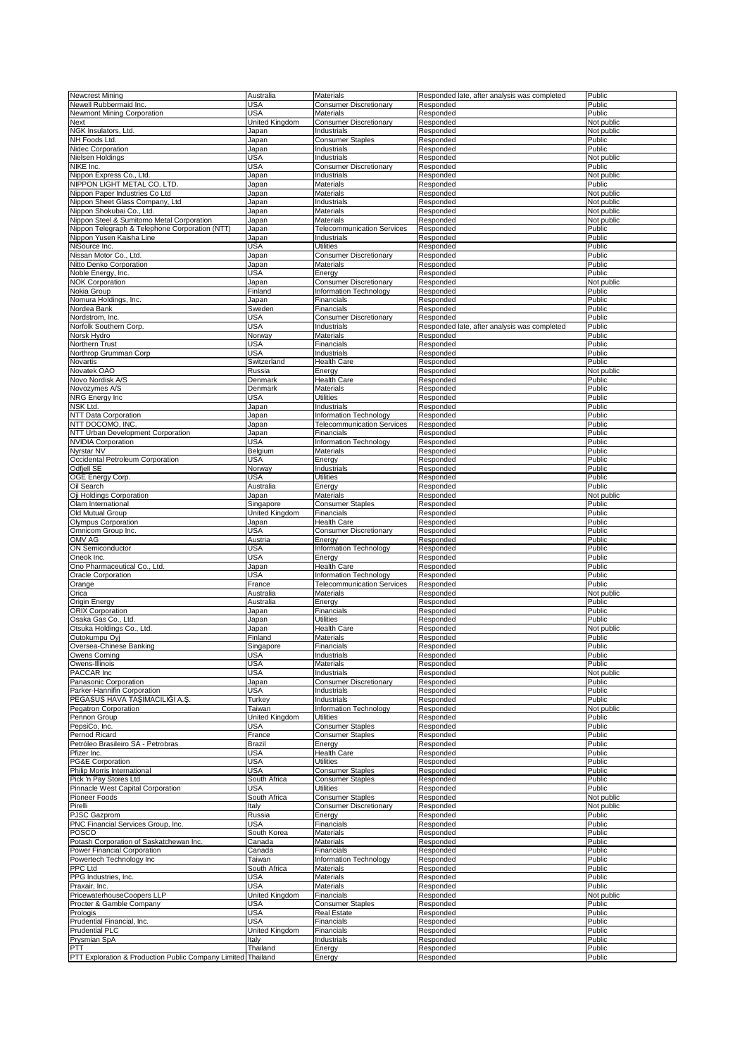| <b>Newcrest Mining</b>                                       | Australia      | Materials                         | Responded late, after analysis was completed | Public           |
|--------------------------------------------------------------|----------------|-----------------------------------|----------------------------------------------|------------------|
|                                                              |                |                                   |                                              |                  |
| Newell Rubbermaid Inc.                                       | USA            | <b>Consumer Discretionary</b>     | Responded                                    | Public           |
| Newmont Mining Corporation                                   | USA            | <b>Materials</b>                  | Responded                                    | Public           |
| Next                                                         | United Kingdom | <b>Consumer Discretionary</b>     | Responded                                    | Not public       |
| NGK Insulators, Ltd.                                         | Japan          | Industrials                       | Responded                                    | Not public       |
| NH Foods Ltd.                                                | Japan          | <b>Consumer Staples</b>           | Responded                                    | Public           |
|                                                              |                |                                   |                                              |                  |
| Nidec Corporation                                            | Japan          | Industrials                       | Responded                                    | Public           |
| Nielsen Holdings                                             | USA            | <b>Industrials</b>                | Responded                                    | Not public       |
| NIKE Inc.                                                    | <b>USA</b>     | <b>Consumer Discretionary</b>     | Responded                                    | Public           |
|                                                              | Japan          | Industrials                       | Responded                                    | Not public       |
| Nippon Express Co., Ltd.                                     |                |                                   |                                              |                  |
| NIPPON LIGHT METAL CO. LTD.                                  | Japan          | Materials                         | Responded                                    | Public           |
| Nippon Paper Industries Co Ltd                               | Japan          | Materials                         | Responded                                    | Not public       |
| Nippon Sheet Glass Company, Ltd                              | Japan          | Industrials                       | Responded                                    | Not public       |
|                                                              |                |                                   |                                              |                  |
| Nippon Shokubai Co., Ltd.                                    | Japan          | Materials                         | Responded                                    | Not public       |
| Nippon Steel & Sumitomo Metal Corporation                    | Japan          | <b>Materials</b>                  | Responded                                    | Not public       |
| Nippon Telegraph & Telephone Corporation (NTT)               | Japan          | <b>Telecommunication Services</b> | Responded                                    | Public           |
| Nippon Yusen Kaisha Line                                     | Japan          | Industrials                       | Responded                                    | Public           |
| NiSource Inc.                                                | USA            | <b>Utilities</b>                  |                                              | Public           |
|                                                              |                |                                   | Responded                                    |                  |
| Nissan Motor Co., Ltd.                                       | Japan          | <b>Consumer Discretionary</b>     | Responded                                    | Public           |
| Nitto Denko Corporation                                      | Japan          | Materials                         | Responded                                    | Public           |
| Noble Energy, Inc.                                           | USA            | Energy                            | Responded                                    | Public           |
|                                                              |                |                                   |                                              |                  |
| <b>NOK Corporation</b>                                       | Japan          | <b>Consumer Discretionary</b>     | Responded                                    | Not public       |
| Nokia Group                                                  | Finland        | Information Technology            | Responded                                    | Public           |
| Nomura Holdings, Inc.                                        | Japan          | Financials                        | Responded                                    | Public           |
| Nordea Bank                                                  | Sweden         | Financials                        | Responded                                    | Public           |
|                                                              |                |                                   |                                              |                  |
| Nordstrom, Inc.                                              | USA            | <b>Consumer Discretionary</b>     | Responded                                    | Public           |
| Norfolk Southern Corp.                                       | USA            | Industrials                       | Responded late, after analysis was completed | Public           |
| Norsk Hydro                                                  | Norway         | <b>Materials</b>                  | Responded                                    | Public           |
| Northern Trust                                               | USA            | Financials                        | Responded                                    | Public           |
| Northrop Grumman Corp                                        | USA            | Industrials                       | Responded                                    | Public           |
|                                                              |                |                                   |                                              |                  |
| Novartis                                                     | Switzerland    | <b>Health Care</b>                | Responded                                    | Public           |
| Novatek OAO                                                  | Russia         | Energy                            | Responded                                    | Not public       |
| Novo Nordisk A/S                                             | Denmark        | Health Care                       | Responded                                    | Public           |
|                                                              |                |                                   |                                              |                  |
| Novozymes A/S                                                | Denmark        | Materials                         | Responded                                    | Public           |
| NRG Energy Inc                                               | USA            | Utilities                         | Responded                                    | Public           |
| NSK Ltd.                                                     | Japan          | Industrials                       | Responded                                    | Public           |
|                                                              |                |                                   |                                              |                  |
| NTT Data Corporation                                         | Japan          | <b>Information Technology</b>     | Responded                                    | Public           |
| NTT DOCOMO, INC.                                             | Japan          | <b>Telecommunication Services</b> | Responded                                    | Public           |
| NTT Urban Development Corporation                            | Japan          | Financials                        | Responded                                    | Public           |
| <b>NVIDIA Corporation</b>                                    | USA            | <b>Information Technology</b>     | Responded                                    | Public           |
|                                                              |                |                                   |                                              |                  |
| Nyrstar NV                                                   | Belgium        | Materials                         | Responded                                    | Public           |
| Occidental Petroleum Corporation                             | USA            | Energy                            | Responded                                    | Public           |
| Odfjell SE                                                   | Norway         | Industrials                       | Responded                                    | Public           |
| OGE Energy Corp.                                             | USA            | Utilities                         | Responded                                    | Public           |
|                                                              |                |                                   |                                              |                  |
| Oil Search                                                   | Australia      | Energy                            | Responded                                    | Public           |
| Oji Holdings Corporation                                     | Japan          | <b>Materials</b>                  | Responded                                    | Not public       |
| Olam International                                           | Singapore      | <b>Consumer Staples</b>           | Responded                                    | Public           |
| Old Mutual Group                                             | United Kingdom | Financials                        | Responded                                    | Public           |
|                                                              |                |                                   |                                              |                  |
| Olympus Corporation                                          | Japan          | Health Care                       | Responded                                    | Public           |
|                                                              |                |                                   |                                              |                  |
| Omnicom Group Inc.                                           | USA            | <b>Consumer Discretionary</b>     | Responded                                    | Public           |
|                                                              |                |                                   |                                              |                  |
| OMV AG                                                       | Austria        | Energy                            | Responded                                    | Public           |
| ON Semiconductor                                             | USA            | Information Technology            | Responded                                    | Public           |
| Oneok Inc.                                                   | USA            | Energy                            | Responded                                    | Public           |
|                                                              |                | <b>Health Care</b>                |                                              | Public           |
| Ono Pharmaceutical Co., Ltd.                                 | Japan          |                                   | Responded                                    |                  |
| Oracle Corporation                                           | USA            | Information Technology            | Responded                                    | Public           |
| Orange                                                       | France         | <b>Telecommunication Services</b> | Responded                                    | Public           |
| Orica                                                        | Australia      | Materials                         | Responded                                    | Not public       |
| Origin Energy                                                | Australia      | Energy                            | Responded                                    | Public           |
|                                                              |                |                                   |                                              |                  |
| <b>ORIX Corporation</b>                                      | Japan          | Financials                        | Responded                                    | Public           |
| Osaka Gas Co., Ltd.                                          | Japan          | Utilities                         | Responded                                    | Public           |
| Otsuka Holdings Co., Ltd.                                    | Japan          | <b>Health Care</b>                | Responded                                    | Not public       |
|                                                              | Finland        | Materials                         |                                              |                  |
| Outokumpu Oyj                                                |                |                                   | Responded                                    | Public           |
| Oversea-Chinese Banking                                      | Singapore      | Financials                        | Responded                                    | Public           |
| Owens Corning                                                | USA            | Industrials                       | Responded                                    | Public           |
| Owens-Illinois                                               | <b>USA</b>     | Materials                         | Responded                                    | Public           |
|                                                              |                |                                   |                                              |                  |
| PACCAR Inc                                                   | USA            | Industrials                       | Responded                                    | Not public       |
| Panasonic Corporation                                        | Japan          | <b>Consumer Discretionary</b>     | Responded                                    | Public           |
| Parker-Hannifin Corporation                                  | <b>USA</b>     | Industrials                       | Responded                                    | Public           |
| PEGASUS HAVA TAŞIMACILIĞI A.Ş.                               | Turkey         | Industrials                       | Responded                                    | Public           |
| Pegatron Corporation                                         | Taiwan         | Information Technology            | Responded                                    | Not public       |
|                                                              |                |                                   |                                              |                  |
| Pennon Group                                                 | United Kingdom | <b>Utilities</b>                  | Responded                                    | Public           |
| PepsiCo, Inc.                                                | USA            | <b>Consumer Staples</b>           | Responded                                    | Public           |
| Pernod Ricard                                                | France         | <b>Consumer Staples</b>           | Responded                                    | Public           |
| Petróleo Brasileiro SA - Petrobras                           | Brazil         | Energy                            | Responded                                    | Public           |
| Pfizer Inc.                                                  |                |                                   |                                              |                  |
|                                                              | USA            | Health Care                       | Responded                                    | Public           |
| PG&E Corporation                                             | USA            | <b>Utilities</b>                  | Responded                                    | Public           |
| Philip Morris International                                  | USA            | <b>Consumer Staples</b>           | Responded                                    | Public           |
| Pick 'n Pay Stores Ltd                                       | South Africa   | <b>Consumer Staples</b>           | Responded                                    | Public           |
|                                                              |                |                                   |                                              |                  |
| Pinnacle West Capital Corporation                            | USA            | Utilities                         | Responded                                    | Public           |
| Pioneer Foods                                                | South Africa   | <b>Consumer Staples</b>           | Responded                                    | Not public       |
| Pirelli                                                      | Italy          | <b>Consumer Discretionary</b>     | Responded                                    | Not public       |
| PJSC Gazprom                                                 | Russia         | Energy                            | Responded                                    | Public           |
|                                                              |                |                                   |                                              |                  |
| PNC Financial Services Group, Inc.                           | USA            | Financials                        | Responded                                    | Public           |
| POSCO                                                        | South Korea    | Materials                         | Responded                                    | Public           |
| Potash Corporation of Saskatchewan Inc.                      | Canada         | Materials                         | Responded                                    | Public           |
| Power Financial Corporation                                  | Canada         | Financials                        | Responded                                    | Public           |
|                                                              |                |                                   |                                              |                  |
| Powertech Technology Inc                                     | Taiwan         | <b>Information Technology</b>     | Responded                                    | Public           |
| PPC Ltd                                                      | South Africa   | Materials                         | Responded                                    | Public           |
| PPG Industries, Inc.                                         | USA            | Materials                         | Responded                                    | Public           |
| Praxair, Inc.                                                | USA            | Materials                         | Responded                                    | Public           |
|                                                              |                |                                   |                                              |                  |
| PricewaterhouseCoopers LLP                                   | United Kingdom | Financials                        | Responded                                    | Not public       |
| Procter & Gamble Company                                     | USA            | <b>Consumer Staples</b>           | Responded                                    | Public           |
| Prologis                                                     | <b>USA</b>     | <b>Real Estate</b>                | Responded                                    | Public           |
|                                                              |                |                                   |                                              |                  |
| Prudential Financial, Inc.                                   | USA            | Financials                        | Responded                                    | Public           |
| <b>Prudential PLC</b>                                        | United Kingdom | Financials                        | Responded                                    | Public           |
| Prysmian SpA                                                 | Italy          | Industrials                       | Responded                                    | Public           |
| PTT                                                          |                |                                   |                                              |                  |
| PTT Exploration & Production Public Company Limited Thailand | Thailand       | Energy<br>Energy                  | Responded<br>Responded                       | Public<br>Public |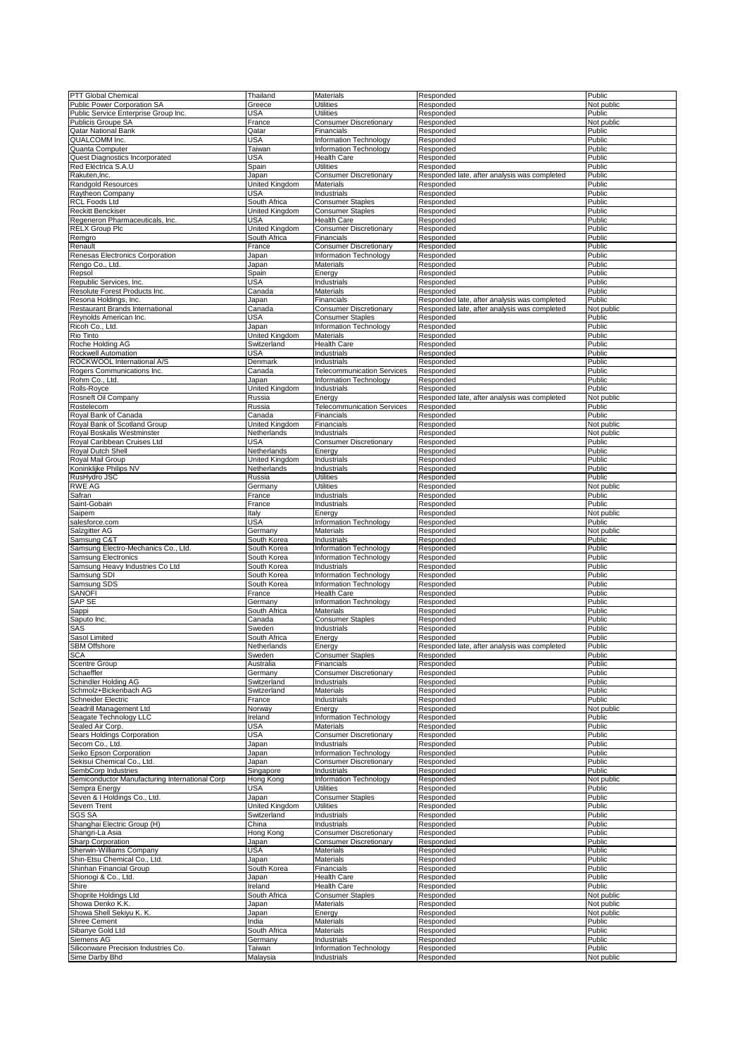|                                                    | Thailand              | Materials                         | Responded                                    | Public     |
|----------------------------------------------------|-----------------------|-----------------------------------|----------------------------------------------|------------|
| PTT Global Chemical<br>Public Power Corporation SA | Greece                | Utilities                         | Responded                                    |            |
|                                                    |                       |                                   |                                              | Not public |
| Public Service Enterprise Group Inc.               | USA                   | Utilities                         | Responded                                    | Public     |
| <b>Publicis Groupe SA</b>                          | France                | <b>Consumer Discretionary</b>     | Responded                                    | Not public |
| Qatar National Bank                                | Qatar                 | Financials                        | Responded                                    | Public     |
| QUALCOMM Inc.                                      | USA                   | <b>Information Technology</b>     | Responded                                    | Public     |
| Quanta Computer                                    | Taiwan                | Information Technology            | Responded                                    | Public     |
| Quest Diagnostics Incorporated                     | <b>USA</b>            | <b>Health Care</b>                | Responded                                    | Public     |
|                                                    |                       |                                   |                                              |            |
| Red Eléctrica S.A.U                                | Spain                 | <b>Utilities</b>                  | Responded                                    | Public     |
| Rakuten, Inc.                                      | Japan                 | <b>Consumer Discretionary</b>     | Responded late, after analysis was completed | Public     |
| Randgold Resources                                 | United Kingdom        | Materials                         | Responded                                    | Public     |
| Raytheon Company                                   | USA                   | Industrials                       | Responded                                    | Public     |
| <b>RCL Foods Ltd</b>                               | South Africa          | <b>Consumer Staples</b>           | Responded                                    | Public     |
|                                                    |                       |                                   |                                              |            |
| <b>Reckitt Benckiser</b>                           | United Kingdom        | <b>Consumer Staples</b>           | Responded                                    | Public     |
| Regeneron Pharmaceuticals, Inc.                    | USA                   | <b>Health Care</b>                | Responded                                    | Public     |
| <b>RELX Group Plc</b>                              | United Kingdom        | <b>Consumer Discretionary</b>     | Responded                                    | Public     |
| Remgro                                             | South Africa          | Financials                        | Responded                                    | Public     |
| Renault                                            | France                | <b>Consumer Discretionary</b>     | Responded                                    | Public     |
|                                                    |                       |                                   |                                              |            |
| Renesas Electronics Corporation                    | Japan                 | Information Technology            | Responded                                    | Public     |
| Rengo Co., Ltd.                                    | Japan                 | Materials                         | Responded                                    | Public     |
| Repsol                                             | Spain                 | Energy                            | Responded                                    | Public     |
| Republic Services, Inc.                            | <b>USA</b>            | Industrials                       | Responded                                    | Public     |
| Resolute Forest Products Inc.                      | Canada                | <b>Materials</b>                  | Responded                                    | Public     |
|                                                    |                       |                                   |                                              |            |
| Resona Holdings, Inc.                              | Japan                 | Financials                        | Responded late, after analysis was completed | Public     |
| Restaurant Brands International                    | Canada                | <b>Consumer Discretionary</b>     | Responded late, after analysis was completed | Not public |
| Reynolds American Inc.                             | USA                   | <b>Consumer Staples</b>           | Responded                                    | Public     |
| Ricoh Co., Ltd.                                    | Japan                 | Information Technology            | Responded                                    | Public     |
| Rio Tinto                                          | United Kingdom        | <b>Materials</b>                  | Responded                                    | Public     |
|                                                    |                       |                                   |                                              |            |
| Roche Holding AG                                   | Switzerland           | Health Care                       | Responded                                    | Public     |
| Rockwell Automation                                | USA                   | <b>Industrials</b>                | Responded                                    | Public     |
| ROCKWOOL International A/S                         | Denmark               | Industrials                       | Responded                                    | Public     |
| Rogers Communications Inc.                         | Canada                | <b>Telecommunication Services</b> | Responded                                    | Public     |
| Rohm Co., Ltd.                                     | Japan                 | Information Technology            | Responded                                    | Public     |
|                                                    |                       |                                   |                                              |            |
| Rolls-Royce                                        | United Kingdom        | Industrials                       | Responded                                    | Public     |
| Rosneft Oil Company                                | Russia                | Energy                            | Responded late, after analysis was completed | Not public |
| Rostelecom                                         | Russia                | <b>Telecommunication Services</b> | Responded                                    | Public     |
| Royal Bank of Canada                               | Canada                | Financials                        | Responded                                    | Public     |
|                                                    |                       |                                   |                                              |            |
| Royal Bank of Scotland Group                       | United Kingdom        | Financials                        | Responded                                    | Not public |
| Royal Boskalis Westminster                         | Netherlands           | Industrials                       | Responded                                    | Not public |
| Royal Caribbean Cruises Ltd                        | USA                   | <b>Consumer Discretionary</b>     | Responded                                    | Public     |
| Royal Dutch Shell                                  | Netherlands           | Energy                            | Responded                                    | Public     |
| Royal Mail Group                                   | United Kingdom        | Industrials                       | Responded                                    | Public     |
|                                                    |                       |                                   |                                              |            |
| Koninklijke Philips NV                             | Netherlands           | Industrials                       | Responded                                    | Public     |
| RusHydro JSC                                       | Russia                | <b>Utilities</b>                  | Responded                                    | Public     |
| <b>RWE AG</b>                                      | Germany               | <b>Utilities</b>                  | Responded                                    | Not public |
| Safran                                             | France                | Industrials                       | Responded                                    | Public     |
|                                                    |                       |                                   |                                              |            |
| Saint-Gobain                                       | France                | Industrials                       | Responded                                    | Public     |
| Saipem                                             | Italy                 | Energy                            | Responded                                    | Not public |
| salesforce.com                                     | <b>USA</b>            | Information Technology            | Responded                                    | Public     |
| Salzgitter AG                                      | Germany               | Materials                         | Responded                                    | Not public |
| Samsung C&T                                        | South Korea           | Industrials                       | Responded                                    | Public     |
|                                                    |                       |                                   |                                              |            |
|                                                    |                       |                                   |                                              |            |
| Samsung Electro-Mechanics Co., Ltd.                | South Korea           | Information Technology            | Responded                                    | Public     |
| Samsung Electronics                                | South Korea           | Information Technology            | Responded                                    | Public     |
|                                                    |                       | Industrials                       |                                              | Public     |
| Samsung Heavy Industries Co Ltd                    | South Korea           |                                   | Responded                                    |            |
| Samsung SDI                                        | South Korea           | Information Technology            | Responded                                    | Public     |
| Samsung SDS                                        | South Korea           | Information Technology            | Responded                                    | Public     |
| <b>SANOFI</b>                                      | France                | <b>Health Care</b>                | Responded                                    | Public     |
| SAP SE                                             | Germany               | Information Technology            | Responded                                    | Public     |
|                                                    |                       |                                   |                                              |            |
| Sappi                                              | South Africa          | Materials                         | Responded                                    | Public     |
| Saputo Inc.                                        | Canada                | <b>Consumer Staples</b>           | Responded                                    | Public     |
| SAS                                                | Sweden                | Industrials                       | Responded                                    | Public     |
| Sasol Limited                                      | South Africa          | Energy                            | Responded                                    | Public     |
| SBM Offshore                                       | Netherlands           | Energy                            | Responded late, after analysis was completed | Public     |
|                                                    |                       |                                   |                                              |            |
| <b>SCA</b>                                         | Sweden                | <b>Consumer Staples</b>           | Responded                                    | Public     |
| Scentre Group                                      | Australia             | Financials                        | Responded                                    | Public     |
| Schaeffler                                         | Germany               | <b>Consumer Discretionary</b>     | Responded                                    | Public     |
| Schindler Holding AG                               | Switzerland           | Industrials                       | Responded                                    | Public     |
| Schmolz+Bickenbach AG                              | Switzerland           | Materials                         | Responded                                    | Public     |
| Schneider Electric                                 | France                | Industrials                       | Responded                                    | Public     |
|                                                    |                       |                                   |                                              |            |
| Seadrill Management Ltd                            | Norway                | Energy                            | Responded                                    | Not public |
| Seagate Technology LLC                             | <b>Ireland</b>        | Information Technology            | Responded                                    | Public     |
| Sealed Air Corp.                                   | USA                   | Materials                         | Responded                                    | Public     |
| Sears Holdings Corporation                         | <b>USA</b>            | Consumer Discretionary            | Responded                                    | Public     |
| Secom Co., Ltd.                                    | Japan                 | Industrials                       | Responded                                    | Public     |
|                                                    |                       | Information Technology            |                                              |            |
| Seiko Epson Corporation                            | Japan                 |                                   | Responded                                    | Public     |
| Sekisui Chemical Co., Ltd.                         | Japan                 | <b>Consumer Discretionary</b>     | Responded                                    | Public     |
| SembCorp Industries                                | Singapore             | Industrials                       | Responded                                    | Public     |
| Semiconductor Manufacturing International Corp     | Hong Kong             | <b>Information Technology</b>     | Responded                                    | Not public |
| Sempra Energy                                      | USA                   | <b>Utilities</b>                  | Responded                                    | Public     |
|                                                    |                       |                                   |                                              |            |
| Seven & I Holdings Co., Ltd.                       | Japan                 | <b>Consumer Staples</b>           | Responded                                    | Public     |
| Severn Trent                                       | <b>United Kingdom</b> | <b>Utilities</b>                  | Responded                                    | Public     |
| SGS SA                                             | Switzerland           | Industrials                       | Responded                                    | Public     |
| Shanghai Electric Group (H)                        | China                 | Industrials                       | Responded                                    | Public     |
| Shangri-La Asia                                    | Hong Kong             | Consumer Discretionary            | Responded                                    | Public     |
|                                                    |                       |                                   |                                              |            |
| Sharp Corporation                                  | Japan                 | <b>Consumer Discretionary</b>     | Responded                                    | Public     |
| Sherwin-Williams Company                           | <b>USA</b>            | Materials                         | Responded                                    | Public     |
| Shin-Etsu Chemical Co., Ltd.                       | Japan                 | Materials                         | Responded                                    | Public     |
| Shinhan Financial Group                            | South Korea           | Financials                        | Responded                                    | Public     |
|                                                    |                       |                                   |                                              |            |
| Shionogi & Co., Ltd.                               | Japan                 | <b>Health Care</b>                | Responded                                    | Public     |
| Shire                                              | Ireland               | <b>Health Care</b>                | Responded                                    | Public     |
| Shoprite Holdings Ltd                              | South Africa          | <b>Consumer Staples</b>           | Responded                                    | Not public |
| Showa Denko K.K.                                   | Japan                 | Materials                         | Responded                                    | Not public |
| Showa Shell Sekiyu K. K.                           | Japan                 | Energy                            | Responded                                    | Not public |
|                                                    |                       |                                   |                                              |            |
| <b>Shree Cement</b>                                | India                 | Materials                         | Responded                                    | Public     |
| Sibanye Gold Ltd                                   | South Africa          | Materials                         | Responded                                    | Public     |
| Siemens AG                                         | Germany               | Industrials                       | Responded                                    | Public     |
| Siliconware Precision Industries Co.               | Taiwan                | Information Technology            | Responded                                    | Public     |
| Sime Darby Bhd                                     | Malaysia              | Industrials                       | Responded                                    | Not public |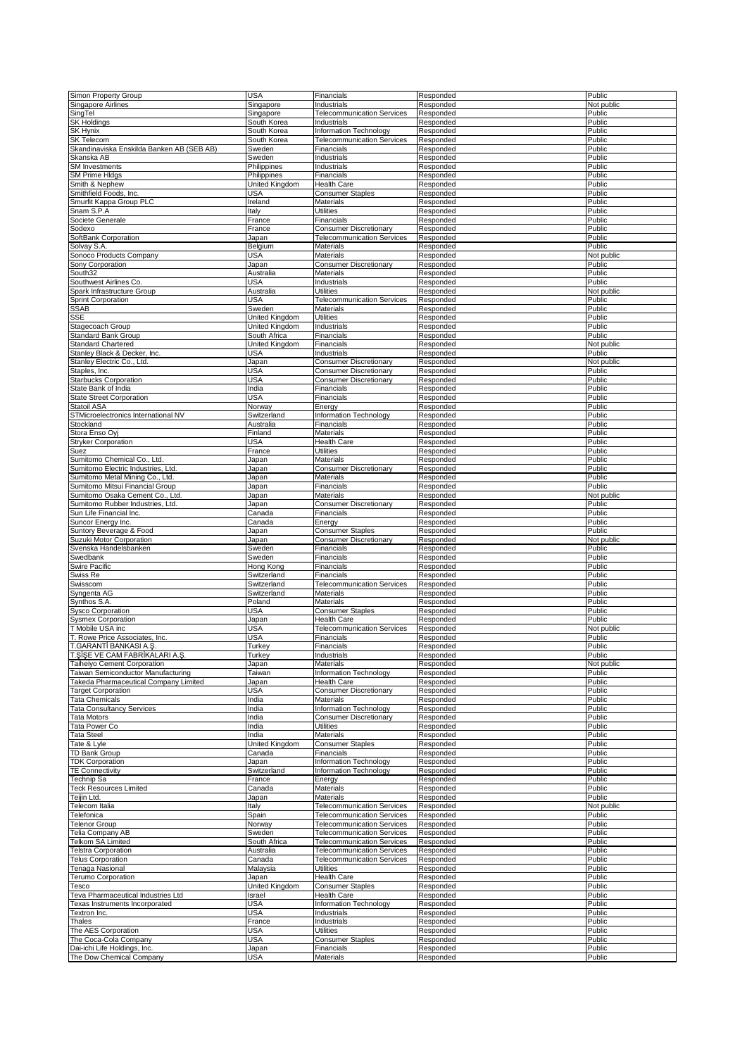| Simon Property Group                                     | <b>USA</b>            | Financials                        | Responded              | Public           |
|----------------------------------------------------------|-----------------------|-----------------------------------|------------------------|------------------|
|                                                          |                       |                                   |                        |                  |
| Singapore Airlines                                       | Singapore             | Industrials                       | Responded              | Not public       |
| SingTel                                                  | Singapore             | <b>Telecommunication Services</b> | Responded              | Public           |
| <b>SK Holdings</b>                                       | South Korea           | Industrials                       | Responded              | Public           |
|                                                          |                       |                                   |                        |                  |
| <b>SK Hynix</b>                                          | South Korea           | Information Technology            | Responded              | Public           |
| SK Telecom                                               | South Korea           | <b>Telecommunication Services</b> | Responded              | Public           |
| Skandinaviska Enskilda Banken AB (SEB AB)                | Sweden                | Financials                        | Responded              | Public           |
|                                                          | Sweden                |                                   |                        |                  |
| Skanska AB                                               |                       | Industrials                       | Responded              | Public           |
| <b>SM</b> Investments                                    | Philippines           | Industrials                       | Responded              | Public           |
| <b>SM Prime Hldgs</b>                                    | Philippines           | Financials                        | Responded              | Public           |
|                                                          |                       |                                   |                        | Public           |
| Smith & Nephew                                           | United Kingdom        | <b>Health Care</b>                | Responded              |                  |
| Smithfield Foods, Inc.                                   | USA                   | <b>Consumer Staples</b>           | Responded              | Public           |
| Smurfit Kappa Group PLC                                  | Ireland               | <b>Materials</b>                  | Responded              | Public           |
|                                                          |                       |                                   |                        |                  |
| Snam S.P.A                                               | Italy                 | <b>Utilities</b>                  | Responded              | Public           |
| Societe Generale                                         | France                | Financials                        | Responded              | Public           |
| Sodexo                                                   | France                | <b>Consumer Discretionary</b>     | Responded              | Public           |
|                                                          |                       |                                   |                        |                  |
| SoftBank Corporation                                     | Japan                 | <b>Telecommunication Services</b> | Responded              | Public           |
| Solvay S.A.                                              | Belgium               | Materials                         | Responded              | Public           |
|                                                          | USA                   |                                   |                        |                  |
| Sonoco Products Company                                  |                       | <b>Materials</b>                  | Responded              | Not public       |
| Sony Corporation                                         | Japan                 | <b>Consumer Discretionary</b>     | Responded              | Public           |
| South32                                                  | Australia             | Materials                         | Responded              | Public           |
|                                                          | <b>USA</b>            |                                   |                        | Public           |
| Southwest Airlines Co.                                   |                       | Industrials                       | Responded              |                  |
| Spark Infrastructure Group                               | Australia             | <b>Utilities</b>                  | Responded              | Not public       |
| <b>Sprint Corporation</b>                                | USA                   | <b>Telecommunication Services</b> | Responded              | Public           |
|                                                          |                       |                                   |                        |                  |
| <b>SSAB</b>                                              | Sweden                | Materials                         | Responded              | Public           |
| SSE                                                      | United Kingdom        | <b>Utilities</b>                  | Responded              | Public           |
|                                                          | United Kingdom        | Industrials                       | Responded              | Public           |
| Stagecoach Group                                         |                       |                                   |                        |                  |
| Standard Bank Group                                      | South Africa          | Financials                        | Responded              | Public           |
| <b>Standard Chartered</b>                                | <b>United Kingdom</b> | Financials                        | Responded              | Not public       |
| Stanley Black & Decker, Inc.                             | USA                   | Industrials                       | Responded              | Public           |
|                                                          |                       |                                   |                        |                  |
| Stanley Electric Co., Ltd.                               | Japan                 | <b>Consumer Discretionary</b>     | Responded              | Not public       |
| Staples, Inc.                                            | <b>USA</b>            | <b>Consumer Discretionary</b>     | Responded              | Public           |
|                                                          |                       |                                   |                        |                  |
| <b>Starbucks Corporation</b>                             | <b>USA</b>            | <b>Consumer Discretionary</b>     | Responded              | Public           |
| State Bank of India                                      | India                 | Financials                        | Responded              | Public           |
|                                                          |                       |                                   |                        | Public           |
| <b>State Street Corporation</b>                          | USA                   | Financials                        | Responded              |                  |
| Statoil ASA                                              | Norway                | Energy                            | Responded              | Public           |
| STMicroelectronics International NV                      | Switzerland           | <b>Information Technology</b>     | Responded              | Public           |
|                                                          |                       | Financials                        |                        |                  |
| Stockland                                                | Australia             |                                   | Responded              | Public           |
| Stora Enso Oyj                                           | Finland               | Materials                         | Responded              | Public           |
| <b>Stryker Corporation</b>                               | USA                   | <b>Health Care</b>                | Responded              | Public           |
|                                                          |                       |                                   |                        |                  |
| Suez                                                     | France                | <b>Utilities</b>                  | Responded              | Public           |
| Sumitomo Chemical Co., Ltd.                              | Japan                 | Materials                         | Responded              | Public           |
|                                                          |                       |                                   |                        | Public           |
| Sumitomo Electric Industries, Ltd.                       | Japan                 | <b>Consumer Discretionary</b>     | Responded              |                  |
| Sumitomo Metal Mining Co., Ltd.                          | Japan                 | Materials                         | Responded              | Public           |
| Sumitomo Mitsui Financial Group                          | Japan                 | Financials                        | Responded              | Public           |
|                                                          |                       |                                   |                        |                  |
| Sumitomo Osaka Cement Co., Ltd.                          | Japan                 | Materials                         | Responded              | Not public       |
| Sumitomo Rubber Industries, Ltd.                         | Japan                 | <b>Consumer Discretionary</b>     | Responded              | Public           |
| Sun Life Financial Inc.                                  | Canada                | Financials                        | Responded              | Public           |
|                                                          |                       |                                   |                        |                  |
|                                                          | Canada                | Energy                            |                        | Public           |
| Suncor Energy Inc.                                       |                       |                                   | Responded              |                  |
|                                                          |                       |                                   |                        |                  |
| Suntory Beverage & Food                                  | Japan                 | <b>Consumer Staples</b>           | Responded              | Public           |
| Suzuki Motor Corporation                                 | Japan                 | <b>Consumer Discretionary</b>     | Responded              | Not public       |
|                                                          |                       |                                   |                        |                  |
| Svenska Handelsbanken                                    | Sweden                | Financials                        | Responded              | Public           |
| Swedbank                                                 | Sweden                | Financials                        | Responded              | Public           |
| <b>Swire Pacific</b>                                     | Hong Kong             | Financials                        | Responded              | Public           |
|                                                          | Switzerland           |                                   | Responded              | Public           |
| Swiss Re                                                 |                       | Financials                        |                        |                  |
| Swisscom                                                 | Switzerland           | <b>Telecommunication Services</b> | Responded              | Public           |
| Syngenta AG                                              | Switzerland           | <b>Materials</b>                  | Responded              | Public           |
|                                                          |                       | <b>Materials</b>                  |                        | Public           |
| Synthos S.A.                                             | Poland                |                                   | Responded              |                  |
| <b>Sysco Corporation</b>                                 | <b>USA</b>            | <b>Consumer Staples</b>           | Responded              | Public           |
| <b>Sysmex Corporation</b>                                | Japan                 | <b>Health Care</b>                | Responded              | Public           |
|                                                          |                       |                                   |                        |                  |
| T Mobile USA inc                                         | USA                   | <b>Telecommunication Services</b> | Responded              | Not public       |
| Rowe Price Associates, Inc.                              | <b>JSA</b>            | Financials                        | Responded              | Public           |
| T.GARANTİ BANKASI A.Ş.                                   | Turkey                | Financials                        | Responded              | Public           |
|                                                          |                       |                                   |                        |                  |
| T.ŞIŞE VE CAM FABRIKALARI A.Ş.                           | Turkey                | Industrials                       | Responded              | Public           |
| Taiheiyo Cement Corporation                              | Japan                 | Materials                         | Responded              | Not public       |
| Taiwan Semiconductor Manufacturing                       | Taiwan                | Information Technology            | Responded              | Public           |
|                                                          |                       |                                   |                        |                  |
| <b>Fakeda Pharmaceutical Company Limited</b>             | Japan                 | <b>Health Care</b>                | Responded              | Public           |
| <b>Target Corporation</b>                                | <b>USA</b>            | <b>Consumer Discretionary</b>     | Responded              | Public           |
| Tata Chemicals                                           | India                 | <b>Materials</b>                  | Responded              | Public           |
|                                                          |                       |                                   |                        |                  |
| <b>Tata Consultancy Services</b>                         | India                 | Information Technology            | Responded              | Public           |
| <b>Tata Motors</b>                                       | India                 | <b>Consumer Discretionary</b>     | Responded              | Public           |
| Tata Power Co                                            | India                 | <b>Utilities</b>                  | Responded              | Public           |
|                                                          |                       |                                   |                        |                  |
| <b>Tata Steel</b>                                        | India                 | Materials                         | Responded              | Public           |
| Tate & Lyle                                              | United Kingdom        | <b>Consumer Staples</b>           | Responded              | Public           |
| TD Bank Group                                            | Canada                | Financials                        | Responded              | Public           |
|                                                          |                       |                                   |                        |                  |
| <b>TDK Corporation</b>                                   | Japan                 | Information Technology            | Responded              | Public           |
| <b>TE Connectivity</b>                                   | Switzerland           | Information Technology            | Responded              | Public           |
| <b>Technip Sa</b>                                        | France                | Energy                            | Responded              | Public           |
|                                                          |                       |                                   |                        |                  |
| <b>Teck Resources Limited</b>                            | Canada                | Materials                         | Responded              | Public           |
| Teijin Ltd.                                              | Japan                 | Materials                         | Responded              | Public           |
| Telecom Italia                                           | Italy                 | <b>Telecommunication Services</b> | Responded              |                  |
|                                                          |                       |                                   |                        | Not public       |
| Telefonica                                               | Spain                 | <b>Telecommunication Services</b> | Responded              | Public           |
| <b>Telenor Group</b>                                     | Norway                | <b>Telecommunication Services</b> | Responded              | Public           |
|                                                          |                       |                                   |                        |                  |
| Telia Company AB                                         | Sweden                | <b>Telecommunication Services</b> | Responded              | Public           |
| <b>Felkom SA Limited</b>                                 | South Africa          | <b>Telecommunication Services</b> | Responded              | Public           |
| <b>Telstra Corporation</b>                               | Australia             | <b>Telecommunication Services</b> | Responded              | Public           |
|                                                          |                       |                                   |                        |                  |
| <b>Telus Corporation</b>                                 | Canada                | <b>Telecommunication Services</b> | Responded              | Public           |
| <b>Tenaga Nasional</b>                                   | Malaysia              | <b>Utilities</b>                  | Responded              | Public           |
| <b>Ferumo Corporation</b>                                | Japan                 | <b>Health Care</b>                | Responded              | Public           |
|                                                          |                       |                                   |                        |                  |
| Tesco                                                    | United Kingdom        | <b>Consumer Staples</b>           | Responded              | Public           |
| <b>Teva Pharmaceutical Industries Ltd</b>                | Israel                | <b>Health Care</b>                | Responded              | Public           |
| <b>Fexas Instruments Incorporated</b>                    | <b>USA</b>            | Information Technology            | Responded              | Public           |
|                                                          |                       |                                   |                        |                  |
| Textron Inc.                                             | <b>USA</b>            | Industrials                       | Responded              | Public           |
| Thales                                                   | France                | Industrials                       | Responded              | Public           |
| The AES Corporation                                      | <b>USA</b>            | <b>Utilities</b>                  | Responded              | Public           |
|                                                          |                       |                                   |                        |                  |
| The Coca-Cola Company                                    | <b>USA</b>            | <b>Consumer Staples</b>           | Responded              | Public           |
| Dai-ichi Life Holdings, Inc.<br>The Dow Chemical Company | Japan<br>USA          | Financials<br>Materials           | Responded<br>Responded | Public<br>Public |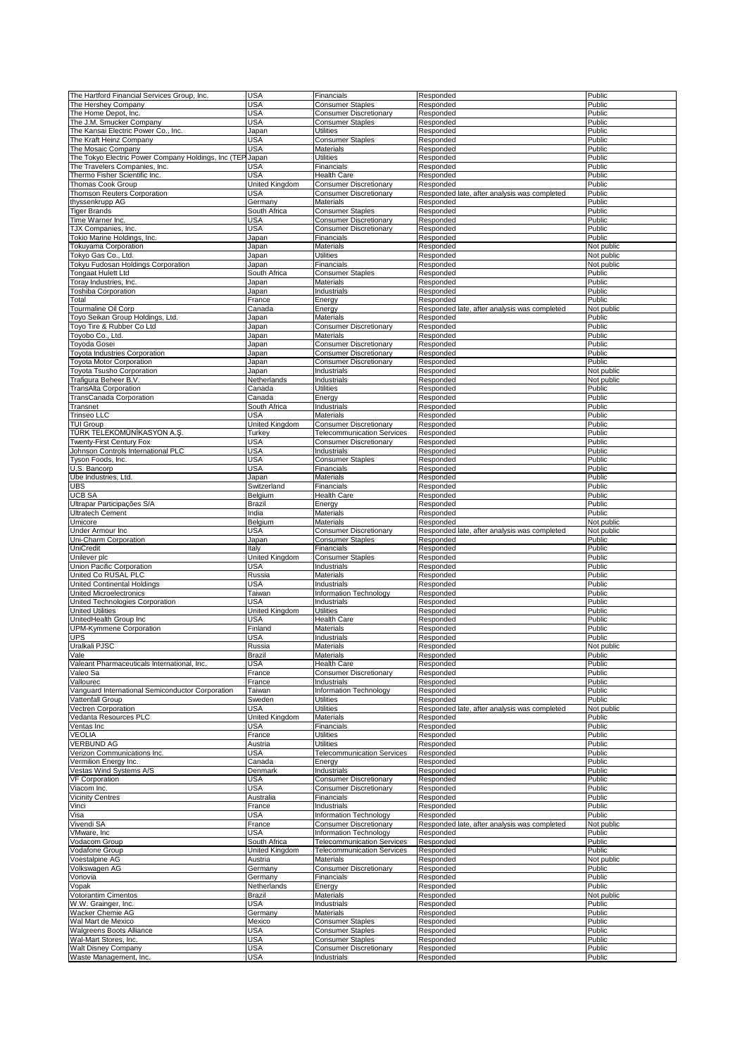| The Hartford Financial Services Group, Inc.               | USA            | Financials                        | Responded                                    | Public     |
|-----------------------------------------------------------|----------------|-----------------------------------|----------------------------------------------|------------|
|                                                           |                |                                   |                                              | Public     |
| The Hershey Company                                       | USA            | <b>Consumer Staples</b>           | Responded                                    |            |
| The Home Depot, Inc.                                      | USA            | <b>Consumer Discretionary</b>     | Responded                                    | Public     |
| The J.M. Smucker Company                                  | USA            | <b>Consumer Staples</b>           | Responded                                    | Public     |
| The Kansai Electric Power Co., Inc.                       | Japan          | <b>Utilities</b>                  | Responded                                    | Public     |
| The Kraft Heinz Company                                   | USA            | <b>Consumer Staples</b>           | Responded                                    | Public     |
| The Mosaic Company                                        | USA            | Materials                         | Responded                                    | Public     |
| The Tokyo Electric Power Company Holdings, Inc (TEP Japan |                | <b>Utilities</b>                  | Responded                                    | Public     |
| The Travelers Companies, Inc.                             |                | Financials                        |                                              |            |
|                                                           | USA            |                                   | Responded                                    | Public     |
| Thermo Fisher Scientific Inc.                             | USA            | <b>Health Care</b>                | Responded                                    | Public     |
| <b>Thomas Cook Group</b>                                  | United Kingdom | <b>Consumer Discretionary</b>     | Responded                                    | Public     |
| Thomson Reuters Corporation                               | USA            | <b>Consumer Discretionary</b>     | Responded late, after analysis was completed | Public     |
| thyssenkrupp AG                                           | Germany        | Materials                         | Responded                                    | Public     |
| <b>Tiger Brands</b>                                       | South Africa   | <b>Consumer Staples</b>           | Responded                                    | Public     |
| Time Warner Inc.                                          | USA            | <b>Consumer Discretionary</b>     |                                              | Public     |
|                                                           |                |                                   | Responded                                    |            |
| TJX Companies, Inc.                                       | USA            | <b>Consumer Discretionary</b>     | Responded                                    | Public     |
| <b>Tokio Marine Holdings, Inc.</b>                        | Japan          | Financials                        | Responded                                    | Public     |
| <b>Tokuyama Corporation</b>                               | Japan          | <b>Materials</b>                  | Responded                                    | Not public |
| Гокуо Gas Co., Ltd.                                       | Japan          | <b>Utilities</b>                  | Responded                                    | Not public |
|                                                           |                |                                   |                                              |            |
| <b>Tokyu Fudosan Holdings Corporation</b>                 | Japan          | Financials                        | Responded                                    | Not public |
| Tongaat Hulett Ltd                                        | South Africa   | <b>Consumer Staples</b>           | Responded                                    | Public     |
| Foray Industries, Inc.                                    | Japan          | Materials                         | Responded                                    | Public     |
| <b>Toshiba Corporation</b>                                | Japan          | Industrials                       | Responded                                    | Public     |
| Гоtal                                                     | France         | Energy                            | Responded                                    | Public     |
|                                                           |                |                                   |                                              |            |
| Tourmaline Oil Corp                                       | Canada         | Energy                            | Responded late, after analysis was completed | Not public |
| Toyo Seikan Group Holdings, Ltd.                          | Japan          | Materials                         | Responded                                    | Public     |
| Toyo Tire & Rubber Co Ltd                                 | Japan          | <b>Consumer Discretionary</b>     | Responded                                    | Public     |
| Toyobo Co., Ltd.                                          | Japan          | <b>Materials</b>                  | Responded                                    | Public     |
| Toyoda Gosei                                              | Japan          | <b>Consumer Discretionary</b>     | Responded                                    | Public     |
|                                                           |                |                                   |                                              |            |
| Toyota Industries Corporation                             | Japan          | <b>Consumer Discretionary</b>     | Responded                                    | Public     |
| <b>Toyota Motor Corporation</b>                           | Japan          | <b>Consumer Discretionary</b>     | Responded                                    | Public     |
| Toyota Tsusho Corporation                                 | Japan          | Industrials                       | Responded                                    | Not public |
| Trafigura Beheer B.V.                                     | Netherlands    | Industrials                       | Responded                                    | Not public |
|                                                           |                | <b>Utilities</b>                  |                                              |            |
| <b>TransAlta Corporation</b>                              | Canada         |                                   | Responded                                    | Public     |
| <b>FransCanada Corporation</b>                            | Canada         | Energy                            | Responded                                    | Public     |
| Transnet                                                  | South Africa   | Industrials                       | Responded                                    | Public     |
| <b>Trinseo LLC</b>                                        | USA            | Materials                         | Responded                                    | Public     |
| <b>TUI Group</b>                                          | United Kingdom | <b>Consumer Discretionary</b>     | Responded                                    | Public     |
|                                                           |                |                                   |                                              |            |
| TÜRK TELEKOMÜNİKASYON A.Ş                                 | Turkey         | <b>Telecommunication Services</b> | Responded                                    | Public     |
| Wenty-First Century Fox                                   | USA            | <b>Consumer Discretionary</b>     | Responded                                    | Public     |
| Johnson Controls International PLC                        | USA            | Industrials                       | Responded                                    | Public     |
| Tyson Foods, Inc.                                         | USA            | <b>Consumer Staples</b>           | Responded                                    | Public     |
| U.S. Bancorp                                              | USA            | Financials                        |                                              | Public     |
|                                                           |                |                                   | Responded                                    |            |
| Ube Industries, Ltd.                                      | Japan          | Materials                         | Responded                                    | Public     |
| <b>UBS</b>                                                | Switzerland    | Financials                        | Responded                                    | Public     |
| <b>UCB SA</b>                                             | Belgium        | <b>Health Care</b>                | Responded                                    | Public     |
| Ultrapar Participações S/A                                | Brazil         | Energy                            | Responded                                    | Public     |
|                                                           |                |                                   |                                              |            |
| <b>Ultratech Cement</b>                                   | India          | Materials                         | Responded                                    | Public     |
|                                                           |                |                                   |                                              |            |
| Umicore                                                   | Belgium        | Materials                         | Responded                                    | Not public |
| Under Armour Inc                                          | USA            | <b>Consumer Discretionary</b>     | Responded late, after analysis was completed | Not public |
|                                                           |                |                                   |                                              |            |
| Uni-Charm Corporation                                     | Japan          | <b>Consumer Staples</b>           | Responded                                    | Public     |
| UniCredit                                                 | Italy          | Financials                        | Responded                                    | Public     |
| Unilever plc                                              | United Kingdom | <b>Consumer Staples</b>           | Responded                                    | Public     |
| Union Pacific Corporation                                 | <b>USA</b>     | Industrials                       | Responded                                    | Public     |
| United Co RUSAL PLC                                       | Russia         | Materials                         | Responded                                    | Public     |
| <b>United Continental Holdings</b>                        | USA            | Industrials                       | Responded                                    | Public     |
|                                                           |                |                                   |                                              |            |
| United Microelectronics                                   | Taiwan         | Information Technology            | Responded                                    | Public     |
| United Technologies Corporation                           | USA            | Industrials                       | Responded                                    | Public     |
| <b>United Utilities</b>                                   | United Kingdom | <b>Utilities</b>                  | Responded                                    | Public     |
| UnitedHealth Group Inc                                    | USA            | <b>Health Care</b>                | Responded                                    | Public     |
|                                                           | Finland        | <b>Materials</b>                  | Responded                                    | Public     |
| UPM-Kymmene Corporation                                   |                |                                   |                                              |            |
| <b>UPS</b>                                                | USA            | Industrials                       | Responded                                    | Public     |
| Uralkali PJSC                                             | Russia         | Materials                         | Responded                                    | Not public |
| Vale                                                      | Brazil         | Materials                         | Responded                                    | Public     |
| Valeant Pharmaceuticals International, Inc.               | <b>USA</b>     | <b>Health Care</b>                | Responded                                    | Public     |
| Valeo Sa                                                  | France         | <b>Consumer Discretionary</b>     | Responded                                    | Public     |
|                                                           |                |                                   |                                              |            |
| Vallourec                                                 | France         | Industrials                       | Responded                                    | Public     |
| Vanquard International Semiconductor Corporation          | Taiwan         | Information Technology            | Responded                                    | Public     |
| Vattenfall Group                                          | Sweden         | <b>Utilities</b>                  | Responded                                    | Public     |
| Vectren Corporation                                       | <b>USA</b>     | <b>Utilities</b>                  | Responded late, after analysis was completed | Not public |
| /edanta Resources PLC                                     | United Kingdom | Materials                         | Responded                                    | Public     |
| Ventas Inc                                                | USA            | Financials                        | Responded                                    | Public     |
|                                                           |                |                                   |                                              |            |
| <b>VEOLIA</b>                                             | France         | <b>Utilities</b>                  | Responded                                    | Public     |
| <b>VERBUND AG</b>                                         | Austria        | <b>Utilities</b>                  | Responded                                    | Public     |
| Verizon Communications Inc.                               | USA            | <b>Telecommunication Services</b> | Responded                                    | Public     |
| Vermilion Energy Inc.                                     | Canada         | Energy                            | Responded                                    | Public     |
| Vestas Wind Systems A/S                                   | Denmark        | Industrials                       | Responded                                    | Public     |
|                                                           |                |                                   |                                              |            |
| <b>VF Corporation</b>                                     | USA            | <b>Consumer Discretionary</b>     | Responded                                    | Public     |
| Viacom Inc.                                               | USA            | <b>Consumer Discretionary</b>     | Responded                                    | Public     |
| <b>Vicinity Centres</b>                                   | Australia      | Financials                        | Responded                                    | Public     |
| Vinci                                                     | France         | Industrials                       | Responded                                    | Public     |
| Visa                                                      | <b>USA</b>     | Information Technology            | Responded                                    | Public     |
|                                                           |                |                                   |                                              |            |
| Vivendi SA                                                | France         | <b>Consumer Discretionary</b>     | Responded late, after analysis was completed | Not public |
| VMware, Inc                                               | <b>USA</b>     | Information Technology            | Responded                                    | Public     |
| Vodacom Group                                             | South Africa   | <b>Telecommunication Services</b> | Responded                                    | Public     |
| Vodafone Group                                            | United Kingdom | <b>Telecommunication Services</b> | Responded                                    | Public     |
| Voestalpine AG                                            |                | Materials                         |                                              |            |
|                                                           | Austria        |                                   | Responded                                    | Not public |
| Volkswagen AG                                             | Germany        | <b>Consumer Discretionary</b>     | Responded                                    | Public     |
| Vonovia                                                   | Germany        | Financials                        | Responded                                    | Public     |
| Vopak                                                     | Netherlands    | Energy                            | Responded                                    | Public     |
| Votorantim Cimentos                                       | Brazil         | Materials                         | Responded                                    | Not public |
| W.W. Grainger, Inc.                                       | USA            | Industrials                       | Responded                                    | Public     |
|                                                           |                |                                   |                                              |            |
| Wacker Chemie AG                                          | Germany        | Materials                         | Responded                                    | Public     |
| Wal Mart de Mexico                                        | Mexico         | <b>Consumer Staples</b>           | Responded                                    | Public     |
| Walgreens Boots Alliance                                  | <b>USA</b>     | <b>Consumer Staples</b>           | Responded                                    | Public     |
| Wal-Mart Stores, Inc.                                     | USA            | <b>Consumer Staples</b>           | Responded                                    | Public     |
| <b>Walt Disney Company</b>                                | USA            | <b>Consumer Discretionary</b>     | Responded                                    | Public     |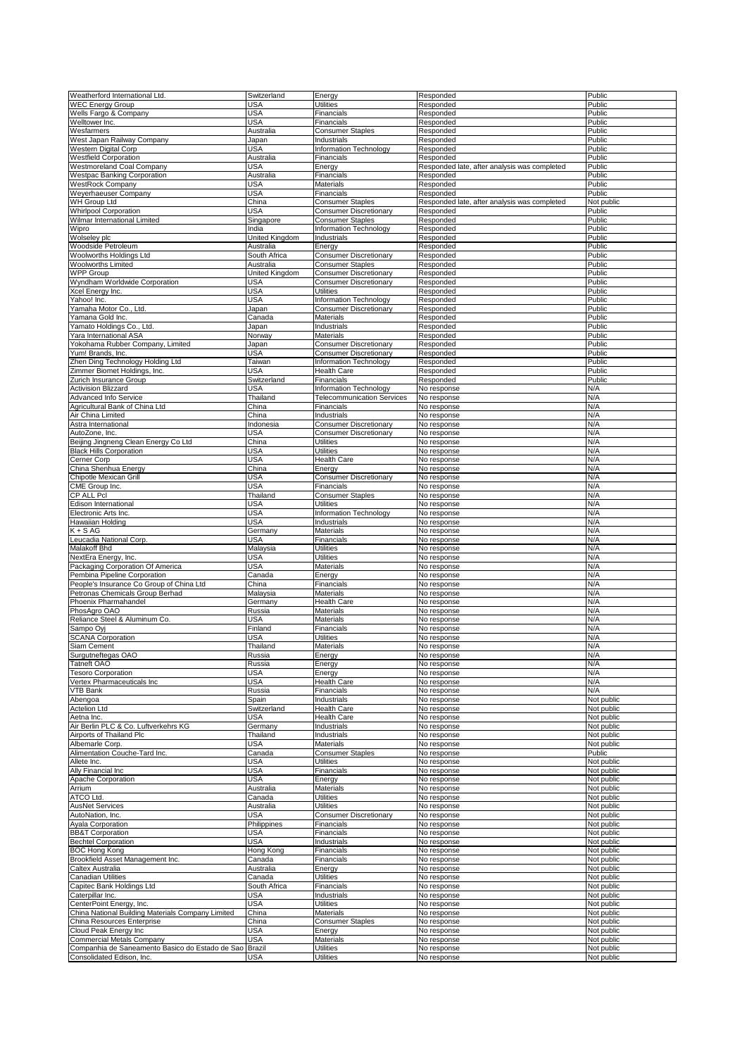| Weatherford International Ltd.                         | Switzerland    | Energy                            | Responded                                    | Public     |
|--------------------------------------------------------|----------------|-----------------------------------|----------------------------------------------|------------|
| <b>WEC Energy Group</b>                                | USA            | Utilities                         | Responded                                    | Public     |
| Wells Fargo & Company                                  | USA            | Financials                        | Responded                                    | Public     |
| Welltower Inc.                                         | <b>USA</b>     | Financials                        | Responded                                    | Public     |
| Wesfarmers                                             | Australia      | <b>Consumer Staples</b>           | Responded                                    | Public     |
| West Japan Railway Company                             | Japan          | Industrials                       | Responded                                    | Public     |
| Western Digital Corp                                   | <b>USA</b>     | Information Technology            | Responded                                    | Public     |
| <b>Westfield Corporation</b>                           | Australia      | Financials                        | Responded                                    | Public     |
| Westmoreland Coal Company                              | <b>USA</b>     | Energy                            | Responded late, after analysis was completed | Public     |
| <b>Westpac Banking Corporation</b>                     | Australia      |                                   | Responded                                    | Public     |
|                                                        |                | Financials                        |                                              |            |
| <b>WestRock Company</b>                                | <b>USA</b>     | Materials                         | Responded                                    | Public     |
| Weyerhaeuser Company                                   | <b>USA</b>     | Financials                        | Responded                                    | Public     |
| WH Group Ltd                                           | China          | <b>Consumer Staples</b>           | Responded late, after analysis was completed | Not public |
| <b>Whirlpool Corporation</b>                           | USA            | <b>Consumer Discretionary</b>     | Responded                                    | Public     |
| Wilmar International Limited                           | Singapore      | <b>Consumer Staples</b>           | Responded                                    | Public     |
| Wipro                                                  | India          | Information Technology            | Responded                                    | Public     |
| Wolseley plc                                           | United Kingdom | Industrials                       | Responded                                    | Public     |
| Woodside Petroleum                                     | Australia      | Energy                            | Responded                                    | Public     |
| Woolworths Holdings Ltd                                | South Africa   | <b>Consumer Discretionary</b>     | Responded                                    | Public     |
| <b>Woolworths Limited</b>                              | Australia      | <b>Consumer Staples</b>           | Responded                                    | Public     |
|                                                        |                |                                   |                                              |            |
| <b>WPP Group</b>                                       | United Kingdom | <b>Consumer Discretionary</b>     | Responded                                    | Public     |
| Wyndham Worldwide Corporation                          | <b>USA</b>     | <b>Consumer Discretionary</b>     | Responded                                    | Public     |
| Kcel Energy Inc.                                       | <b>USA</b>     | <b>Utilities</b>                  | Responded                                    | Public     |
| Yahoo! Inc.                                            | USA            | Information Technology            | Responded                                    | Public     |
| Yamaha Motor Co., Ltd                                  | Japan          | <b>Consumer Discretionary</b>     | Responded                                    | Public     |
| Yamana Gold Inc.                                       | Canada         | Materials                         | Responded                                    | Public     |
| Yamato Holdings Co., Ltd.                              | Japan          | Industrials                       | Responded                                    | Public     |
| ara International ASA                                  | Norway         | Materials                         | Responded                                    | Public     |
| Yokohama Rubber Company, Limited                       | Japan          | <b>Consumer Discretionary</b>     | Responded                                    | Public     |
| Yum! Brands, Inc.                                      | USA            | <b>Consumer Discretionary</b>     | Responded                                    | Public     |
| Zhen Ding Technology Holding Ltd                       | Taiwan         | Information Technology            | Responded                                    | Public     |
|                                                        |                |                                   |                                              |            |
| Zimmer Biomet Holdings, Inc.                           | <b>USA</b>     | <b>Health Care</b>                | Responded                                    | Public     |
| Zurich Insurance Group                                 | Switzerland    | Financials                        | Responded                                    | Public     |
| <b>Activision Blizzard</b>                             | USA            | Information Technology            | No response                                  | N/A        |
| Advanced Info Service                                  | Thailand       | <b>Telecommunication Services</b> | No response                                  | N/A        |
| Agricultural Bank of China Ltd                         | China          | Financials                        | No response                                  | N/A        |
| Air China Limited                                      | China          | Industrials                       | No response                                  | N/A        |
| Astra International                                    | Indonesia      | <b>Consumer Discretionary</b>     | No response                                  | N/A        |
| AutoZone, Inc.                                         | <b>USA</b>     | <b>Consumer Discretionary</b>     | No response                                  | N/A        |
| Beijing Jingneng Clean Energy Co Ltd                   | China          | <b>Utilities</b>                  |                                              | N/A        |
|                                                        |                |                                   | No response                                  |            |
| <b>Black Hills Corporation</b>                         | USA            | Utilities                         | No response                                  | N/A        |
| Cerner Corp                                            | USA            | Health Care                       | No response                                  | N/A        |
| China Shenhua Energy                                   | China          | Energy                            | No response                                  | N/A        |
| Chipotle Mexican Grill                                 | <b>USA</b>     | <b>Consumer Discretionary</b>     | No response                                  | N/A        |
| CME Group Inc.                                         | <b>USA</b>     | Financials                        | No response                                  | N/A        |
| CP ALL Pcl                                             | Thailand       | <b>Consumer Staples</b>           | No response                                  | N/A        |
| Edison International                                   | USA            | <b>Utilities</b>                  | No response                                  | N/A        |
| Electronic Arts Inc.                                   | <b>USA</b>     | Information Technology            | No response                                  | N/A        |
| Hawaiian Holding                                       | <b>USA</b>     | Industrials                       | No response                                  | N/A        |
| $K + S AG$                                             | Germany        | Materials                         | No response                                  | N/A        |
|                                                        |                |                                   |                                              |            |
| Leucadia National Corp.                                | USA            | Financials                        | No response                                  | N/A        |
| Malakoff Bhd                                           | Malaysia       | Utilities                         | No response                                  | N/A        |
| NextEra Energy, Inc                                    | USA            | Utilities                         | No response                                  | N/A        |
| Packaging Corporation Of America                       | <b>USA</b>     | Materials                         | No response                                  | N/A        |
| Pembina Pipeline Corporation                           | Canada         | Energy                            | No response                                  | N/A        |
| People's Insurance Co Group of China Ltd               | China          | Financials                        | No response                                  | N/A        |
| Petronas Chemicals Group Berhad                        | Malaysia       | Materials                         | No response                                  | N/A        |
| Phoenix Pharmahandel                                   | Germany        | <b>Health Care</b>                | No response                                  | N/A        |
| PhosAgro OAO                                           | Russia         | Materials                         | No response                                  | N/A        |
| Reliance Steel & Aluminum Co.                          | USA            | Materials                         | No response                                  | N/A        |
| Sampo Oyj                                              | Finland        | Financials                        | No response                                  | N/A        |
|                                                        |                |                                   |                                              |            |
| <b>SCANA Corporation</b>                               | USA            | Utilities                         | No response                                  | N/A        |
| Siam Cement                                            | Thailand       | Materials                         | No response                                  | N/A        |
| Surgutneftegas OAO                                     | Russia         | Energy                            | No response                                  | N/A        |
| Tatneft OAO                                            | Russia         | Energy                            | No response                                  | N/A        |
| <b>Tesoro Corporation</b>                              | <b>USA</b>     | Energy                            | No response                                  | N/A        |
| Vertex Pharmaceuticals Inc                             | USA            | Health Care                       | No response                                  | N/A        |
| VTB Bank                                               | Russia         | Financials                        | No response                                  | N/A        |
| Abengoa                                                | Spain          | Industrials                       | No response                                  | Not public |
| <b>Actelion Ltd</b>                                    | Switzerland    | <b>Health Care</b>                | No response                                  | Not public |
| Aetna Inc.                                             | <b>USA</b>     | Health Care                       | No response                                  | Not public |
| Air Berlin PLC & Co. Luftverkehrs KG                   | Germany        | Industrials                       | No response                                  | Not public |
| Airports of Thailand Plc                               | Thailand       | Industrials                       | No response                                  | Not public |
| Albemarle Corp.                                        | USA            | Materials                         | No response                                  | Not public |
| Alimentation Couche-Tard Inc.                          |                | <b>Consumer Staples</b>           |                                              | Public     |
|                                                        | Canada         |                                   | No response                                  |            |
| Allete Inc.                                            | <b>USA</b>     | <b>Utilities</b>                  | No response                                  | Not public |
| Ally Financial Inc                                     | USA            | Financials                        | No response                                  | Not public |
| Apache Corporation                                     | USA            | Energy                            | No response                                  | Not public |
| Arrium                                                 | Australia      | Materials                         | No response                                  | Not public |
| ATCO Ltd.                                              | Canada         | <b>Utilities</b>                  | No response                                  | Not public |
| <b>AusNet Services</b>                                 | Australia      | <b>Utilities</b>                  | No response                                  | Not public |
| AutoNation, Inc.                                       | USA            | <b>Consumer Discretionary</b>     | No response                                  | Not public |
| Ayala Corporation                                      | Philippines    | Financials                        | No response                                  | Not public |
| <b>BB&amp;T Corporation</b>                            | <b>USA</b>     | Financials                        | No response                                  | Not public |
| <b>Bechtel Corporation</b>                             | <b>USA</b>     | Industrials                       | No response                                  | Not public |
| <b>BOC Hong Kong</b>                                   | Hong Kong      | Financials                        | No response                                  | Not public |
|                                                        |                |                                   |                                              |            |
| Brookfield Asset Management Inc.                       | Canada         | Financials                        | No response                                  | Not public |
| Caltex Australia                                       | Australia      | Energy                            | No response                                  | Not public |
| Canadian Utilities                                     | Canada         | <b>Utilities</b>                  | No response                                  | Not public |
| Capitec Bank Holdings Ltd                              | South Africa   | Financials                        | No response                                  | Not public |
| Caterpillar Inc.                                       | USA            | Industrials                       | No response                                  | Not public |
| CenterPoint Energy, Inc.                               | USA            | <b>Utilities</b>                  | No response                                  | Not public |
| China National Building Materials Company Limited      | China          | Materials                         | No response                                  | Not public |
| China Resources Enterprise                             | China          | <b>Consumer Staples</b>           | No response                                  | Not public |
| Cloud Peak Energy Inc                                  | <b>USA</b>     | Energy                            | No response                                  | Not public |
| <b>Commercial Metals Company</b>                       | <b>USA</b>     | Materials                         | No response                                  | Not public |
| Companhia de Saneamento Basico do Estado de Sao Brazil |                | Utilities                         | No response                                  | Not public |
| Consolidated Edison, Inc.                              | USA            | <b>Utilities</b>                  | No response                                  | Not public |
|                                                        |                |                                   |                                              |            |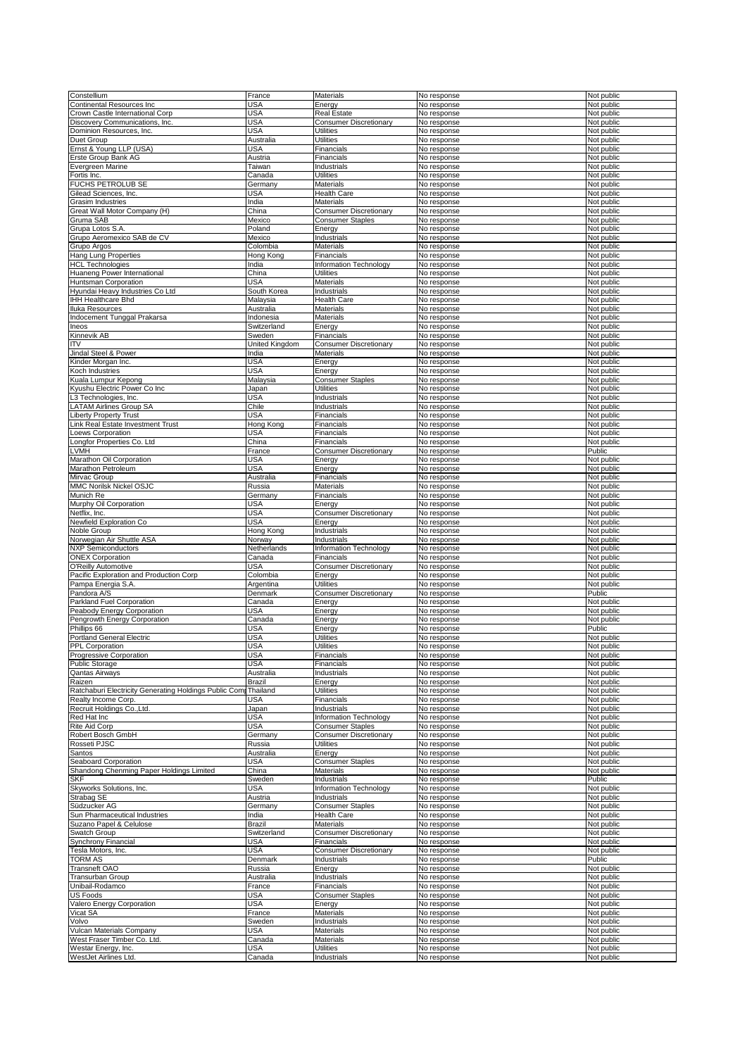| Constellium<br>Continental Resources Inc                       |                | Materials                       | No response                |                          |
|----------------------------------------------------------------|----------------|---------------------------------|----------------------------|--------------------------|
|                                                                | France         |                                 |                            | Not public               |
|                                                                | USA            | Energy                          | No response                | Not public               |
| Crown Castle International Corp                                | USA            | Real Estate                     | No response                | Not public               |
| Discovery Communications, Inc.                                 | <b>USA</b>     | <b>Consumer Discretionary</b>   | No response                | Not public               |
| Dominion Resources, Inc.                                       | USA            | Utilities                       | No response                | Not public               |
|                                                                |                |                                 |                            |                          |
| Duet Group                                                     | Australia      | <b>Utilities</b>                | No response                | Not public               |
| Ernst & Young LLP (USA)                                        | USA            | Financials                      | No response                | Not public               |
| Erste Group Bank AG                                            | Austria        | Financials                      | No response                | Not public               |
| Evergreen Marine                                               | Taiwan         | Industrials                     | No response                | Not public               |
|                                                                |                |                                 |                            |                          |
| Fortis Inc.                                                    | Canada         | <b>Utilities</b>                | No response                | Not public               |
| FUCHS PETROLUB SE                                              | Germany        | Materials                       | No response                | Not public               |
| Gilead Sciences, Inc.                                          | USA            | Health Care                     | No response                | Not public               |
| Grasim Industries                                              | India          | Materials                       |                            | Not public               |
|                                                                |                |                                 | No response                |                          |
| Great Wall Motor Company (H)                                   | China          | <b>Consumer Discretionary</b>   | No response                | Not public               |
| Gruma SAB                                                      | Mexico         | <b>Consumer Staples</b>         | No response                | Not public               |
| Grupa Lotos S.A.                                               | Poland         | Energy                          | No response                | Not public               |
| Grupo Aeromexico SAB de CV                                     | Mexico         | Industrials                     | No response                | Not public               |
|                                                                |                |                                 |                            |                          |
| Grupo Argos                                                    | Colombia       | <b>Materials</b>                | No response                | Not public               |
| Hang Lung Properties                                           | Hong Kong      | Financials                      | No response                | Not public               |
| <b>HCL Technologies</b>                                        | India          | Information Technology          | No response                | Not public               |
|                                                                |                | <b>Utilities</b>                |                            |                          |
| Huaneng Power International                                    | China          |                                 | No response                | Not public               |
| Huntsman Corporation                                           | USA            | Materials                       | No response                | Not public               |
| Hyundai Heavy Industries Co Ltd                                | South Korea    | Industrials                     | No response                | Not public               |
| <b>IHH Healthcare Bhd</b>                                      | Malaysia       | <b>Health Care</b>              | No response                | Not public               |
|                                                                |                |                                 |                            |                          |
| <b>Iluka Resources</b>                                         | Australia      | <b>Materials</b>                | No response                | Not public               |
| Indocement Tunggal Prakarsa                                    | Indonesia      | <b>Materials</b>                | No response                | Not public               |
| Ineos                                                          | Switzerland    | Energy                          | No response                | Not public               |
|                                                                |                |                                 |                            |                          |
| Kinnevik AB                                                    | Sweden         | Financials                      | No response                | Not public               |
| ΙTV                                                            | United Kingdom | <b>Consumer Discretionary</b>   | No response                | Not public               |
| Jindal Steel & Power                                           | India          | <b>Materials</b>                | No response                | Not public               |
|                                                                | <b>USA</b>     |                                 | No response                |                          |
| Kinder Morgan Inc.                                             |                | Energy                          |                            | Not public               |
| Koch Industries                                                | <b>USA</b>     | Energy                          | No response                | Not public               |
| Kuala Lumpur Kepong                                            | Malaysia       | <b>Consumer Staples</b>         | No response                | Not public               |
| <b>Kyushu Electric Power Co Inc</b>                            | Japan          | Utilities                       | No response                | Not public               |
|                                                                |                |                                 |                            |                          |
| L3 Technologies, Inc.                                          | <b>USA</b>     | Industrials                     | No response                | Not public               |
| LATAM Airlines Group SA                                        | Chile          | Industrials                     | No response                | Not public               |
| iberty Property Trust                                          | <b>USA</b>     | Financials                      | No response                | Not public               |
|                                                                |                |                                 |                            |                          |
| Link Real Estate Investment Trust                              | Hong Kong      | Financials                      | No response                | Not public               |
| oews Corporation                                               | USA            | Financials                      | No response                | Not public               |
| ongfor Properties Co. Ltd.                                     | China          | Financials                      | No response                | Not public               |
|                                                                |                |                                 |                            |                          |
| -VMH                                                           | France         | <b>Consumer Discretionary</b>   | No response                | Public                   |
| Marathon Oil Corporation                                       | <b>USA</b>     | Energy                          | No response                | Not public               |
| Marathon Petroleum                                             | <b>USA</b>     | Energy                          | No response                | Not public               |
| Mirvac Group                                                   | Australia      | Financials                      | No response                | Not public               |
|                                                                |                |                                 |                            |                          |
| <b>MMC Norilsk Nickel OSJC</b>                                 | Russia         | Materials                       | No response                | Not public               |
| Munich Re                                                      | Germany        | Financials                      | No response                | Not public               |
| Murphy Oil Corporation                                         | USA            | Energy                          | No response                | Not public               |
| Netflix, Inc.                                                  | USA            |                                 |                            |                          |
|                                                                |                | <b>Consumer Discretionary</b>   | No response                | Not public               |
| Newfield Exploration Co                                        | <b>USA</b>     | Energy                          | No response                | Not public               |
| Noble Group                                                    | Hong Kong      | Industrials                     | No response                | Not public               |
| Norwegian Air Shuttle ASA                                      | Norway         | Industrials                     | No response                | Not public               |
|                                                                |                |                                 |                            |                          |
| <b>NXP Semiconductors</b>                                      | Netherlands    | Information Technology          | No response                | Not public               |
| <b>ONEX Corporation</b>                                        | Canada         | Financials                      | No response                | Not public               |
| O'Reilly Automotive                                            | USA            | <b>Consumer Discretionary</b>   | No response                | Not public               |
|                                                                |                |                                 |                            |                          |
| Pacific Exploration and Production Corp                        | Colombia       | Energy                          | No response                | Not public               |
| Pampa Energia S.A                                              | Argentina      | Utilities                       | No response                | Not public               |
| Pandora A/S                                                    | Denmark        | <b>Consumer Discretionary</b>   | No response                | Public                   |
| Parkland Fuel Corporation                                      | Canada         | Energy                          | No response                | Not public               |
|                                                                |                |                                 |                            |                          |
| Peabody Energy Corporation                                     | USA            | Energy                          | No response                | Not public               |
| Pengrowth Energy Corporation                                   | Canada         | Energy                          | No response                | Not public               |
| Phillips 66                                                    | <b>USA</b>     | Energy                          | No response                |                          |
|                                                                |                |                                 |                            |                          |
| <b>Portland General Electric</b>                               | <b>USA</b>     | Utilities                       |                            | Public                   |
| PPL Corporation                                                | <b>USA</b>     |                                 | No response                | Not public               |
|                                                                |                | <b>Utilities</b>                | No response                | Not public               |
|                                                                |                |                                 |                            |                          |
| Progressive Corporation                                        | USA            | Financials                      | No response                | Not public               |
| <b>Public Storage</b>                                          | <b>USA</b>     | Financials                      | No response                | Not public               |
| <b>Qantas Airways</b>                                          | Australia      | Industrials                     | No response                | Not public               |
| Raizen                                                         | Brazil         | Energy                          | No response                | Not public               |
|                                                                |                |                                 |                            |                          |
| Ratchaburi Electricity Generating Holdings Public CompThailand |                | <b>Utilities</b>                | No response                | Not public               |
| Realty Income Corp.                                            | USA            | Financials                      | No response                | Not public               |
| Recruit Holdings Co., Ltd.                                     | Japan          | Industrials                     | No response                | Not public               |
|                                                                |                | Information Technology          |                            |                          |
| Red Hat Inc                                                    | <b>USA</b>     |                                 | No response                | Not public               |
| Rite Aid Corp                                                  | USA            | <b>Consumer Staples</b>         | No response                | Not public               |
| Robert Bosch GmbH                                              | Germany        | <b>Consumer Discretionary</b>   | No response                | Not public               |
| Rosseti PJSC                                                   | Russia         | <b>Utilities</b>                | No response                | Not public               |
|                                                                |                |                                 |                            |                          |
| Santos                                                         | Australia      | Energy                          | No response                | Not public               |
| Seaboard Corporation                                           | <b>USA</b>     | <b>Consumer Staples</b>         | No response                | Not public               |
| Shandong Chenming Paper Holdings Limited                       | China          | Materials                       | No response                | Not public               |
| SKF                                                            | Sweden         | Industrials                     | No response                | Public                   |
|                                                                |                |                                 |                            |                          |
| Skyworks Solutions, Inc.                                       | USA            | Information Technology          | No response                | Not public               |
| Strabag SE                                                     | Austria        | Industrials                     | No response                | Not public               |
| Südzucker AG                                                   | Germany        | <b>Consumer Staples</b>         | No response                | Not public               |
| Sun Pharmaceutical Industries                                  | India          | <b>Health Care</b>              |                            | Not public               |
|                                                                |                |                                 | No response                |                          |
| Suzano Papel & Celulose                                        | <b>Brazil</b>  | Materials                       | No response                | Not public               |
| Swatch Group                                                   | Switzerland    | <b>Consumer Discretionary</b>   | No response                | Not public               |
| Synchrony Financial                                            | USA            | Financials                      | No response                | Not public               |
|                                                                |                |                                 |                            |                          |
| Tesla Motors, Inc.                                             | USA            | <b>Consumer Discretionary</b>   | No response                | Not public               |
| TORM AS                                                        | Denmark        | Industrials                     | No response                | Public                   |
| Transneft OAO                                                  | Russia         | Energy                          | No response                | Not public               |
|                                                                |                |                                 |                            |                          |
| <b>Transurban Group</b>                                        | Australia      | Industrials                     | No response                | Not public               |
| Jnibail-Rodamco                                                | France         | Financials                      | No response                | Not public               |
| US Foods                                                       | USA            | <b>Consumer Staples</b>         | No response                | Not public               |
|                                                                |                |                                 |                            |                          |
| Valero Energy Corporation                                      | <b>USA</b>     | Energy                          | No response                | Not public               |
| Vicat SA                                                       | France         | Materials                       | No response                | Not public               |
| Volvo                                                          | Sweden         | Industrials                     | No response                | Not public               |
| Vulcan Materials Company                                       | USA            | Materials                       | No response                | Not public               |
|                                                                |                |                                 |                            |                          |
| West Fraser Timber Co. Ltd.                                    | Canada         | Materials                       | No response                | Not public               |
| Westar Energy, Inc.<br>WestJet Airlines Ltd.                   | USA<br>Canada  | <b>Utilities</b><br>Industrials | No response<br>No response | Not public<br>Not public |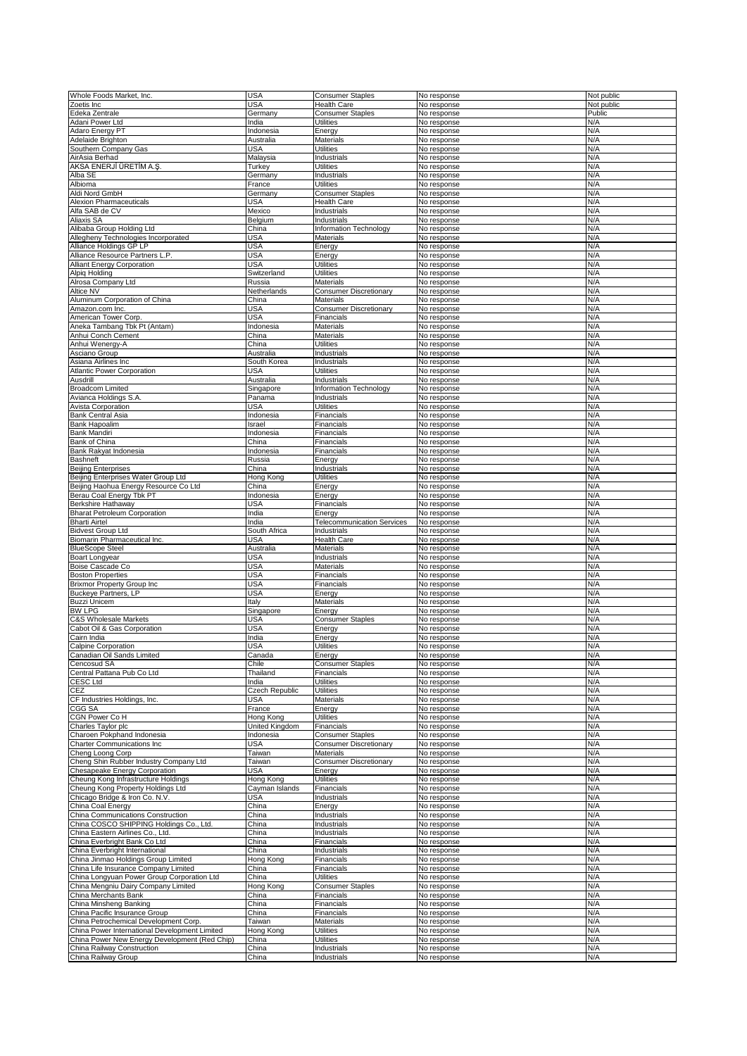| Whole Foods Market, Inc                       | <b>USA</b>     | <b>Consumer Staples</b>           | No response | Not public |
|-----------------------------------------------|----------------|-----------------------------------|-------------|------------|
|                                               |                |                                   |             |            |
| Zoetis Inc                                    | USA            | <b>Health Care</b>                | No response | Not public |
| Edeka Zentrale                                | Germany        | <b>Consumer Staples</b>           | No response | Public     |
| Adani Power Ltd                               | India          | <b>Utilities</b>                  | No response | N/A        |
| Adaro Energy PT                               | Indonesia      | Energy                            | No response | N/A        |
|                                               |                |                                   |             |            |
| Adelaide Brighton                             | Australia      | Materials                         | No response | N/A        |
| Southern Company Gas                          | USA            | <b>Utilities</b>                  | No response | N/A        |
| AirAsia Berhad                                | Malaysia       | Industrials                       | No response | N/A        |
| AKSA ENERJİ ÜRETİM A.Ş.                       | Turkey         | <b>Utilities</b>                  | No response | N/A        |
|                                               |                |                                   |             |            |
| Alba SE                                       | Germany        | Industrials                       | No response | N/A        |
| Albioma                                       | France         | <b>Utilities</b>                  | No response | N/A        |
| Aldi Nord GmbH                                | Germany        | <b>Consumer Staples</b>           | No response | N/A        |
|                                               |                |                                   |             |            |
| Alexion Pharmaceuticals                       | USA            | <b>Health Care</b>                | No response | N/A        |
| Alfa SAB de CV                                | Mexico         | Industrials                       | No response | N/A        |
| Aliaxis SA                                    | Belgium        | Industrials                       | No response | N/A        |
| Alibaba Group Holding Ltd                     | China          | Information Technology            | No response | N/A        |
|                                               |                |                                   |             |            |
| Allegheny Technologies Incorporated           | USA            | <b>Materials</b>                  | No response | N/A        |
| Alliance Holdings GP LP                       | USA            | Energy                            | No response | N/A        |
| Alliance Resource Partners L.P.               | USA            | Energy                            | No response | N/A        |
|                                               |                |                                   |             |            |
| <b>Alliant Energy Corporation</b>             | USA            | <b>Utilities</b>                  | No response | N/A        |
| Alpig Holding                                 | Switzerland    | <b>Utilities</b>                  | No response | N/A        |
| Alrosa Company Ltd                            | Russia         | Materials                         | No response | N/A        |
|                                               |                |                                   |             | N/A        |
| Altice NV                                     | Netherlands    | <b>Consumer Discretionary</b>     | No response |            |
| Aluminum Corporation of China                 | China          | Materials                         | No response | N/A        |
| Amazon.com Inc.                               | USA            | <b>Consumer Discretionary</b>     | No response | N/A        |
|                                               | USA            |                                   |             | N/A        |
| American Tower Corp.                          |                | Financials                        | No response |            |
| Aneka Tambang Tbk Pt (Antam)                  | Indonesia      | Materials                         | No response | N/A        |
| Anhui Conch Cement                            | China          | Materials                         | No response | N/A        |
| Anhui Wenergy-A                               | China          | <b>Utilities</b>                  | No response | N/A        |
|                                               |                |                                   |             |            |
| Asciano Group                                 | Australia      | Industrials                       | No response | N/A        |
| Asiana Airlines Inc                           | South Korea    | Industrials                       | No response | N/A        |
| <b>Atlantic Power Corporation</b>             | USA            | <b>Utilities</b>                  | No response | N/A        |
|                                               |                |                                   |             |            |
| Ausdrill                                      | Australia      | Industrials                       | No response | N/A        |
| <b>Broadcom Limited</b>                       | Singapore      | Information Technology            | No response | N/A        |
| Avianca Holdings S.A.                         | Panama         | Industrials                       | No response | N/A        |
|                                               |                |                                   |             | N/A        |
| Avista Corporation                            | USA            | <b>Utilities</b>                  | No response |            |
| <b>Bank Central Asia</b>                      | Indonesia      | Financials                        | No response | N/A        |
| Bank Hapoalim                                 | Israel         | Financials                        | No response | N/A        |
| <b>Bank Mandiri</b>                           | Indonesia      | Financials                        | No response | N/A        |
|                                               |                |                                   |             |            |
| Bank of China                                 | China          | Financials                        | No response | N/A        |
| Bank Rakyat Indonesia                         | Indonesia      | Financials                        | No response | N/A        |
| Bashneft                                      | Russia         | Energy                            | No response | N/A        |
|                                               |                |                                   |             |            |
| <b>Beijing Enterprises</b>                    | China          | Industrials                       | No response | N/A        |
| Beijing Enterprises Water Group Ltd           | Hong Kong      | <b>Utilities</b>                  | No response | N/A        |
| Beijing Haohua Energy Resource Co Ltd         | China          | Energy                            | No response | N/A        |
|                                               |                |                                   |             |            |
| Berau Coal Energy Tbk PT                      | Indonesia      | Energy                            | No response | N/A        |
| Berkshire Hathaway                            | USA            | Financials                        | No response | N/A        |
| <b>Bharat Petroleum Corporation</b>           | India          | Energy                            | No response | N/A        |
| <b>Bharti Airtel</b>                          | India          | <b>Telecommunication Services</b> | No response | N/A        |
|                                               |                |                                   |             |            |
| <b>Bidvest Group Ltd</b>                      | South Africa   | Industrials                       | No response | N/A        |
| Biomarin Pharmaceutical Inc.                  | USA            | <b>Health Care</b>                | No response | N/A        |
| <b>BlueScope Steel</b>                        | Australia      | Materials                         | No response | N/A        |
|                                               |                |                                   |             |            |
| Boart Longyear                                | USA            | Industrials                       | No response | N/A        |
| Boise Cascade Co                              | USA            | Materials                         | No response | N/A        |
| <b>Boston Properties</b>                      | USA            | Financials                        | No response | N/A        |
| <b>Brixmor Property Group Inc</b>             | <b>USA</b>     | Financials                        | No response | N/A        |
|                                               |                |                                   |             |            |
| Buckeye Partners, LP                          | USA            | Energy                            | No response | N/A        |
| <b>Buzzi Unicem</b>                           | Italy          | Materials                         | No response | N/A        |
| <b>BW LPG</b>                                 | Singapore      | Energy                            | No response | N/A        |
|                                               |                |                                   |             |            |
| C&S Wholesale Markets                         | USA            | <b>Consumer Staples</b>           | No response | N/A        |
| Cabot Oil & Gas Corporation                   | USA            | Energy                            | No response | N/A        |
| Cairn India                                   | India          | Energy                            | No response | N/A        |
|                                               |                |                                   |             |            |
| Calpine Corporation                           | USA            | <b>Utilities</b>                  | No response | N/A        |
| Canadian Oil Sands Limited                    | Canada         | Energy                            | No response | N/A        |
| Cencosud SA                                   | Chile          | <b>Consumer Staples</b>           | No response | N/A        |
| Central Pattana Pub Co Ltd                    | Thailand       | Financials                        | No response | N/A        |
|                                               |                |                                   |             |            |
| <b>CESC Ltd</b>                               | India          | <b>Utilities</b>                  | No response | N/A        |
| CEZ                                           | Czech Republic | <b>Utilities</b>                  | No response | N/A        |
| CF Industries Holdings, Inc.                  | USA            | Materials                         | No response | N/A        |
|                                               |                |                                   |             |            |
| CGG SA                                        | France         | Energy                            | No response | N/A        |
| CGN Power Co H                                | Hong Kong      | <b>Utilities</b>                  | No response | N/A        |
| Charles Taylor plc                            | United Kingdom | Financials                        | No response | N/A        |
| Charoen Pokphand Indonesia                    | Indonesia      | <b>Consumer Staples</b>           | No response | N/A        |
|                                               |                |                                   |             |            |
| <b>Charter Communications Inc</b>             | USA            | <b>Consumer Discretionary</b>     | No response | N/A        |
| Cheng Loong Corp                              | Taiwan         | <b>Materials</b>                  | No response | N/A        |
| Cheng Shin Rubber Industry Company Ltd        | Taiwan         | <b>Consumer Discretionary</b>     | No response | N/A        |
|                                               |                |                                   |             |            |
| Chesapeake Energy Corporation                 | USA            | Energy                            | No response | N/A        |
| Cheung Kong Infrastructure Holdings           | Hong Kong      | <b>Utilities</b>                  | No response | N/A        |
| Cheung Kong Property Holdings Ltd             | Cayman Islands | Financials                        | No response | N/A        |
|                                               |                |                                   |             | N/A        |
| Chicago Bridge & Iron Co. N.V.                | USA            | Industrials                       | No response |            |
| China Coal Energy                             | China          | Energy                            | No response | N/A        |
| China Communications Construction             | China          | Industrials                       | No response | N/A        |
| China COSCO SHIPPING Holdings Co., Ltd.       | China          | Industrials                       | No response | N/A        |
|                                               |                |                                   |             |            |
| China Eastern Airlines Co., Ltd.              | China          | Industrials                       | No response | N/A        |
| China Everbright Bank Co Ltd                  | China          | Financials                        | No response | N/A        |
| China Everbright International                | China          | Industrials                       | No response | N/A        |
|                                               |                |                                   |             |            |
| China Jinmao Holdings Group Limited           | Hong Kong      | Financials                        | No response | N/A        |
| China Life Insurance Company Limited          | China          | Financials                        | No response | N/A        |
| China Longyuan Power Group Corporation Ltd    | China          | <b>Utilities</b>                  | No response | N/A        |
| China Mengniu Dairy Company Limited           | Hong Kong      | <b>Consumer Staples</b>           | No response | N/A        |
|                                               |                |                                   |             |            |
| China Merchants Bank                          | China          | Financials                        | No response | N/A        |
| China Minsheng Banking                        | China          | Financials                        | No response | N/A        |
| China Pacific Insurance Group                 | China          | Financials                        | No response | N/A        |
|                                               |                |                                   |             |            |
| China Petrochemical Development Corp.         | Taiwan         | Materials                         | No response | N/A        |
| China Power International Development Limited | Hong Kong      | <b>Utilities</b>                  | No response | N/A        |
| China Power New Energy Development (Red Chip) | China          | <b>Utilities</b>                  | No response | N/A        |
| China Railway Construction                    |                |                                   |             | N/A        |
|                                               | China          | Industrials                       | No response |            |
| China Railway Group                           | China          | Industrials                       | No response | N/A        |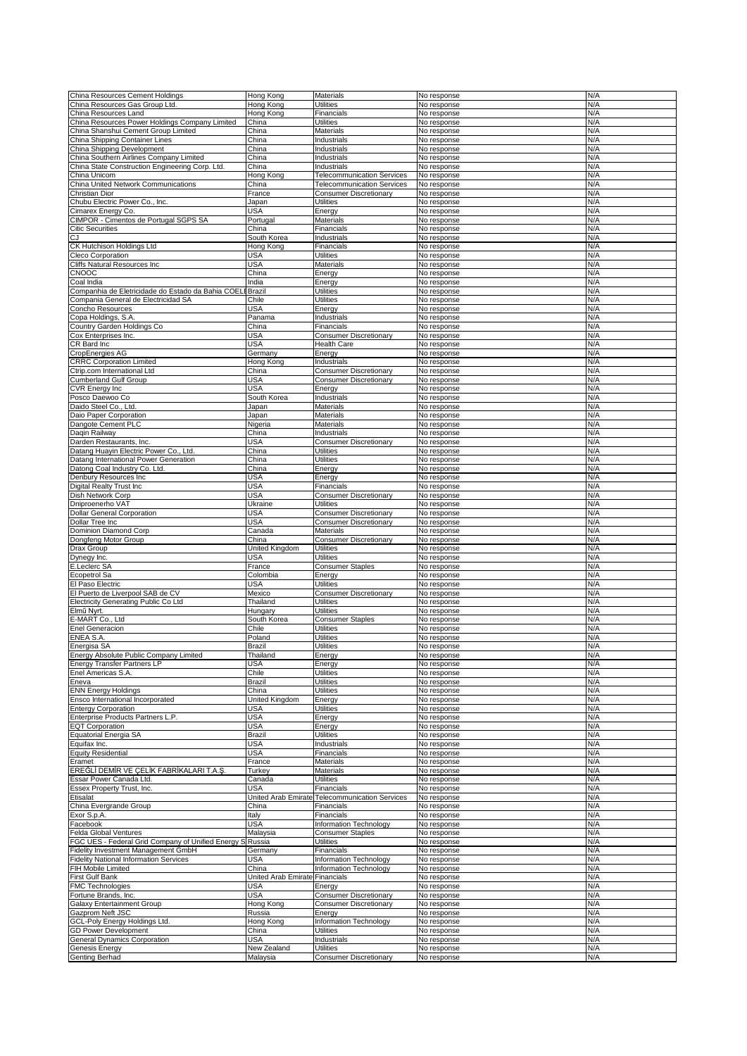| China Resources Cement Holdings                   | Hong Kong                      | Materials                         | No response | N/A |
|---------------------------------------------------|--------------------------------|-----------------------------------|-------------|-----|
| China Resources Gas Group Ltd.                    | Hong Kong                      | Utilities                         | No response | N/A |
| China Resources Land                              | Hong Kong                      | <b>Financials</b>                 | No response | N/A |
| China Resources Power Holdings Company Limited    | China                          | Utilities                         | No response | N/A |
|                                                   |                                |                                   |             |     |
| China Shanshui Cement Group Limited               | China                          | Materials                         | No response | N/A |
| China Shipping Container Lines                    | China                          | Industrials                       | No response | N/A |
| China Shipping Development                        | China                          | Industrials                       | No response | N/A |
|                                                   |                                |                                   |             |     |
| China Southern Airlines Company Limited           | China                          | Industrials                       | No response | N/A |
| China State Construction Engineering Corp. Ltd.   | China                          | Industrials                       | No response | N/A |
| China Unicom                                      | Hong Kong                      | <b>Telecommunication Services</b> | No response | N/A |
|                                                   |                                |                                   |             |     |
| China United Network Communications               | China                          | <b>Telecommunication Services</b> | No response | N/A |
| Christian Dior                                    | France                         | Consumer Discretionary            | No response | N/A |
| Chubu Electric Power Co., Inc.                    | Japan                          | Utilities                         | No response | N/A |
|                                                   |                                |                                   |             |     |
| Cimarex Energy Co.                                | USA                            | Energy                            | No response | N/A |
| CIMPOR - Cimentos de Portugal SGPS SA             | Portugal                       | Materials                         | No response | N/A |
| <b>Citic Securities</b>                           | China                          | Financials                        | No response | N/A |
|                                                   |                                |                                   |             |     |
|                                                   | South Korea                    | Industrials                       | No response | N/A |
| CK Hutchison Holdings Ltd                         | Hong Kong                      | Financials                        | No response | N/A |
| Cleco Corporation                                 | USA                            | Utilities                         | No response | N/A |
|                                                   |                                |                                   |             |     |
| Cliffs Natural Resources Inc                      | USA                            | Materials                         | No response | N/A |
| <b>CNOOC</b>                                      | China                          | Energy                            | No response | N/A |
| Coal India                                        | India                          | Energy                            | No response | N/A |
|                                                   |                                |                                   |             |     |
| Companhia de Eletricidade do Estado da Bahia COEI | Brazil                         | Utilities                         | No response | N/A |
| Compania General de Electricidad SA               | Chile                          | Utilities                         | No response | N/A |
| Concho Resources                                  | USA                            | Energy                            | No response | N/A |
|                                                   |                                |                                   |             |     |
| Copa Holdings, S.A.                               | Panama                         | Industrials                       | No response | N/A |
| Country Garden Holdings Co                        | China                          | Financials                        | No response | N/A |
|                                                   |                                |                                   |             |     |
| Cox Enterprises Inc.                              | USA                            | <b>Consumer Discretionary</b>     | No response | N/A |
| CR Bard Inc                                       | USA                            | <b>Health Care</b>                | No response | N/A |
| CropEnergies AG                                   | Germany                        | Energy                            | No response | N/A |
|                                                   |                                |                                   |             | N/A |
| <b>CRRC</b> Corporation Limited                   | Hong Kong                      | Industrials                       | No response |     |
| Ctrip.com International Ltd                       | China                          | <b>Consumer Discretionary</b>     | No response | N/A |
| <b>Cumberland Gulf Group</b>                      | <b>USA</b>                     | <b>Consumer Discretionary</b>     | No response | N/A |
|                                                   |                                |                                   |             |     |
| CVR Energy Inc                                    | USA                            | Energy                            | No response | N/A |
| Posco Daewoo Co                                   | South Korea                    | Industrials                       | No response | N/A |
|                                                   |                                |                                   |             |     |
| Daido Steel Co., Ltd.                             | Japan                          | Materials                         | No response | N/A |
| Daio Paper Corporation                            | Japan                          | <b>Materials</b>                  | No response | N/A |
| Dangote Cement PLC                                | Nigeria                        | Materials                         | No response | N/A |
|                                                   |                                |                                   |             |     |
| Daqin Railway                                     | China                          | Industrials                       | No response | N/A |
| Darden Restaurants, Inc.                          | USA                            | <b>Consumer Discretionary</b>     | No response | N/A |
| Datang Huayin Electric Power Co., Ltd.            | China                          | Utilities                         | No response | N/A |
|                                                   |                                |                                   |             |     |
| Datang International Power Generation             | China                          | Utilities                         | No response | N/A |
| Datong Coal Industry Co. Ltd.                     | China                          | Energy                            | No response | N/A |
| Denbury Resources Inc                             | USA                            | Energy                            |             | N/A |
|                                                   |                                |                                   | No response |     |
| Digital Realty Trust Inc                          | USA                            | Financials                        | No response | N/A |
| Dish Network Corp                                 | USA                            | <b>Consumer Discretionary</b>     | No response | N/A |
|                                                   |                                |                                   |             |     |
| Dniproenerho VAT                                  | Ukraine                        | <b>Utilities</b>                  | No response | N/A |
| <b>Dollar General Corporation</b>                 | USA                            | <b>Consumer Discretionary</b>     | No response | N/A |
| Dollar Tree Inc                                   | USA                            | <b>Consumer Discretionary</b>     | No response | N/A |
|                                                   |                                |                                   |             |     |
|                                                   |                                |                                   |             |     |
| Dominion Diamond Corp                             | Canada                         | Materials                         | No response | N/A |
|                                                   | China                          |                                   |             | N/A |
| Dongfeng Motor Group                              |                                | <b>Consumer Discretionary</b>     | No response |     |
| Drax Group                                        | United Kingdom                 | Utilities                         | No response | N/A |
| Dynegy Inc.                                       | USA                            | Utilities                         | No response | N/A |
|                                                   |                                |                                   |             |     |
| E.Leclerc SA                                      | France                         | <b>Consumer Staples</b>           | No response | N/A |
| Ecopetrol Sa                                      | Colombia                       | Energy                            | No response | N/A |
| El Paso Electric                                  | USA                            | Utilities                         | No response | N/A |
|                                                   |                                |                                   |             |     |
| El Puerto de Liverpool SAB de CV                  | Mexico                         | <b>Consumer Discretionary</b>     | No response | N/A |
| Electricity Generating Public Co Ltd              | Thailand                       | <b>Utilities</b>                  | No response | N/A |
| Elmű Nyrt.                                        | Hungary                        | Utilities                         | No response | N/A |
|                                                   |                                |                                   |             |     |
| E-MART Co., Ltd                                   | South Korea                    | <b>Consumer Staples</b>           | No response | N/A |
| <b>Enel Generacion</b>                            | Chile                          | Utilities                         | No response | N/A |
| <b>ENEA S.A.</b>                                  | Poland                         | Utilities                         | No response | N/A |
|                                                   |                                |                                   |             |     |
| Energisa <sub>SA</sub>                            | Brazil                         | <b>Utilities</b>                  | No response | N/A |
| Energy Absolute Public Company Limited            | Thailand                       | Energy                            | No response | N/A |
| <b>Energy Transfer Partners LP</b>                | USA                            |                                   | No response | N/A |
|                                                   |                                | Energy                            |             |     |
| Enel Americas S.A.                                | Chile                          | <b>Utilities</b>                  | No response | N/A |
| Eneva                                             | Brazil                         | Utilities                         | No response | N/A |
|                                                   |                                |                                   |             |     |
| <b>ENN Energy Holdings</b>                        | China                          | Utilities                         | No response | N/A |
| Ensco International Incorporated                  | United Kingdom                 | Energy                            | No response | N/A |
| <b>Enteray Corporation</b>                        | USA                            | Utilities                         | No response | N/A |
|                                                   |                                |                                   |             |     |
| Enterprise Products Partners L.P.                 | USA                            | Energy                            | No response | N/A |
| <b>EQT Corporation</b>                            | USA                            | Energy                            | No response | N/A |
| Equatorial Energia SA                             | Brazil                         | Utilities                         | No response | N/A |
| Equifax Inc.                                      | USA                            | Industrials                       | No response | N/A |
|                                                   |                                |                                   |             |     |
| <b>Equity Residential</b>                         | <b>USA</b>                     | Financials                        | No response | N/A |
| Eramet                                            | France                         | Materials                         | No response | N/A |
|                                                   |                                |                                   |             | N/A |
| EREĞLİ DEMİR VE ÇELİK FABRİKALARI T.A.Ş.          | Turkey                         | Materials                         | No response |     |
| Essar Power Canada Ltd.                           | Canada                         | Utilities                         | No response | N/A |
| Essex Property Trust, Inc.                        | USA                            | Financials                        | No response | N/A |
|                                                   |                                |                                   |             |     |
| Etisalat                                          | United Arab Emirate            | <b>Telecommunication Services</b> | No response | N/A |
| China Evergrande Group                            | China                          | Financials                        | No response | N/A |
| Exor S.p.A.                                       | Italy                          | Financials                        | No response | N/A |
|                                                   |                                |                                   |             |     |
| Facebook                                          | USA                            | Information Technology            | No response | N/A |
| Felda Global Ventures                             | Malaysia                       | <b>Consumer Staples</b>           | No response | N/A |
| FGC UES - Federal Grid Company of Unified Energy  | Russia                         | Utilities                         | No response | N/A |
|                                                   |                                |                                   |             |     |
| Fidelity Investment Management GmbH               | Germany                        | Financials                        | No response | N/A |
| <b>Fidelity National Information Services</b>     | <b>USA</b>                     | Information Technology            | No response | N/A |
| FIH Mobile Limited                                | China                          |                                   |             | N/A |
|                                                   |                                | Information Technology            | No response |     |
| First Gulf Bank                                   | United Arab Emirate Financials |                                   | No response | N/A |
| <b>FMC Technologies</b>                           | USA                            | Energy                            | No response | N/A |
|                                                   |                                |                                   |             | N/A |
| Fortune Brands, Inc.                              | USA                            | <b>Consumer Discretionary</b>     | No response |     |
| Galaxy Entertainment Group                        | Hong Kong                      | <b>Consumer Discretionary</b>     | No response | N/A |
| Gazprom Neft JSC                                  | Russia                         | Energy                            | No response | N/A |
| GCL-Poly Energy Holdings Ltd.                     | Hong Kong                      | Information Technology            | No response | N/A |
|                                                   |                                |                                   |             |     |
| <b>GD Power Development</b>                       | China                          | Utilities                         | No response | N/A |
| General Dynamics Corporation                      | USA                            | Industrials                       | No response | N/A |
| Genesis Energy                                    | New Zealand                    | <b>Utilities</b>                  | No response | N/A |
| <b>Genting Berhad</b>                             | Malaysia                       | <b>Consumer Discretionary</b>     | No response | N/A |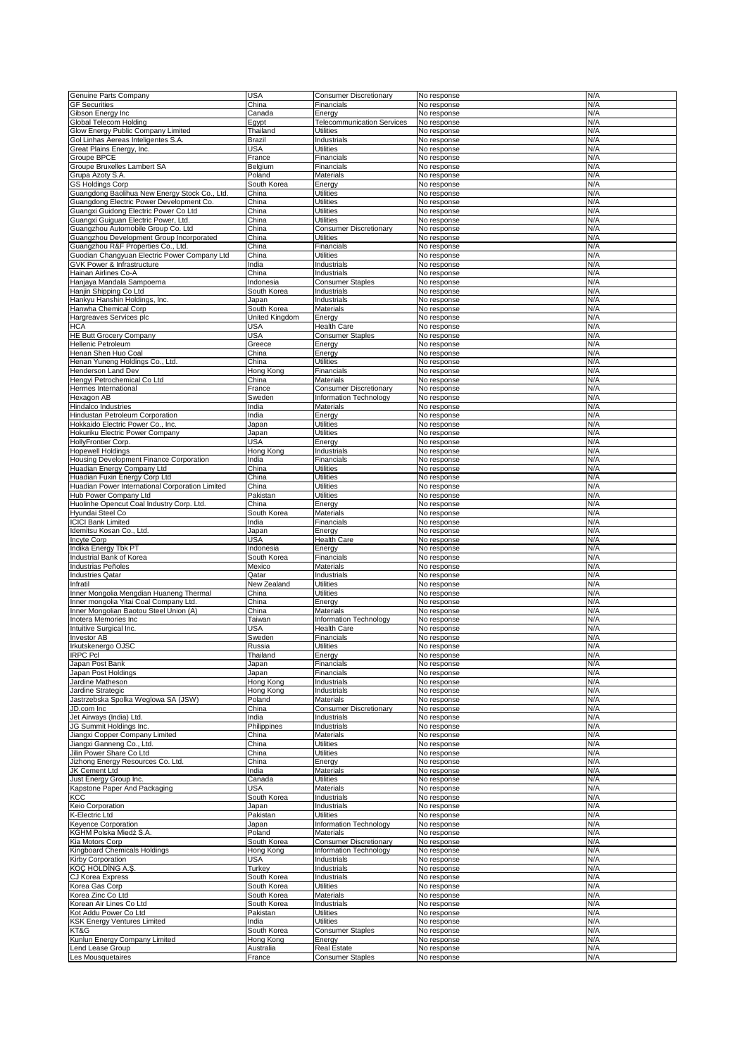| Genuine Parts Company                           | <b>USA</b>     | <b>Consumer Discretionary</b>     | No response | N/A |
|-------------------------------------------------|----------------|-----------------------------------|-------------|-----|
| <b>GF Securities</b>                            | China          | Financials                        | No response | N/A |
| Gibson Energy Inc                               | Canada         | Energy                            | No response | N/A |
| Global Telecom Holding                          | Egypt          | <b>Telecommunication Services</b> | No response | N/A |
| Glow Energy Public Company Limited              | Thailand       | <b>Utilities</b>                  | No response | N/A |
| Gol Linhas Aereas Inteligentes S.A.             | Brazil         | Industrials                       | No response | N/A |
| Great Plains Energy, Inc.                       | USA            | <b>Utilities</b>                  | No response | N/A |
| Groupe BPCE                                     | France         | Financials                        | No response | N/A |
| <b>Groupe Bruxelles Lambert SA</b>              | Belgium        | Financials                        | No response | N/A |
|                                                 | Poland         |                                   |             | N/A |
| Grupa Azoty S.A.                                |                | Materials                         | No response |     |
| <b>GS Holdings Corp</b>                         | South Korea    | Energy                            | No response | N/A |
| Guangdong Baolihua New Energy Stock Co., Ltd.   | China          | Utilities                         | No response | N/A |
| Guangdong Electric Power Development Co.        | China          | Utilities                         | No response | N/A |
| Guangxi Guidong Electric Power Co Ltd           | China          | <b>Utilities</b>                  | No response | N/A |
| Guangxi Guiguan Electric Power, Ltd.            | China          | <b>Utilities</b>                  | No response | N/A |
| Guangzhou Automobile Group Co. Ltd              | China          | <b>Consumer Discretionary</b>     | No response | N/A |
| Guangzhou Development Group Incorporated        | China          | <b>Utilities</b>                  | No response | N/A |
| Guangzhou R&F Properties Co., Ltd.              | China          | Financials                        | No response | N/A |
|                                                 |                |                                   |             |     |
| Guodian Changyuan Electric Power Company Ltd    | China          | <b>Utilities</b>                  | No response | N/A |
| GVK Power & Infrastructure                      | India          | Industrials                       | No response | N/A |
| Hainan Airlines Co-A                            | China          | Industrials                       | No response | N/A |
| Hanjaya Mandala Sampoerna                       | Indonesia      | <b>Consumer Staples</b>           | No response | N/A |
| Hanjin Shipping Co Ltd                          | South Korea    | Industrials                       | No response | N/A |
| Hankyu Hanshin Holdings, Inc.                   | Japan          | Industrials                       | No response | N/A |
| Hanwha Chemical Corp                            | South Korea    | Materials                         | No response | N/A |
| Hargreaves Services plc                         | United Kingdom | Energy                            | No response | N/A |
| HCA                                             | USA            | <b>Health Care</b>                | No response | N/A |
|                                                 |                |                                   |             |     |
| <b>HE Butt Grocery Company</b>                  | <b>USA</b>     | <b>Consumer Staples</b>           | No response | N/A |
| Hellenic Petroleum                              | Greece         | Energy                            | No response | N/A |
| Henan Shen Huo Coal                             | China          | Energy                            | No response | N/A |
| Henan Yuneng Holdings Co., Ltd.                 | China          | Utilities                         | No response | N/A |
| Henderson Land Dev                              | Hong Kong      | Financials                        | No response | N/A |
| Hengyi Petrochemical Co Ltd                     | China          | Materials                         | No response | N/A |
| Hermes International                            | France         | <b>Consumer Discretionary</b>     | No response | N/A |
| Hexagon AB                                      | Sweden         | Information Technology            | No response | N/A |
|                                                 |                |                                   |             | N/A |
| Hindalco Industries                             | India          | Materials                         | No response |     |
| <b>Hindustan Petroleum Corporation</b>          | India          | Energy                            | No response | N/A |
| Hokkaido Electric Power Co., Inc.               | Japan          | <b>Utilities</b>                  | No response | N/A |
| Hokuriku Electric Power Company                 | Japan          | Utilities                         | No response | N/A |
| HollyFrontier Corp.                             | USA            | Energy                            | No response | N/A |
| <b>Hopewell Holdings</b>                        | Hong Kong      | Industrials                       | No response | N/A |
| Housing Development Finance Corporation         | India          | Financials                        | No response | N/A |
| Huadian Energy Company Ltd                      | China          | <b>Utilities</b>                  | No response | N/A |
| Huadian Fuxin Energy Corp Ltd                   | China          | <b>Utilities</b>                  | No response | N/A |
| Huadian Power International Corporation Limited | China          | Utilities                         | No response | N/A |
|                                                 |                |                                   |             |     |
| Hub Power Company Ltd                           | Pakistan       | Utilities                         | No response | N/A |
| Huolinhe Opencut Coal Industry Corp. Ltd.       | China          | Energy                            | No response | N/A |
| Hyundai Steel Co                                | South Korea    | Materials                         | No response | N/A |
| <b>CICI Bank Limited</b>                        | India          | Financials                        | No response | N/A |
| Idemitsu Kosan Co., Ltd.                        | Japan          | Energy                            | No response | N/A |
| Incyte Corp                                     | USA            | <b>Health Care</b>                | No response | N/A |
| Indika Energy Tbk PT                            | Indonesia      | Energy                            | No response | N/A |
|                                                 |                |                                   |             |     |
| Industrial Bank of Korea                        | South Korea    | Financials                        | No response | N/A |
| Industrias Peñoles                              | Mexico         | Materials                         | No response | N/A |
| <b>Industries Qatar</b>                         | Qatar          | Industrials                       | No response | N/A |
| Infratil                                        | New Zealand    | <b>Utilities</b>                  | No response | N/A |
| Inner Mongolia Mengdian Huaneng Thermal         | China          | Utilities                         | No response | N/A |
| Inner mongolia Yitai Coal Company Ltd.          | China          | Energy                            | No response | N/A |
| Inner Mongolian Baotou Steel Union (A)          | China          | Materials                         | No response | N/A |
| Inotera Memories Inc                            | Taiwan         | Information Technology            | No response | N/A |
| Intuitive Surgical Inc.                         | USA            | <b>Health Care</b>                | No response | N/A |
| <b>Investor AB</b>                              | Sweden         | Financials                        | No response | N/A |
|                                                 |                |                                   |             |     |
| Irkutskenergo OJSC                              | Russia         | <b>Utilities</b>                  | No response | N/A |
| IRPC Pcl                                        | Thailand       | Energy                            | No response | N/A |
| Japan Post Bank                                 | Japan          | Financials                        | No response | N/A |
| Japan Post Holdings                             | Japan          | Financials                        | No response | N/A |
| Jardine Matheson                                | Hong Kong      | Industrials                       | No response | N/A |
| Jardine Strategic                               | Hong Kong      | Industrials                       | No response | N/A |
| Jastrzebska Spolka Weglowa SA (JSW)             | Poland         | <b>Materials</b>                  | No response | N/A |
| JD.com Inc                                      | China          | <b>Consumer Discretionary</b>     | No response | N/A |
| Jet Airways (India) Ltd.                        | India          | Industrials                       | No response | N/A |
| JG Summit Holdings Inc.                         | Philippines    | Industrials                       | No response | N/A |
| Jiangxi Copper Company Limited                  | China          | Materials                         | No response | N/A |
| Jiangxi Ganneng Co., Ltd.                       | China          | <b>Utilities</b>                  | No response | N/A |
|                                                 |                |                                   |             |     |
| Jilin Power Share Co Ltd                        | China          | <b>Utilities</b>                  | No response | N/A |
| Jizhong Energy Resources Co. Ltd.               | China          | Enerav                            | No response | N/A |
| JK Cement Ltd                                   | India          | Materials                         | No response | N/A |
| Just Energy Group Inc.                          | Canada         | <b>Utilities</b>                  | No response | N/A |
| Kapstone Paper And Packaging                    | USA            | Materials                         | No response | N/A |
| ксс                                             | South Korea    | Industrials                       | No response | N/A |
| Keio Corporation                                | Japan          | Industrials                       | No response | N/A |
| K-Electric Ltd                                  | Pakistan       | <b>Utilities</b>                  | No response | N/A |
| Keyence Corporation                             | Japan          | Information Technology            | No response | N/A |
| KGHM Polska Miedź S.A.                          | Poland         | Materials                         | No response | N/A |
| Kia Motors Corp                                 | South Korea    | <b>Consumer Discretionary</b>     | No response | N/A |
|                                                 |                |                                   |             |     |
| Kingboard Chemicals Holdings                    | Hong Kong      | Information Technology            | No response | N/A |
| Kirby Corporation                               | <b>USA</b>     | Industrials                       | No response | N/A |
| KOC HOLDING A.S.                                | Turkey         | <b>Industrials</b>                | No response | N/A |
| CJ Korea Express                                | South Korea    | Industrials                       | No response | N/A |
| Korea Gas Corp                                  | South Korea    | <b>Utilities</b>                  | No response | N/A |
| Korea Zinc Co Ltd                               | South Korea    | Materials                         | No response | N/A |
| Korean Air Lines Co Ltd                         | South Korea    | Industrials                       | No response | N/A |
| Kot Addu Power Co Ltd                           | Pakistan       | <b>Utilities</b>                  | No response | N/A |
| KSK Energy Ventures Limited                     | India          | <b>Utilities</b>                  | No response | N/A |
| KT&G                                            | South Korea    | <b>Consumer Staples</b>           | No response | N/A |
|                                                 |                |                                   |             |     |
| Kunlun Energy Company Limited                   | Hong Kong      | Energy                            | No response | N/A |
| Lend Lease Group                                | Australia      | <b>Real Estate</b>                | No response | N/A |
| Les Mousquetaires                               | France         | <b>Consumer Staples</b>           | No response | N/A |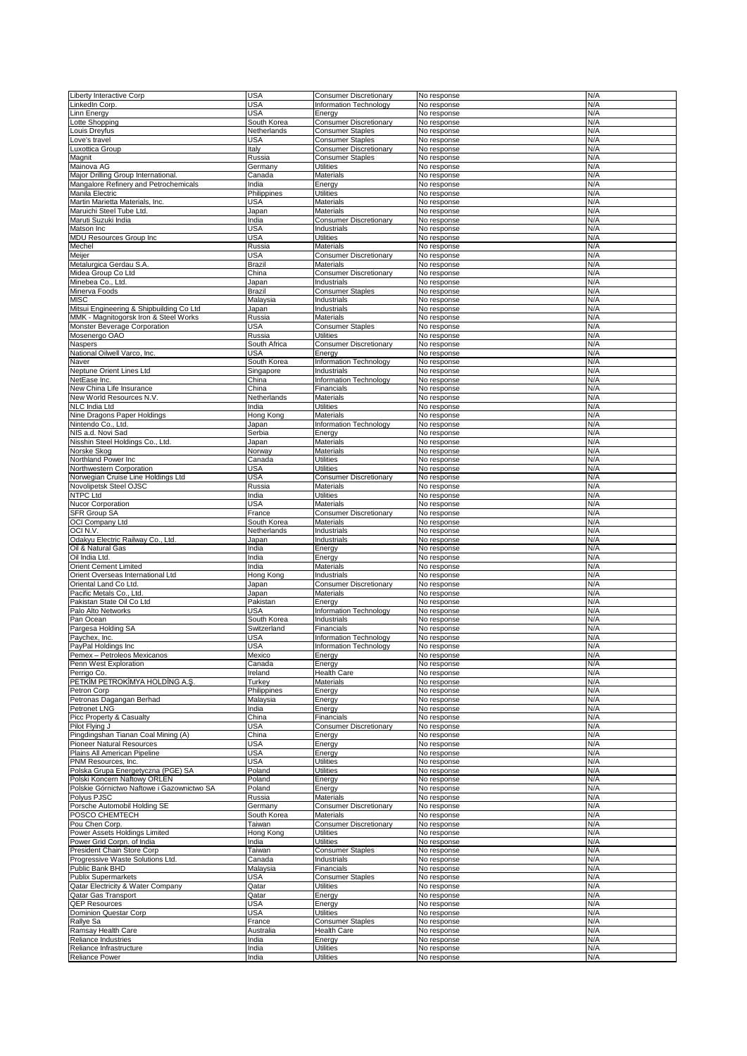| Liberty Interactive Corp                   | <b>USA</b>   | <b>Consumer Discretionary</b> | No response | N/A |
|--------------------------------------------|--------------|-------------------------------|-------------|-----|
| inkedIn Corp.                              | USA          | Information Technology        | No response | N/A |
| inn Energy                                 | USA          | Energy                        | No response | N/A |
| otte Shopping                              | South Korea  | <b>Consumer Discretionary</b> | No response | N/A |
| ouis Dreyfus                               | Netherlands  | <b>Consumer Staples</b>       | No response | N/A |
| ove's travel                               | USA          | <b>Consumer Staples</b>       | No response | N/A |
| uxottica Group                             | Italy        | <b>Consumer Discretionary</b> | No response | N/A |
| Magnit                                     | Russia       | <b>Consumer Staples</b>       | No response | N/A |
| Mainova AG                                 | Germany      | <b>Utilities</b>              | No response | N/A |
|                                            |              |                               |             |     |
| Major Drilling Group International         | Canada       | Materials                     | No response | N/A |
| Mangalore Refinery and Petrochemicals      | India        | Energy                        | No response | N/A |
| Manila Electric                            | Philippines  | Utilities                     | No response | N/A |
| Martin Marietta Materials, Inc.            | USA          | Materials                     | No response | N/A |
| Maruichi Steel Tube Ltd.                   | Japan        | Materials                     | No response | N/A |
| Maruti Suzuki India                        | India        | <b>Consumer Discretionary</b> | No response | N/A |
| Matson Inc                                 | USA          | Industrials                   | No response | N/A |
| MDU Resources Group Inc                    | <b>USA</b>   | <b>Utilities</b>              | No response | N/A |
|                                            |              |                               |             |     |
| Mechel                                     | Russia       | Materials                     | No response | N/A |
| Meijer                                     | USA          | Consumer Discretionary        | No response | N/A |
| Metalurgica Gerdau S.A.                    | Brazil       | Materials                     | No response | N/A |
| Midea Group Co Ltd                         | China        | <b>Consumer Discretionary</b> | No response | N/A |
| Minebea Co., Ltd.                          | Japan        | Industrials                   | No response | N/A |
| Minerva Foods                              | Brazil       | <b>Consumer Staples</b>       | No response | N/A |
| <b>MISC</b>                                | Malaysia     | Industrials                   | No response | N/A |
| Mitsui Engineering & Shipbuilding Co Ltd   | Japan        | Industrials                   | No response | N/A |
| MMK - Magnitogorsk Iron & Steel Works      |              | Materials                     |             | N/A |
|                                            | Russia       |                               | No response |     |
| Monster Beverage Corporation               | <b>USA</b>   | <b>Consumer Staples</b>       | No response | N/A |
| Mosenergo OAO                              | Russia       | <b>Utilities</b>              | No response | N/A |
| Naspers                                    | South Africa | <b>Consumer Discretionary</b> | No response | N/A |
| National Oilwell Varco, Inc.               | USA          | Energy                        | No response | N/A |
| Naver                                      | South Korea  | Information Technology        | No response | N/A |
| Neptune Orient Lines Ltd                   | Singapore    | Industrials                   | No response | N/A |
| NetEase Inc.                               | China        | Information Technology        | No response | N/A |
| New China Life Insurance                   | China        | Financials                    | No response | N/A |
|                                            |              |                               |             |     |
| New World Resources N.V.                   | Netherlands  | Materials                     | No response | N/A |
| NLC India Ltd                              | India        | <b>Utilities</b>              | No response | N/A |
| Nine Dragons Paper Holdings                | Hong Kong    | <b>Materials</b>              | No response | N/A |
| Nintendo Co., Ltd.                         | Japan        | Information Technology        | No response | N/A |
| NIS a.d. Novi Sad                          | Serbia       | Energy                        | No response | N/A |
| Nisshin Steel Holdings Co., Ltd.           | Japan        | Materials                     | No response | N/A |
| Norske Skog                                | Norway       | Materials                     | No response | N/A |
|                                            |              |                               |             | N/A |
| Northland Power Inc                        | Canada       | <b>Utilities</b>              | No response |     |
| Northwestern Corporation                   | <b>USA</b>   | <b>Utilities</b>              | No response | N/A |
| Norwegian Cruise Line Holdings Ltd         | USA          | <b>Consumer Discretionary</b> | No response | N/A |
| Novolipetsk Steel OJSC                     | Russia       | Materials                     | No response | N/A |
| <b>NTPC Ltd</b>                            | India        | <b>Utilities</b>              | No response | N/A |
| Nucor Corporation                          | USA          | Materials                     | No response | N/A |
| SFR Group SA                               | France       | <b>Consumer Discretionary</b> | No response | N/A |
| OCI Company Ltd                            | South Korea  | Materials                     | No response | N/A |
| OCIN.V.                                    | Netherlands  | Industrials                   | No response | N/A |
|                                            |              |                               |             |     |
| Odakyu Electric Railway Co., Ltd.          | Japan        | Industrials                   | No response | N/A |
| Oil & Natural Gas                          | India        | Energy                        | No response | N/A |
| Oil India Ltd.                             | India        | Energy                        | No response | N/A |
| <b>Orient Cement Limited</b>               | India        | Materials                     | No response | N/A |
| Orient Overseas International Ltd          | Hong Kong    | Industrials                   | No response | N/A |
| Oriental Land Co Ltd.                      | Japan        | <b>Consumer Discretionary</b> | No response | N/A |
| Pacific Metals Co., Ltd.                   | Japan        | Materials                     | No response | N/A |
| Pakistan State Oil Co Ltd                  | Pakistan     | Energy                        | No response | N/A |
|                                            |              |                               |             |     |
| Palo Alto Networks                         | USA          | <b>Information Technology</b> | No response | N/A |
| Pan Ocean                                  | South Korea  | Industrials                   | No response | N/A |
| Pargesa Holding SA                         | Switzerland  | Financials                    | No response | N/A |
| Paychex, Inc.                              | USA          | Information Technology        | No response | N/A |
| PayPal Holdings Inc                        | <b>USA</b>   | Information Technology        | No response | N/A |
| Pemex - Petroleos Mexicanos                | Mexico       | Energy                        | No response | N/A |
| Penn West Exploration                      | Canada       | Energy                        | No response | N/A |
| Perrigo Co.                                | Ireland      | Health Care                   | No response | N/A |
| PETKIM PETROKIMYA HOLDING A.Ş.             | Turkey       | Materials                     | No response | N/A |
|                                            |              |                               |             |     |
| Petron Corp                                | Philippines  | Energy                        | No response | N/A |
| Petronas Dagangan Berhad                   | Malaysia     | Energy                        | No response | N/A |
| Petronet LNG                               | India        | Energy                        | No response | N/A |
| Picc Property & Casualty                   | China        | Financials                    | No response | N/A |
| Pilot Flying J                             | <b>USA</b>   | <b>Consumer Discretionary</b> | No response | N/A |
| Pingdingshan Tianan Coal Mining (A)        | China        | Energy                        | No response | N/A |
| Pioneer Natural Resources                  | USA          | Energy                        | No response | N/A |
| Plains All American Pipeline               | <b>USA</b>   | Energy                        | No response | N/A |
| PNM Resources, Inc.                        | <b>USA</b>   | <b>Utilities</b>              | No response | N/A |
| Polska Grupa Energetyczna (PGE) SA         | Poland       | Utilities                     | No response | N/A |
| Polski Koncern Naftowy ORLEN               | Poland       | Energy                        | No response | N/A |
| Polskie Górnictwo Naftowe i Gazownictwo SA | Poland       |                               |             | N/A |
|                                            |              | Energy                        | No response |     |
| Polyus PJSC                                | Russia       | Materials                     | No response | N/A |
| Porsche Automobil Holding SE               | Germany      | <b>Consumer Discretionary</b> | No response | N/A |
| POSCO CHEMTECH                             | South Korea  | Materials                     | No response | N/A |
| Pou Chen Corp.                             | Taiwan       | <b>Consumer Discretionary</b> | No response | N/A |
| Power Assets Holdings Limited              | Hong Kong    | <b>Utilities</b>              | No response | N/A |
| Power Grid Corpn. of India                 | India        | <b>Utilities</b>              | No response | N/A |
| President Chain Store Corp                 | Taiwan       | <b>Consumer Staples</b>       | No response | N/A |
| Progressive Waste Solutions Ltd.           | Canada       | Industrials                   | No response | N/A |
|                                            |              |                               |             |     |
| Public Bank BHD                            | Malaysia     | Financials                    | No response | N/A |
| <b>Publix Supermarkets</b>                 | USA          | <b>Consumer Staples</b>       | No response | N/A |
| Qatar Electricity & Water Company          | Qatar        | <b>Utilities</b>              | No response | N/A |
| Qatar Gas Transport                        | Qatar        | Energy                        | No response | N/A |
| <b>QEP Resources</b>                       | USA          | Energy                        | No response | N/A |
| Dominion Questar Corp                      | <b>USA</b>   | <b>Utilities</b>              | No response | N/A |
| Rallye Sa                                  | France       | <b>Consumer Staples</b>       | No response | N/A |
| Ramsay Health Care                         | Australia    | <b>Health Care</b>            | No response | N/A |
| Reliance Industries                        | India        | Energy                        | No response | N/A |
|                                            |              |                               |             |     |
| Reliance Infrastructure                    | India        | <b>Utilities</b>              | No response | N/A |
| <b>Reliance Power</b>                      | India        | <b>Utilities</b>              | No response | N/A |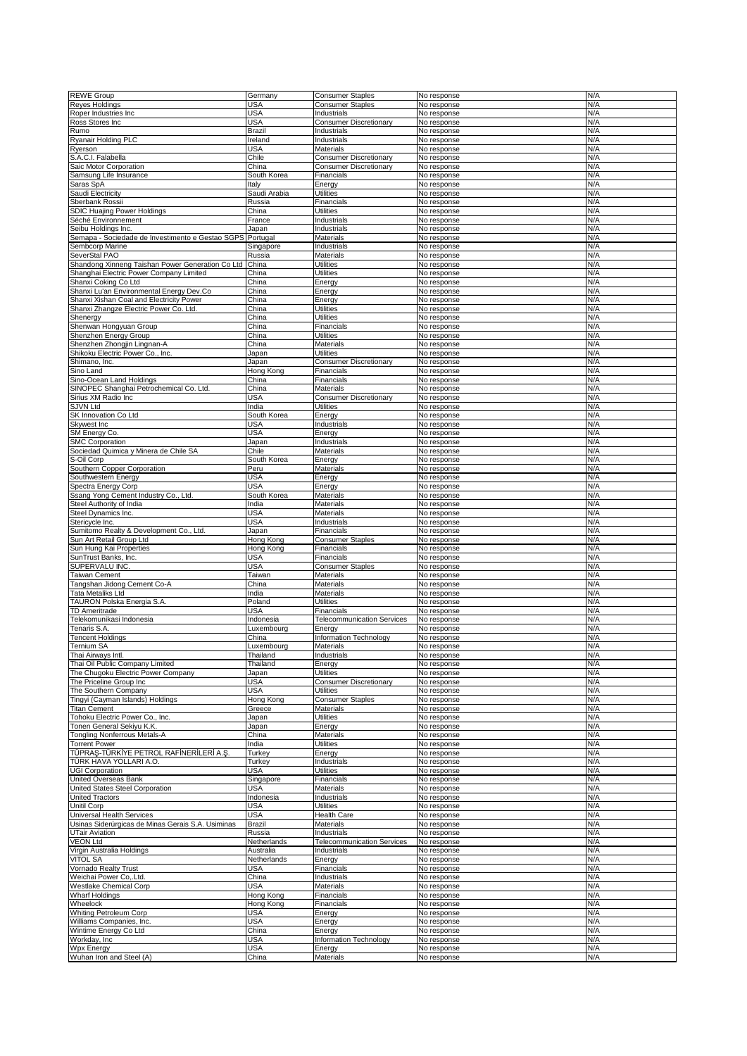| <b>REWE Group</b>                                 | Germany             | <b>Consumer Staples</b>           | No response                | N/A        |
|---------------------------------------------------|---------------------|-----------------------------------|----------------------------|------------|
| <b>Reves Holdings</b>                             | USA                 | <b>Consumer Staples</b>           | No response                | N/A        |
| Roper Industries Inc                              | USA                 | Industrials                       | No response                | N/A        |
| Ross Stores Inc                                   | <b>USA</b>          | <b>Consumer Discretionary</b>     |                            | N/A        |
|                                                   |                     |                                   | No response                |            |
| Rumo                                              | <b>Brazil</b>       | Industrials                       | No response                | N/A        |
| Ryanair Holding PLC                               | Ireland             | Industrials                       | No response                | N/A        |
| Ryerson                                           | <b>USA</b>          | Materials                         | No response                | N/A        |
| S.A.C.I. Falabella                                | Chile               | <b>Consumer Discretionary</b>     | No response                | N/A        |
|                                                   |                     |                                   |                            |            |
| Saic Motor Corporation                            | China               | <b>Consumer Discretionary</b>     | No response                | N/A        |
| Samsung Life Insurance                            | South Korea         | Financials                        | No response                | N/A        |
| Saras SpA                                         | Italy               | Energy                            | No response                | N/A        |
| Saudi Electricity                                 | Saudi Arabia        | <b>Utilities</b>                  | No response                | N/A        |
|                                                   |                     |                                   |                            |            |
| Sberbank Rossii                                   | Russia              | Financials                        | No response                | N/A        |
| SDIC Huajing Power Holdings                       | China               | <b>Utilities</b>                  | No response                | N/A        |
| Séché Environnement                               | France              | Industrials                       | No response                | N/A        |
| Seibu Holdings Inc.                               | Japan               | Industrials                       | No response                | N/A        |
|                                                   |                     |                                   |                            |            |
| Semapa - Sociedade de Investimento e Gestao SGPS  | Portugal            | Materials                         | No response                | N/A        |
| Sembcorp Marine                                   | Singapore           | Industrials                       | No response                | N/A        |
| SeverStal PAO                                     | Russia              | Materials                         | No response                | N/A        |
| Shandong Xinneng Taishan Power Generation Co Ltd  | China               | Utilities                         | No response                | N/A        |
|                                                   |                     |                                   |                            | N/A        |
| Shanghai Electric Power Company Limited           | China               | <b>Utilities</b>                  | No response                |            |
| Shanxi Coking Co Ltd                              | China               | Energy                            | No response                | N/A        |
| Shanxi Lu'an Environmental Energy Dev.Co          | China               | Energy                            | No response                | N/A        |
| Shanxi Xishan Coal and Electricity Power          | China               | Energy                            | No response                | N/A        |
|                                                   |                     |                                   |                            | N/A        |
| Shanxi Zhangze Electric Power Co. Ltd.            | China               | Utilities                         | No response                |            |
| Shenergy                                          | China               | Utilities                         | No response                | N/A        |
| Shenwan Hongyuan Group                            | China               | Financials                        | No response                | N/A        |
| Shenzhen Energy Group                             | China               | Utilities                         | No response                | N/A        |
|                                                   | China               | Materials                         |                            | N/A        |
| Shenzhen Zhongjin Lingnan-A                       |                     |                                   | No response                |            |
| Shikoku Electric Power Co., Inc.                  | Japan               | Utilities                         | No response                | N/A        |
| Shimano, Inc.                                     | Japan               | <b>Consumer Discretionary</b>     | No response                | N/A        |
| Sino Land                                         | Hong Kong           | Financials                        | No response                | N/A        |
|                                                   |                     |                                   |                            |            |
| Sino-Ocean Land Holdings                          | China               | Financials                        | No response                | N/A        |
| SINOPEC Shanghai Petrochemical Co. Ltd.           | China               | <b>Materials</b>                  | No response                | N/A        |
| Sirius XM Radio Inc                               | <b>USA</b>          | <b>Consumer Discretionary</b>     | No response                | N/A        |
| <b>SJVN Ltd</b>                                   | India               | <b>Utilities</b>                  | No response                | N/A        |
|                                                   |                     |                                   |                            |            |
| SK Innovation Co Ltd                              | South Korea         | Energy                            | No response                | N/A        |
| Skywest Inc                                       | USA                 | Industrials                       | No response                | N/A        |
| SM Energy Co.                                     | <b>USA</b>          | Energy                            | No response                | N/A        |
| <b>SMC Corporation</b>                            | Japan               | Industrials                       | No response                | N/A        |
|                                                   |                     |                                   |                            |            |
| Sociedad Quimica y Minera de Chile SA             | Chile               | Materials                         | No response                | N/A        |
| S-Oil Corp                                        | South Korea         | Energy                            | No response                | N/A        |
| Southern Copper Corporation                       | Peru                | Materials                         | No response                | N/A        |
|                                                   |                     |                                   |                            | N/A        |
| Southwestern Energy                               | <b>USA</b>          | Energy                            | No response                |            |
| Spectra Energy Corp                               | <b>USA</b>          | Energy                            | No response                | N/A        |
| Ssang Yong Cement Industry Co., Ltd.              | South Korea         | Materials                         | No response                | N/A        |
| Steel Authority of India                          | India               | Materials                         | No response                | N/A        |
|                                                   | <b>USA</b>          |                                   |                            | N/A        |
| Steel Dynamics Inc.                               |                     | Materials                         | No response                |            |
| Stericycle Inc.                                   | <b>USA</b>          | Industrials                       | No response                | N/A        |
|                                                   |                     |                                   |                            |            |
|                                                   |                     |                                   |                            |            |
| Sumitomo Realty & Development Co., Ltd.           | Japan               | Financials                        | No response                | N/A        |
| Sun Art Retail Group Ltd                          | Hong Kong           | <b>Consumer Staples</b>           | No response                | N/A        |
| Sun Hung Kai Properties                           | Hong Kong           | Financials                        | No response                | N/A        |
| SunTrust Banks, Inc.                              | <b>USA</b>          | Financials                        | No response                | N/A        |
|                                                   |                     |                                   |                            |            |
| SUPERVALU INC.                                    | <b>USA</b>          | <b>Consumer Staples</b>           | No response                | N/A        |
| Taiwan Cement                                     | Taiwan              | Materials                         | No response                | N/A        |
| Tangshan Jidong Cement Co-A                       | China               | Materials                         | No response                | N/A        |
| Tata Metaliks Ltd                                 | India               | Materials                         | No response                | N/A        |
|                                                   |                     |                                   |                            |            |
| TAURON Polska Energia S.A                         | Poland              | <b>Utilities</b>                  | No response                | N/A        |
| TD Ameritrade                                     | <b>USA</b>          | Financials                        | No response                | N/A        |
| <b>Telekomunikasi Indonesia</b>                   | Indonesia           | <b>Telecommunication Services</b> | No response                | N/A        |
| <b>Tenaris S.A</b>                                | Luxembourg          | Energy                            | No response                | N/A        |
|                                                   | China               |                                   |                            | N/A        |
| <b>Fencent Holdings</b>                           |                     | Information Technology            | No response                |            |
| Ternium SA                                        | Luxembourg          | Materials                         | No response                | N/A        |
| Thai Airways Intl.                                | Thailand            | Industrials                       | No response                | N/A        |
| Thai Oil Public Company Limited                   | Thailand            | Energy                            | No response                | N/A        |
|                                                   |                     | <b>Utilities</b>                  |                            | N/A        |
| The Chugoku Electric Power Company                | Japan               |                                   | No response                |            |
| The Priceline Group Inc                           | <b>USA</b>          | <b>Consumer Discretionary</b>     | No response                | N/A        |
| The Southern Company                              | <b>USA</b>          | <b>Utilities</b>                  | No response                | N/A        |
| Tingyi (Cayman Islands) Holdings                  | Hong Kong           | <b>Consumer Staples</b>           | No response                | N/A        |
| <b>Titan Cement</b>                               | Greece              | Materials                         | No response                | N/A        |
|                                                   |                     |                                   |                            |            |
| Tohoku Electric Power Co., Inc.                   | Japan               | <b>Utilities</b>                  | No response                | N/A        |
| Tonen General Sekiyu K.K.                         | Japan               | Energy                            | No response                | N/A        |
| <b>Tongling Nonferrous Metals-A</b>               | China               | <b>Materials</b>                  | No response                | N/A        |
| <b>Torrent Power</b>                              | India               | <b>Utilities</b>                  | No response                | N/A        |
|                                                   |                     |                                   |                            |            |
| TÜPRAŞ-TÜRKİYE PETROL RAFİNERİLERİ A.Ş            | Turkey              | Energy                            | No response                | N/A        |
| TÜRK HAVA YOLLARI A.O.                            | Turkey              | Industrials                       | No response                | N/A        |
| <b>UGI Corporation</b>                            | USA                 | <b>Utilities</b>                  | No response                | N/A        |
| United Overseas Bank                              | Singapore           | Financials                        | No response                | N/A        |
|                                                   |                     |                                   |                            |            |
| United States Steel Corporation                   | USA                 | Materials                         | No response                | N/A        |
| <b>United Tractors</b>                            | Indonesia           | Industrials                       | No response                | N/A        |
| <b>Unitil Corp</b>                                | <b>USA</b>          | <b>Utilities</b>                  | No response                | N/A        |
| Universal Health Services                         | <b>USA</b>          | <b>Health Care</b>                | No response                | N/A        |
|                                                   |                     |                                   |                            |            |
| Usinas Siderúrgicas de Minas Gerais S.A. Usiminas | <b>Brazil</b>       | Materials                         | No response                | N/A        |
| <b>UTair Aviation</b>                             | Russia              | Industrials                       | No response                | N/A        |
| <b>VEON Ltd</b>                                   | Netherlands         | <b>Telecommunication Services</b> | No response                | N/A        |
| Virgin Australia Holdings                         | Australia           | Industrials                       | No response                | N/A        |
|                                                   |                     |                                   |                            |            |
| VITOL SA                                          | Netherlands         | Energy                            | No response                | N/A        |
| Vornado Realty Trust                              | <b>USA</b>          | Financials                        | No response                | N/A        |
| Weichai Power Co,.Ltd.                            | China               | Industrials                       | No response                | N/A        |
| Westlake Chemical Corp                            | <b>USA</b>          | <b>Materials</b>                  | No response                | N/A        |
|                                                   |                     |                                   |                            |            |
| <b>Wharf Holdings</b>                             | Hong Kong           | Financials                        | No response                | N/A        |
| Wheelock                                          | Hong Kong           | Financials                        | No response                | N/A        |
| <b>Whiting Petroleum Corp</b>                     | <b>USA</b>          | Energy                            | No response                | N/A        |
| Williams Companies, Inc.                          | <b>USA</b>          | Energy                            | No response                | N/A        |
|                                                   |                     |                                   |                            |            |
| Wintime Energy Co Ltd                             | China               | Energy                            | No response                | N/A        |
| Workday, Inc.                                     | <b>USA</b>          | Information Technology            | No response                | N/A        |
| <b>Wpx Energy</b><br>Wuhan Iron and Steel (A)     | <b>USA</b><br>China | Energy<br>Materials               | No response<br>No response | N/A<br>N/A |